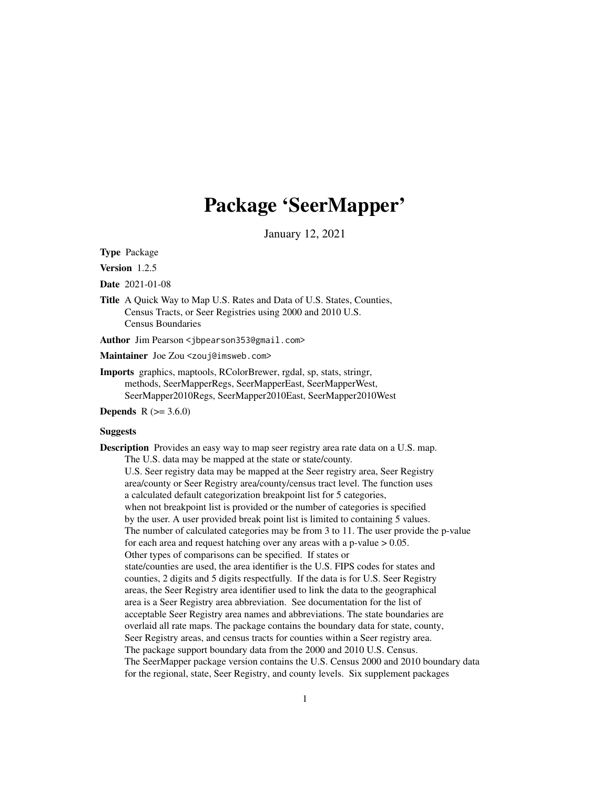# Package 'SeerMapper'

January 12, 2021

Type Package

Version 1.2.5

Date 2021-01-08

Title A Quick Way to Map U.S. Rates and Data of U.S. States, Counties, Census Tracts, or Seer Registries using 2000 and 2010 U.S. Census Boundaries

Author Jim Pearson <jbpearson353@gmail.com>

Maintainer Joe Zou <zouj@imsweb.com>

Imports graphics, maptools, RColorBrewer, rgdal, sp, stats, stringr, methods, SeerMapperRegs, SeerMapperEast, SeerMapperWest, SeerMapper2010Regs, SeerMapper2010East, SeerMapper2010West

**Depends**  $R (= 3.6.0)$ 

# **Suggests**

Description Provides an easy way to map seer registry area rate data on a U.S. map. The U.S. data may be mapped at the state or state/county. U.S. Seer registry data may be mapped at the Seer registry area, Seer Registry area/county or Seer Registry area/county/census tract level. The function uses a calculated default categorization breakpoint list for 5 categories, when not breakpoint list is provided or the number of categories is specified by the user. A user provided break point list is limited to containing 5 values. The number of calculated categories may be from 3 to 11. The user provide the p-value for each area and request hatching over any areas with a p-value  $> 0.05$ . Other types of comparisons can be specified. If states or state/counties are used, the area identifier is the U.S. FIPS codes for states and counties, 2 digits and 5 digits respectfully. If the data is for U.S. Seer Registry areas, the Seer Registry area identifier used to link the data to the geographical area is a Seer Registry area abbreviation. See documentation for the list of acceptable Seer Registry area names and abbreviations. The state boundaries are overlaid all rate maps. The package contains the boundary data for state, county, Seer Registry areas, and census tracts for counties within a Seer registry area. The package support boundary data from the 2000 and 2010 U.S. Census. The SeerMapper package version contains the U.S. Census 2000 and 2010 boundary data for the regional, state, Seer Registry, and county levels. Six supplement packages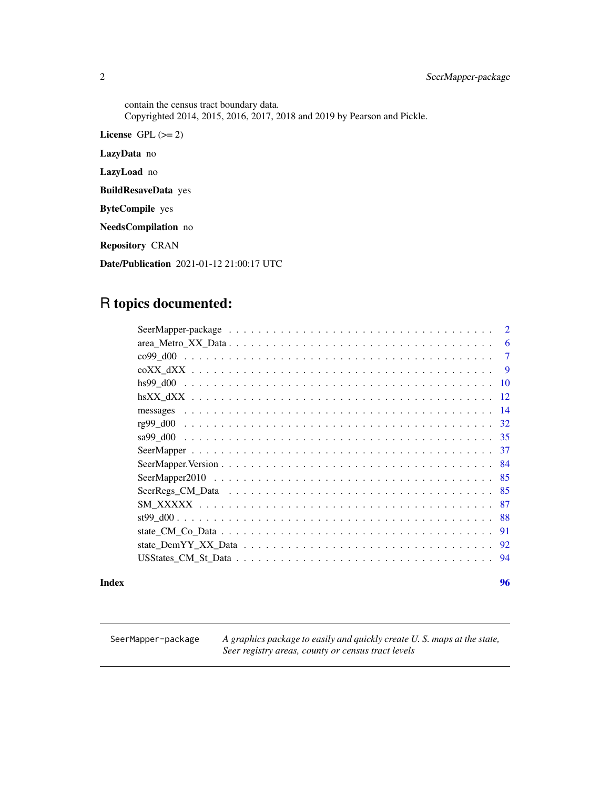contain the census tract boundary data. Copyrighted 2014, 2015, 2016, 2017, 2018 and 2019 by Pearson and Pickle. License GPL  $(>= 2)$ LazyData no LazyLoad no BuildResaveData yes ByteCompile yes NeedsCompilation no Repository CRAN Date/Publication 2021-01-12 21:00:17 UTC

# R topics documented:

| $\overline{2}$ |
|----------------|
| 6              |
| 7              |
| -9             |
| 10             |
| -12            |
| -14            |
| -32            |
|                |
|                |
| -84            |
| -85            |
|                |
| -87            |
|                |
| -91            |
|                |
| -94            |
|                |

# **Index [96](#page-95-0)**

SeerMapper-package *A graphics package to easily and quickly create U. S. maps at the state, Seer registry areas, county or census tract levels*

<span id="page-1-0"></span>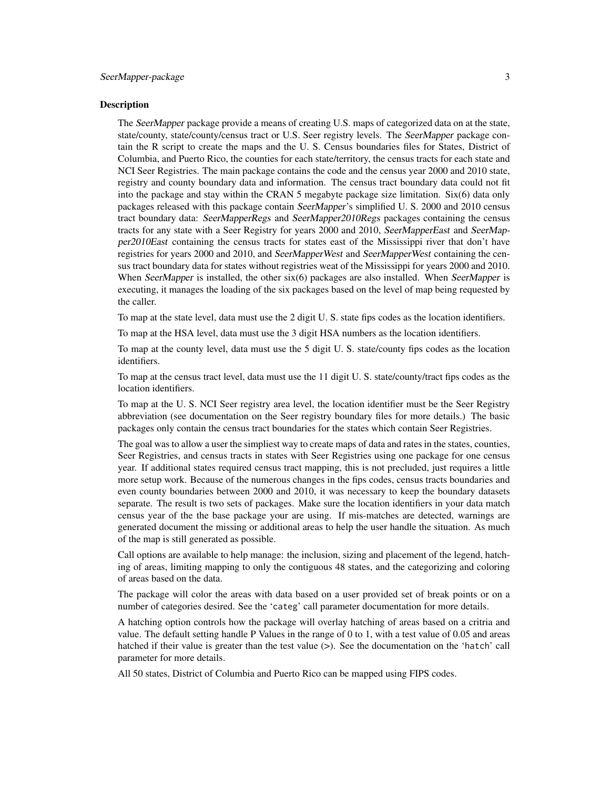# Description

The SeerMapper package provide a means of creating U.S. maps of categorized data on at the state, state/county, state/county/census tract or U.S. Seer registry levels. The SeerMapper package contain the R script to create the maps and the U. S. Census boundaries files for States, District of Columbia, and Puerto Rico, the counties for each state/territory, the census tracts for each state and NCI Seer Registries. The main package contains the code and the census year 2000 and 2010 state, registry and county boundary data and information. The census tract boundary data could not fit into the package and stay within the CRAN 5 megabyte package size limitation. Six(6) data only packages released with this package contain SeerMapper's simplified U. S. 2000 and 2010 census tract boundary data: SeerMapperRegs and SeerMapper2010Regs packages containing the census tracts for any state with a Seer Registry for years 2000 and 2010, SeerMapperEast and SeerMapper2010East containing the census tracts for states east of the Mississippi river that don't have registries for years 2000 and 2010, and SeerMapperWest and SeerMapperWest containing the census tract boundary data for states without registries weat of the Mississippi for years 2000 and 2010. When SeerMapper is installed, the other  $six(6)$  packages are also installed. When SeerMapper is executing, it manages the loading of the six packages based on the level of map being requested by the caller.

To map at the state level, data must use the 2 digit U. S. state fips codes as the location identifiers.

To map at the HSA level, data must use the 3 digit HSA numbers as the location identifiers.

To map at the county level, data must use the 5 digit U. S. state/county fips codes as the location identifiers.

To map at the census tract level, data must use the 11 digit U. S. state/county/tract fips codes as the location identifiers.

To map at the U. S. NCI Seer registry area level, the location identifier must be the Seer Registry abbreviation (see documentation on the Seer registry boundary files for more details.) The basic packages only contain the census tract boundaries for the states which contain Seer Registries.

The goal was to allow a user the simpliest way to create maps of data and rates in the states, counties, Seer Registries, and census tracts in states with Seer Registries using one package for one census year. If additional states required census tract mapping, this is not precluded, just requires a little more setup work. Because of the numerous changes in the fips codes, census tracts boundaries and even county boundaries between 2000 and 2010, it was necessary to keep the boundary datasets separate. The result is two sets of packages. Make sure the location identifiers in your data match census year of the the base package your are using. If mis-matches are detected, warnings are generated document the missing or additional areas to help the user handle the situation. As much of the map is still generated as possible.

Call options are available to help manage: the inclusion, sizing and placement of the legend, hatching of areas, limiting mapping to only the contiguous 48 states, and the categorizing and coloring of areas based on the data.

The package will color the areas with data based on a user provided set of break points or on a number of categories desired. See the 'categ' call parameter documentation for more details.

A hatching option controls how the package will overlay hatching of areas based on a critria and value. The default setting handle P Values in the range of 0 to 1, with a test value of 0.05 and areas hatched if their value is greater than the test value (>). See the documentation on the 'hatch' call parameter for more details.

All 50 states, District of Columbia and Puerto Rico can be mapped using FIPS codes.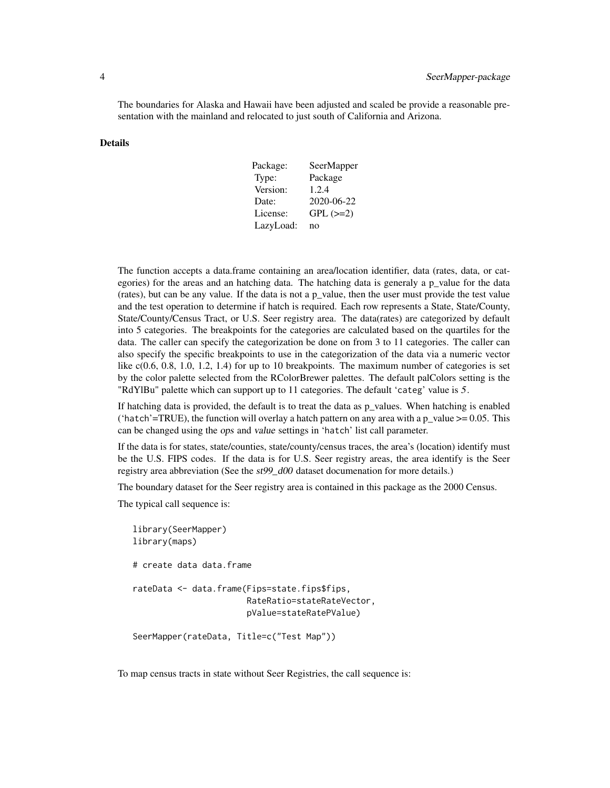The boundaries for Alaska and Hawaii have been adjusted and scaled be provide a reasonable presentation with the mainland and relocated to just south of California and Arizona.

# Details

| Package:  | SeerMapper    |
|-----------|---------------|
| Type:     | Package       |
| Version:  | 1.2.4         |
| Date:     | 2020-06-22    |
| License:  | $GPL$ $(>=2)$ |
| LazyLoad: | no            |

The function accepts a data.frame containing an area/location identifier, data (rates, data, or categories) for the areas and an hatching data. The hatching data is generaly a p\_value for the data (rates), but can be any value. If the data is not a p\_value, then the user must provide the test value and the test operation to determine if hatch is required. Each row represents a State, State/County, State/County/Census Tract, or U.S. Seer registry area. The data(rates) are categorized by default into 5 categories. The breakpoints for the categories are calculated based on the quartiles for the data. The caller can specify the categorization be done on from 3 to 11 categories. The caller can also specify the specific breakpoints to use in the categorization of the data via a numeric vector like  $c(0.6, 0.8, 1.0, 1.2, 1.4)$  for up to 10 breakpoints. The maximum number of categories is set by the color palette selected from the RColorBrewer palettes. The default palColors setting is the "RdYlBu" palette which can support up to 11 categories. The default 'categ' value is 5.

If hatching data is provided, the default is to treat the data as p\_values. When hatching is enabled ('hatch'=TRUE), the function will overlay a hatch pattern on any area with a  $p_value >= 0.05$ . This can be changed using the ops and value settings in 'hatch' list call parameter.

If the data is for states, state/counties, state/county/census traces, the area's (location) identify must be the U.S. FIPS codes. If the data is for U.S. Seer registry areas, the area identify is the Seer registry area abbreviation (See the st99\_d00 dataset documenation for more details.)

The boundary dataset for the Seer registry area is contained in this package as the 2000 Census.

The typical call sequence is:

```
library(SeerMapper)
library(maps)
# create data data.frame
rateData <- data.frame(Fips=state.fips$fips,
                       RateRatio=stateRateVector,
                       pValue=stateRatePValue)
SeerMapper(rateData, Title=c("Test Map"))
```
To map census tracts in state without Seer Registries, the call sequence is: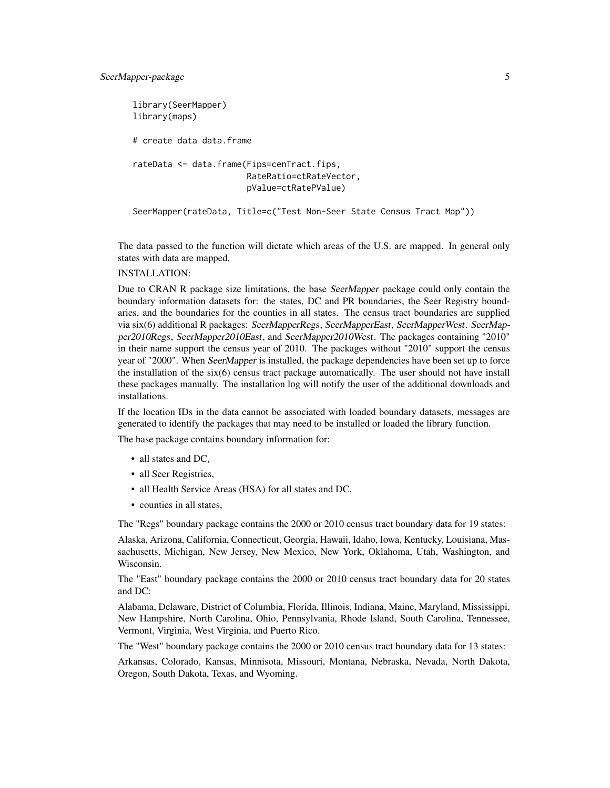```
library(SeerMapper)
library(maps)
# create data data.frame
rateData <- data.frame(Fips=cenTract.fips,
                       RateRatio=ctRateVector,
                       pValue=ctRatePValue)
SeerMapper(rateData, Title=c("Test Non-Seer State Census Tract Map"))
```
The data passed to the function will dictate which areas of the U.S. are mapped. In general only states with data are mapped.

# INSTALLATION:

Due to CRAN R package size limitations, the base SeerMapper package could only contain the boundary information datasets for: the states, DC and PR boundaries, the Seer Registry boundaries, and the boundaries for the counties in all states. The census tract boundaries are supplied via six(6) additional R packages: SeerMapperRegs, SeerMapperEast, SeerMapperWest. SeerMapper2010Regs, SeerMapper2010East, and SeerMapper2010West. The packages containing "2010" in their name support the census year of 2010. The packages without "2010" support the census year of "2000". When SeerMapper is installed, the package dependencies have been set up to force the installation of the  $six(6)$  census tract package automatically. The user should not have install these packages manually. The installation log will notify the user of the additional downloads and installations.

If the location IDs in the data cannot be associated with loaded boundary datasets, messages are generated to identify the packages that may need to be installed or loaded the library function.

The base package contains boundary information for:

- all states and DC,
- all Seer Registries,
- all Health Service Areas (HSA) for all states and DC,
- counties in all states,

The "Regs" boundary package contains the 2000 or 2010 census tract boundary data for 19 states:

Alaska, Arizona, California, Connecticut, Georgia, Hawaii, Idaho, Iowa, Kentucky, Louisiana, Massachusetts, Michigan, New Jersey, New Mexico, New York, Oklahoma, Utah, Washington, and Wisconsin.

The "East" boundary package contains the 2000 or 2010 census tract boundary data for 20 states and DC:

Alabama, Delaware, District of Columbia, Florida, Illinois, Indiana, Maine, Maryland, Mississippi, New Hampshire, North Carolina, Ohio, Pennsylvania, Rhode Island, South Carolina, Tennessee, Vermont, Virginia, West Virginia, and Puerto Rico.

The "West" boundary package contains the 2000 or 2010 census tract boundary data for 13 states:

Arkansas, Colorado, Kansas, Minnisota, Missouri, Montana, Nebraska, Nevada, North Dakota, Oregon, South Dakota, Texas, and Wyoming.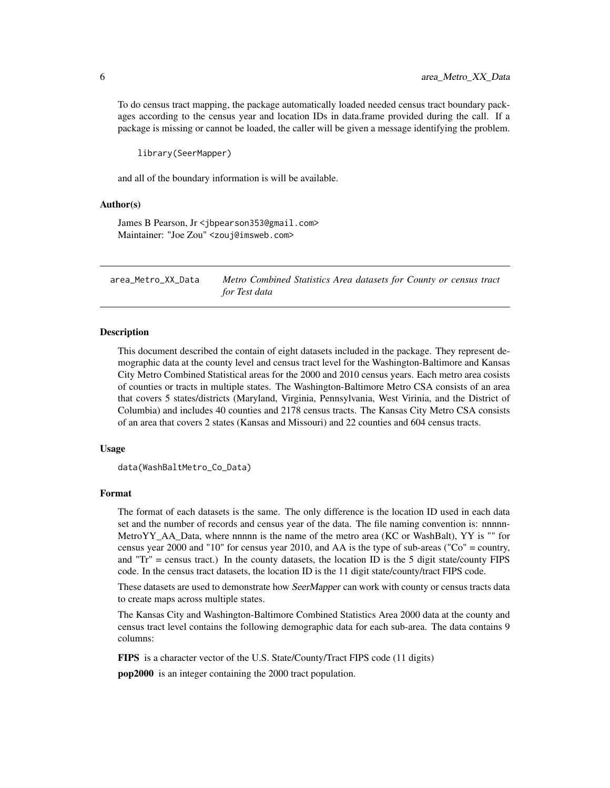<span id="page-5-0"></span>To do census tract mapping, the package automatically loaded needed census tract boundary packages according to the census year and location IDs in data.frame provided during the call. If a package is missing or cannot be loaded, the caller will be given a message identifying the problem.

library(SeerMapper)

and all of the boundary information is will be available.

#### Author(s)

James B Pearson, Jr <jbpearson353@gmail.com> Maintainer: "Joe Zou" <zouj@imsweb.com>

area\_Metro\_XX\_Data *Metro Combined Statistics Area datasets for County or census tract for Test data*

# Description

This document described the contain of eight datasets included in the package. They represent demographic data at the county level and census tract level for the Washington-Baltimore and Kansas City Metro Combined Statistical areas for the 2000 and 2010 census years. Each metro area cosists of counties or tracts in multiple states. The Washington-Baltimore Metro CSA consists of an area that covers 5 states/districts (Maryland, Virginia, Pennsylvania, West Virinia, and the District of Columbia) and includes 40 counties and 2178 census tracts. The Kansas City Metro CSA consists of an area that covers 2 states (Kansas and Missouri) and 22 counties and 604 census tracts.

# Usage

data(WashBaltMetro\_Co\_Data)

#### Format

The format of each datasets is the same. The only difference is the location ID used in each data set and the number of records and census year of the data. The file naming convention is: nnnnn-MetroYY AA Data, where nnnnn is the name of the metro area (KC or WashBalt), YY is "" for census year 2000 and "10" for census year 2010, and AA is the type of sub-areas ("Co" = country, and "Tr" = census tract.) In the county datasets, the location ID is the 5 digit state/county FIPS code. In the census tract datasets, the location ID is the 11 digit state/county/tract FIPS code.

These datasets are used to demonstrate how SeerMapper can work with county or census tracts data to create maps across multiple states.

The Kansas City and Washington-Baltimore Combined Statistics Area 2000 data at the county and census tract level contains the following demographic data for each sub-area. The data contains 9 columns:

FIPS is a character vector of the U.S. State/County/Tract FIPS code (11 digits)

pop2000 is an integer containing the 2000 tract population.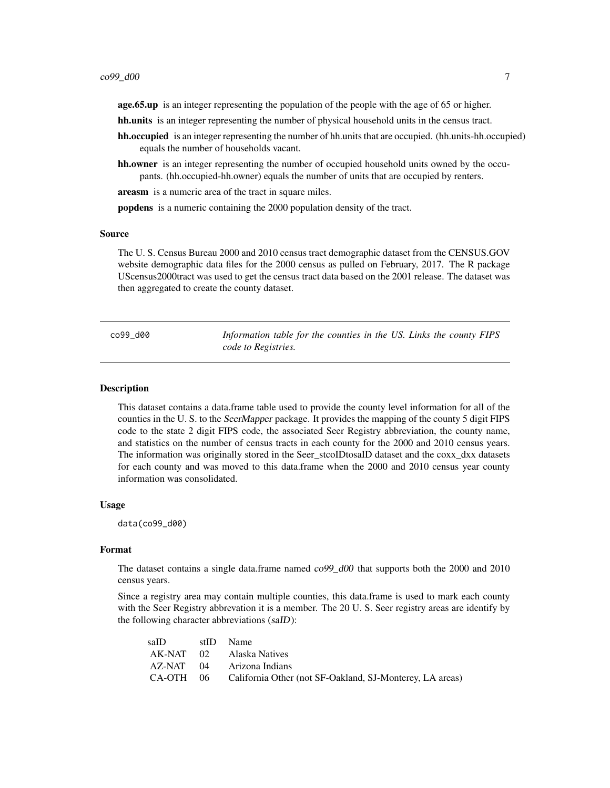<span id="page-6-0"></span>age.65.up is an integer representing the population of the people with the age of 65 or higher.

hh.units is an integer representing the number of physical household units in the census tract.

- hh.occupied is an integer representing the number of hh.units that are occupied. (hh.units-hh.occupied) equals the number of households vacant.
- hh.owner is an integer representing the number of occupied household units owned by the occupants. (hh.occupied-hh.owner) equals the number of units that are occupied by renters.

areasm is a numeric area of the tract in square miles.

popdens is a numeric containing the 2000 population density of the tract.

# Source

The U. S. Census Bureau 2000 and 2010 census tract demographic dataset from the CENSUS.GOV website demographic data files for the 2000 census as pulled on February, 2017. The R package UScensus2000tract was used to get the census tract data based on the 2001 release. The dataset was then aggregated to create the county dataset.

co99\_d00 *Information table for the counties in the US. Links the county FIPS code to Registries.*

#### Description

This dataset contains a data.frame table used to provide the county level information for all of the counties in the U. S. to the SeerMapper package. It provides the mapping of the county 5 digit FIPS code to the state 2 digit FIPS code, the associated Seer Registry abbreviation, the county name, and statistics on the number of census tracts in each county for the 2000 and 2010 census years. The information was originally stored in the Seer\_stcoIDtosaID dataset and the coxx\_dxx datasets for each county and was moved to this data.frame when the 2000 and 2010 census year county information was consolidated.

# Usage

data(co99\_d00)

#### Format

The dataset contains a single data.frame named  $c099\_d00$  that supports both the 2000 and 2010 census years.

Since a registry area may contain multiple counties, this data.frame is used to mark each county with the Seer Registry abbrevation it is a member. The 20 U. S. Seer registry areas are identify by the following character abbreviations (saID):

| saID | stID Name                                                          |
|------|--------------------------------------------------------------------|
|      | AK-NAT 02 Alaska Natives                                           |
|      | AZ-NAT 04 Arizona Indians                                          |
|      | CA-OTH 06 California Other (not SF-Oakland, SJ-Monterey, LA areas) |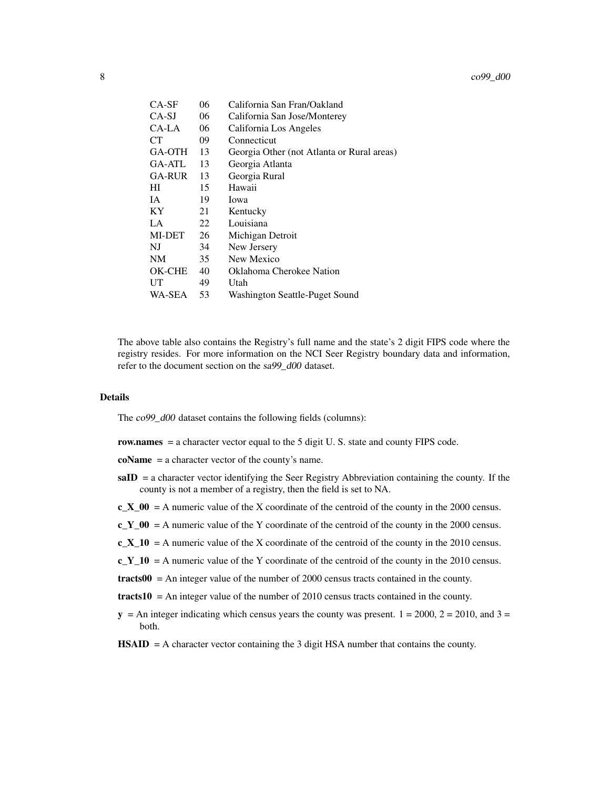| CA-SF         | 06 | California San Fran/Oakland                |
|---------------|----|--------------------------------------------|
| $CA-SJ$       | 06 | California San Jose/Monterey               |
| CA-LA         | 06 | California Los Angeles                     |
| CТ            | 09 | Connecticut                                |
| GA-OTH        | 13 | Georgia Other (not Atlanta or Rural areas) |
| GA-ATL        | 13 | Georgia Atlanta                            |
| <b>GA-RUR</b> | 13 | Georgia Rural                              |
| HІ            | 15 | Hawaii                                     |
| IA.           | 19 | Iowa                                       |
| <b>KY</b>     | 21 | Kentucky                                   |
| LA            | 22 | Louisiana                                  |
| MI-DET        | 26 | Michigan Detroit                           |
| NJ            | 34 | New Jersery                                |
| <b>NM</b>     | 35 | New Mexico                                 |
| OK-CHE        | 40 | Oklahoma Cherokee Nation                   |
| UT            | 49 | Utah                                       |
| WA-SEA        | 53 | Washington Seattle-Puget Sound             |

The above table also contains the Registry's full name and the state's 2 digit FIPS code where the registry resides. For more information on the NCI Seer Registry boundary data and information, refer to the document section on the sa99\_d00 dataset.

#### Details

The co99\_d00 dataset contains the following fields (columns):

row.names = a character vector equal to the 5 digit U. S. state and county FIPS code.

coName = a character vector of the county's name.

- $saID = a$  character vector identifying the Seer Registry Abbreviation containing the county. If the county is not a member of a registry, then the field is set to NA.
- $c_X_0 = A$  numeric value of the X coordinate of the centroid of the county in the 2000 census.
- $c_Y_00 = A$  numeric value of the Y coordinate of the centroid of the county in the 2000 census.
- $c_X_10 = A$  numeric value of the X coordinate of the centroid of the county in the 2010 census.
- $c_Y_10 = A$  numeric value of the Y coordinate of the centroid of the county in the 2010 census.
- $\text{tracts00} = \text{An integer value of the number of } 2000 \text{ census tracts contained in the county.}$
- $\text{tracts10} = \text{An integer value of the number of 2010 census tracts contained in the county.}$
- $y = An$  integer indicating which census years the county was present.  $1 = 2000$ ,  $2 = 2010$ , and  $3 =$ both.
- $$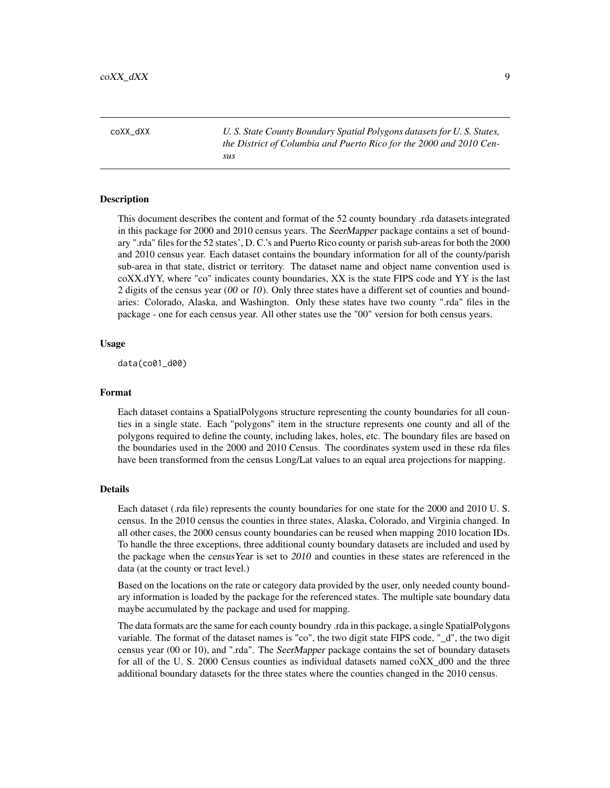<span id="page-8-0"></span>coXX\_dXX *U. S. State County Boundary Spatial Polygons datasets for U. S. States, the District of Columbia and Puerto Rico for the 2000 and 2010 Census*

# **Description**

This document describes the content and format of the 52 county boundary .rda datasets integrated in this package for 2000 and 2010 census years. The SeerMapper package contains a set of boundary ".rda" files for the 52 states', D. C.'s and Puerto Rico county or parish sub-areas for both the 2000 and 2010 census year. Each dataset contains the boundary information for all of the county/parish sub-area in that state, district or territory. The dataset name and object name convention used is coXX.dYY, where "co" indicates county boundaries, XX is the state FIPS code and YY is the last 2 digits of the census year (00 or 10). Only three states have a different set of counties and boundaries: Colorado, Alaska, and Washington. Only these states have two county ".rda" files in the package - one for each census year. All other states use the "00" version for both census years.

# Usage

data(co01\_d00)

#### Format

Each dataset contains a SpatialPolygons structure representing the county boundaries for all counties in a single state. Each "polygons" item in the structure represents one county and all of the polygons required to define the county, including lakes, holes, etc. The boundary files are based on the boundaries used in the 2000 and 2010 Census. The coordinates system used in these rda files have been transformed from the census Long/Lat values to an equal area projections for mapping.

#### Details

Each dataset (.rda file) represents the county boundaries for one state for the 2000 and 2010 U. S. census. In the 2010 census the counties in three states, Alaska, Colorado, and Virginia changed. In all other cases, the 2000 census county boundaries can be reused when mapping 2010 location IDs. To handle the three exceptions, three additional county boundary datasets are included and used by the package when the census Year is set to 2010 and counties in these states are referenced in the data (at the county or tract level.)

Based on the locations on the rate or category data provided by the user, only needed county boundary information is loaded by the package for the referenced states. The multiple sate boundary data maybe accumulated by the package and used for mapping.

The data formats are the same for each county boundry .rda in this package, a single SpatialPolygons variable. The format of the dataset names is "co", the two digit state FIPS code, "\_d", the two digit census year (00 or 10), and ".rda". The SeerMapper package contains the set of boundary datasets for all of the U. S. 2000 Census counties as individual datasets named coXX\_d00 and the three additional boundary datasets for the three states where the counties changed in the 2010 census.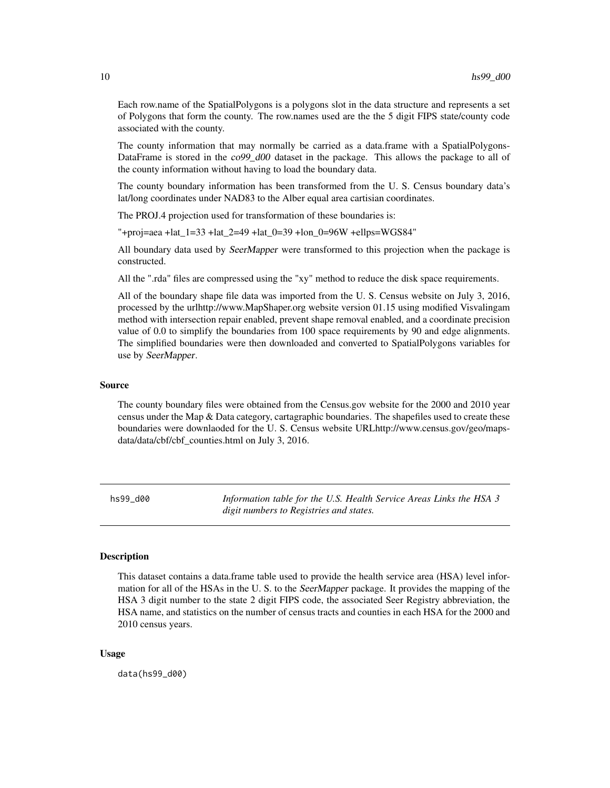<span id="page-9-0"></span>Each row.name of the SpatialPolygons is a polygons slot in the data structure and represents a set of Polygons that form the county. The row.names used are the the 5 digit FIPS state/county code associated with the county.

The county information that may normally be carried as a data.frame with a SpatialPolygons-DataFrame is stored in the co99 d00 dataset in the package. This allows the package to all of the county information without having to load the boundary data.

The county boundary information has been transformed from the U. S. Census boundary data's lat/long coordinates under NAD83 to the Alber equal area cartisian coordinates.

The PROJ.4 projection used for transformation of these boundaries is:

"+proj=aea +lat\_1=33 +lat\_2=49 +lat\_0=39 +lon\_0=96W +ellps=WGS84"

All boundary data used by SeerMapper were transformed to this projection when the package is constructed.

All the ".rda" files are compressed using the "xy" method to reduce the disk space requirements.

All of the boundary shape file data was imported from the U. S. Census website on July 3, 2016, processed by the urlhttp://www.MapShaper.org website version 01.15 using modified Visvalingam method with intersection repair enabled, prevent shape removal enabled, and a coordinate precision value of 0.0 to simplify the boundaries from 100 space requirements by 90 and edge alignments. The simplified boundaries were then downloaded and converted to SpatialPolygons variables for use by SeerMapper.

# Source

The county boundary files were obtained from the Census.gov website for the 2000 and 2010 year census under the Map & Data category, cartagraphic boundaries. The shapefiles used to create these boundaries were downlaoded for the U. S. Census website URLhttp://www.census.gov/geo/mapsdata/data/cbf/cbf\_counties.html on July 3, 2016.

hs99\_d00 *Information table for the U.S. Health Service Areas Links the HSA 3 digit numbers to Registries and states.*

# Description

This dataset contains a data.frame table used to provide the health service area (HSA) level information for all of the HSAs in the U. S. to the SeerMapper package. It provides the mapping of the HSA 3 digit number to the state 2 digit FIPS code, the associated Seer Registry abbreviation, the HSA name, and statistics on the number of census tracts and counties in each HSA for the 2000 and 2010 census years.

#### Usage

data(hs99\_d00)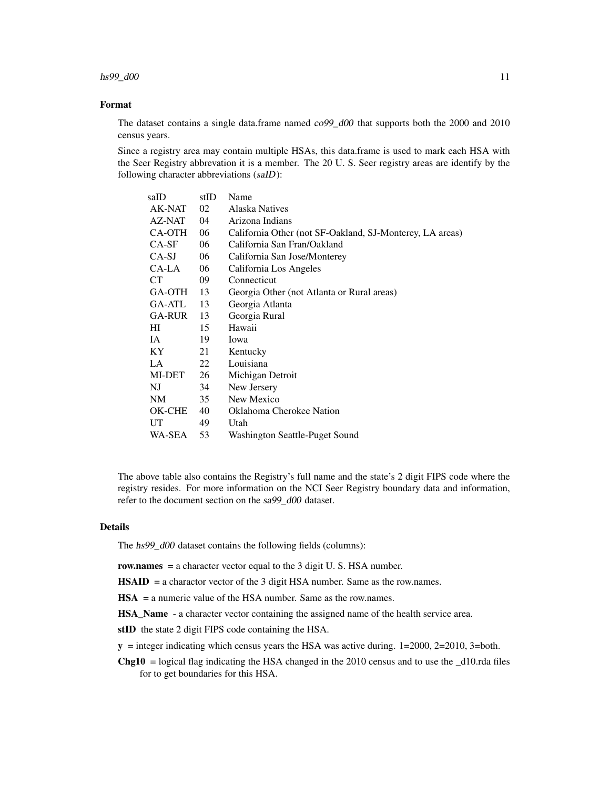# Format

The dataset contains a single data.frame named  $c_0$ 99\_d00 that supports both the 2000 and 2010 census years.

Since a registry area may contain multiple HSAs, this data.frame is used to mark each HSA with the Seer Registry abbrevation it is a member. The 20 U. S. Seer registry areas are identify by the following character abbreviations (saID):

| saID    | stID | Name                                                     |
|---------|------|----------------------------------------------------------|
| AK-NAT  | 02   | Alaska Natives                                           |
| AZ-NAT  | 04   | Arizona Indians                                          |
| CA-OTH  | 06   | California Other (not SF-Oakland, SJ-Monterey, LA areas) |
| $CA-SF$ | 06   | California San Fran/Oakland                              |
| CA-SJ   | 06   | California San Jose/Monterey                             |
| CA-LA   | 06   | California Los Angeles                                   |
| СT      | 09   | Connecticut                                              |
| GA-OTH  | 13   | Georgia Other (not Atlanta or Rural areas)               |
| GA-ATL  | 13   | Georgia Atlanta                                          |
| GA-RUR  | 13   | Georgia Rural                                            |
| HІ      | 15   | Hawaii                                                   |
| IA.     | 19   | Iowa                                                     |
| KY.     | 21   | Kentucky                                                 |
| LA.     | 22   | Louisiana                                                |
| MI-DET  | 26   | Michigan Detroit                                         |
| NJ      | 34   | New Jersery                                              |
| NM      | 35   | New Mexico                                               |
| OK-CHE  | 40   | Oklahoma Cherokee Nation                                 |
| UT      | 49   | Utah                                                     |
| WA-SEA  | 53   | Washington Seattle-Puget Sound                           |

The above table also contains the Registry's full name and the state's 2 digit FIPS code where the registry resides. For more information on the NCI Seer Registry boundary data and information, refer to the document section on the sa99\_d00 dataset.

#### Details

The hs99\_d00 dataset contains the following fields (columns):

row.names = a character vector equal to the 3 digit U.S. HSA number.

 $\text{HSAID}$  = a charactor vector of the 3 digit HSA number. Same as the row.names.

HSA = a numeric value of the HSA number. Same as the row.names.

HSA\_Name - a character vector containing the assigned name of the health service area.

stID the state 2 digit FIPS code containing the HSA.

 $y =$  integer indicating which census years the HSA was active during. 1=2000, 2=2010, 3=both.

**Chg10** = logical flag indicating the HSA changed in the 2010 census and to use the  $\_\text{d10.rda}$  files for to get boundaries for this HSA.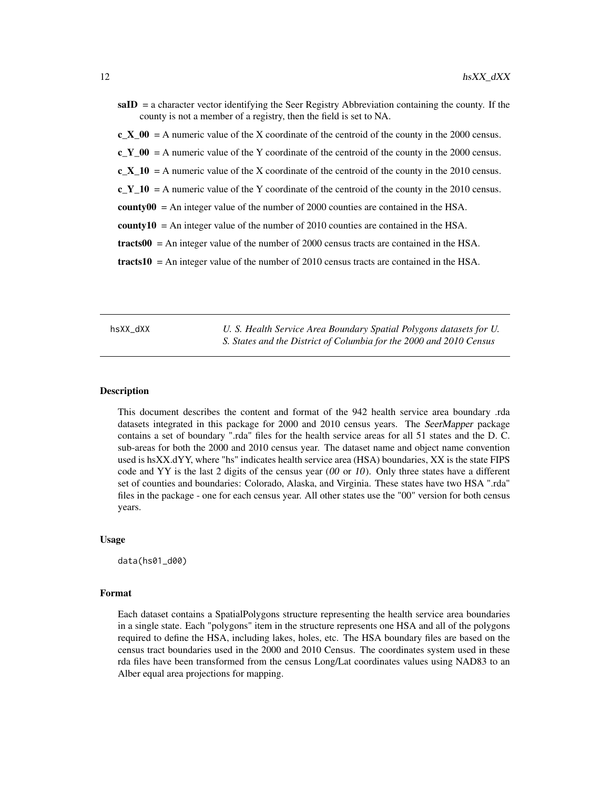<span id="page-11-0"></span> $saID = a$  character vector identifying the Seer Registry Abbreviation containing the county. If the county is not a member of a registry, then the field is set to NA.

 $c_X_0 = A$  numeric value of the X coordinate of the centroid of the county in the 2000 census.

 $c_Y_00 = A$  numeric value of the Y coordinate of the centroid of the county in the 2000 census.

c X 10 = A numeric value of the X coordinate of the centroid of the county in the 2010 census.

 $c_Y_10 = A$  numeric value of the Y coordinate of the centroid of the county in the 2010 census.

 $county00 = An integer value of the number of 2000 counties are contained in the HSA.$ 

**county10** = An integer value of the number of 2010 counties are contained in the HSA.

 $\text{tracts00} = \text{An integer value of the number of } 2000 \text{ census tracts are contained in the HSA.}$ 

 $\text{tracts10} = \text{An integer value of the number of } 2010 \text{ census tracts are contained in the HSA.}$ 

hsXX\_dXX *U. S. Health Service Area Boundary Spatial Polygons datasets for U. S. States and the District of Columbia for the 2000 and 2010 Census*

#### Description

This document describes the content and format of the 942 health service area boundary .rda datasets integrated in this package for 2000 and 2010 census years. The SeerMapper package contains a set of boundary ".rda" files for the health service areas for all 51 states and the D. C. sub-areas for both the 2000 and 2010 census year. The dataset name and object name convention used is hsXX.dYY, where "hs" indicates health service area (HSA) boundaries, XX is the state FIPS code and YY is the last 2 digits of the census year  $(00 \text{ or } 10)$ . Only three states have a different set of counties and boundaries: Colorado, Alaska, and Virginia. These states have two HSA ".rda" files in the package - one for each census year. All other states use the "00" version for both census years.

#### Usage

data(hs01\_d00)

#### Format

Each dataset contains a SpatialPolygons structure representing the health service area boundaries in a single state. Each "polygons" item in the structure represents one HSA and all of the polygons required to define the HSA, including lakes, holes, etc. The HSA boundary files are based on the census tract boundaries used in the 2000 and 2010 Census. The coordinates system used in these rda files have been transformed from the census Long/Lat coordinates values using NAD83 to an Alber equal area projections for mapping.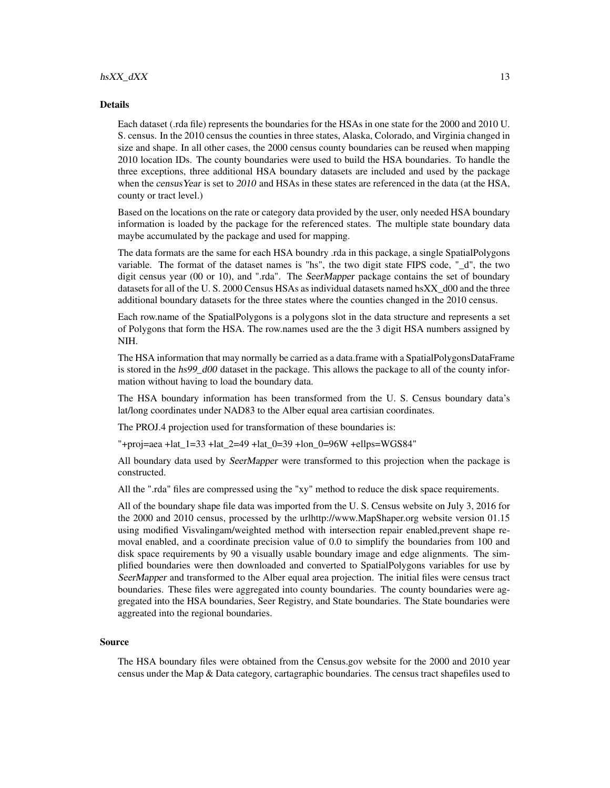#### Details

Each dataset (.rda file) represents the boundaries for the HSAs in one state for the 2000 and 2010 U. S. census. In the 2010 census the counties in three states, Alaska, Colorado, and Virginia changed in size and shape. In all other cases, the 2000 census county boundaries can be reused when mapping 2010 location IDs. The county boundaries were used to build the HSA boundaries. To handle the three exceptions, three additional HSA boundary datasets are included and used by the package when the census Year is set to 2010 and HSAs in these states are referenced in the data (at the HSA, county or tract level.)

Based on the locations on the rate or category data provided by the user, only needed HSA boundary information is loaded by the package for the referenced states. The multiple state boundary data maybe accumulated by the package and used for mapping.

The data formats are the same for each HSA boundry .rda in this package, a single SpatialPolygons variable. The format of the dataset names is "hs", the two digit state FIPS code, "\_d", the two digit census year (00 or 10), and ".rda". The SeerMapper package contains the set of boundary datasets for all of the U.S. 2000 Census HSAs as individual datasets named hsXX d00 and the three additional boundary datasets for the three states where the counties changed in the 2010 census.

Each row.name of the SpatialPolygons is a polygons slot in the data structure and represents a set of Polygons that form the HSA. The row.names used are the the 3 digit HSA numbers assigned by NIH.

The HSA information that may normally be carried as a data.frame with a SpatialPolygonsDataFrame is stored in the hs99\_d00 dataset in the package. This allows the package to all of the county information without having to load the boundary data.

The HSA boundary information has been transformed from the U. S. Census boundary data's lat/long coordinates under NAD83 to the Alber equal area cartisian coordinates.

The PROJ.4 projection used for transformation of these boundaries is:

"+proj=aea +lat\_1=33 +lat\_2=49 +lat\_0=39 +lon\_0=96W +ellps=WGS84"

All boundary data used by SeerMapper were transformed to this projection when the package is constructed.

All the ".rda" files are compressed using the "xy" method to reduce the disk space requirements.

All of the boundary shape file data was imported from the U. S. Census website on July 3, 2016 for the 2000 and 2010 census, processed by the urlhttp://www.MapShaper.org website version 01.15 using modified Visvalingam/weighted method with intersection repair enabled,prevent shape removal enabled, and a coordinate precision value of 0.0 to simplify the boundaries from 100 and disk space requirements by 90 a visually usable boundary image and edge alignments. The simplified boundaries were then downloaded and converted to SpatialPolygons variables for use by SeerMapper and transformed to the Alber equal area projection. The initial files were census tract boundaries. These files were aggregated into county boundaries. The county boundaries were aggregated into the HSA boundaries, Seer Registry, and State boundaries. The State boundaries were aggreated into the regional boundaries.

#### Source

The HSA boundary files were obtained from the Census.gov website for the 2000 and 2010 year census under the Map & Data category, cartagraphic boundaries. The census tract shapefiles used to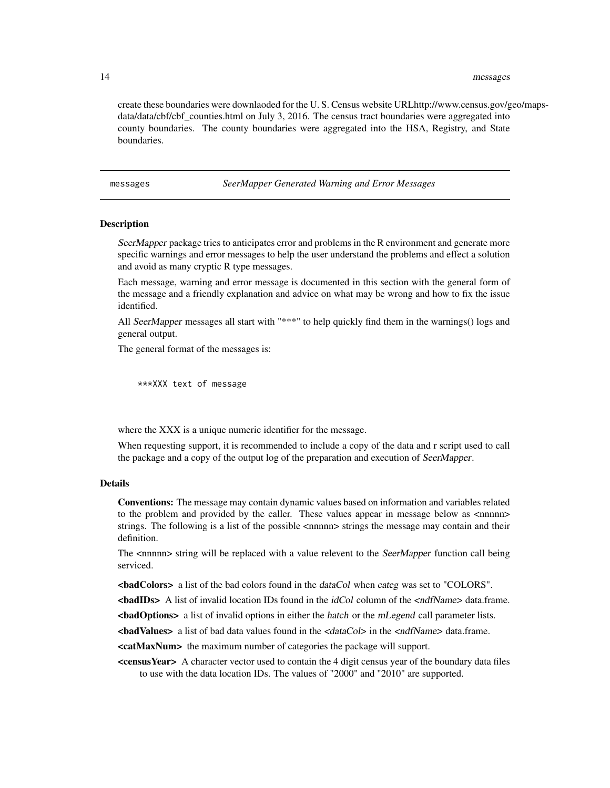<span id="page-13-0"></span>create these boundaries were downlaoded for the U. S. Census website URLhttp://www.census.gov/geo/mapsdata/data/cbf/cbf counties.html on July 3, 2016. The census tract boundaries were aggregated into county boundaries. The county boundaries were aggregated into the HSA, Registry, and State boundaries.

messages *SeerMapper Generated Warning and Error Messages*

#### Description

SeerMapper package tries to anticipates error and problems in the R environment and generate more specific warnings and error messages to help the user understand the problems and effect a solution and avoid as many cryptic R type messages.

Each message, warning and error message is documented in this section with the general form of the message and a friendly explanation and advice on what may be wrong and how to fix the issue identified.

All SeerMapper messages all start with "\*\*\*" to help quickly find them in the warnings() logs and general output.

The general format of the messages is:

\*\*\*XXX text of message

where the XXX is a unique numeric identifier for the message.

When requesting support, it is recommended to include a copy of the data and r script used to call the package and a copy of the output log of the preparation and execution of SeerMapper.

#### Details

Conventions: The message may contain dynamic values based on information and variables related to the problem and provided by the caller. These values appear in message below as <nnnnn> strings. The following is a list of the possible <nnnnn> strings the message may contain and their definition.

The <nnnnn> string will be replaced with a value relevent to the SeerMapper function call being serviced.

<badColors> a list of the bad colors found in the dataCol when categ was set to "COLORS".

 $\blacktriangleleft$  badIDs> A list of invalid location IDs found in the *idCol* column of the  $\blacktriangleleft$ *ndfName*> data.frame.

**<br/>badOptions>** a list of invalid options in either the hatch or the mLegend call parameter lists.

 $\epsilon$ **badValues>** a list of bad data values found in the  $\epsilon$ *dataCol>* in the  $\epsilon$ *ndfName>* data.frame.

<catMaxNum> the maximum number of categories the package will support.

<censusYear> A character vector used to contain the 4 digit census year of the boundary data files to use with the data location IDs. The values of "2000" and "2010" are supported.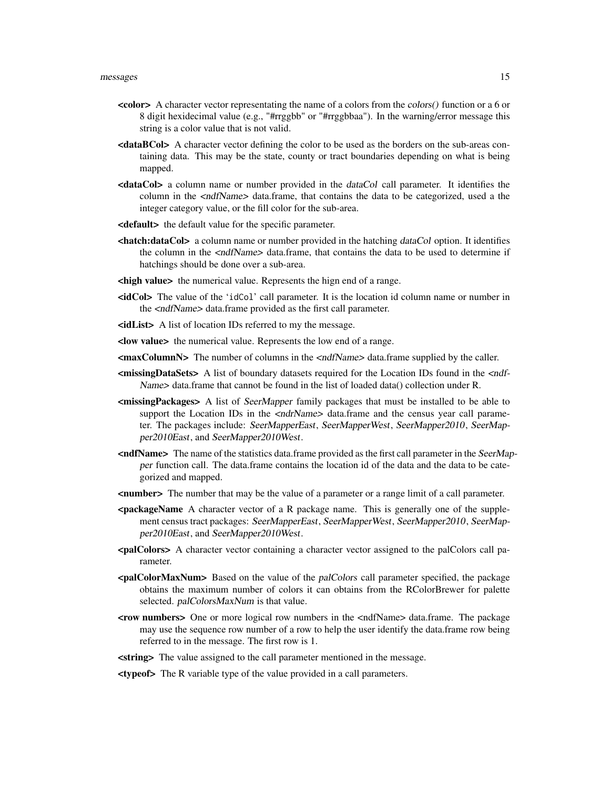- <color> A character vector representating the name of a colors from the colors() function or a 6 or 8 digit hexidecimal value (e.g., "#rrggbb" or "#rrggbbaa"). In the warning/error message this string is a color value that is not valid.
- <dataBCol> A character vector defining the color to be used as the borders on the sub-areas containing data. This may be the state, county or tract boundaries depending on what is being mapped.
- <dataCol> a column name or number provided in the dataCol call parameter. It identifies the column in the <ndfName> data.frame, that contains the data to be categorized, used a the integer category value, or the fill color for the sub-area.
- <default> the default value for the specific parameter.
- **<hatch:dataCol>** a column name or number provided in the hatching dataCol option. It identifies the column in the <ndfName> data.frame, that contains the data to be used to determine if hatchings should be done over a sub-area.
- **<high value>** the numerical value. Represents the hign end of a range.
- $\langle \text{idCol}\rangle$  The value of the 'idCol' call parameter. It is the location id column name or number in the <ndfName> data.frame provided as the first call parameter.
- <idList> A list of location IDs referred to my the message.
- <low value> the numerical value. Represents the low end of a range.
- $\langle$  maxColumnN> The number of columns in the  $\langle \text{ndfName} \rangle$  data.frame supplied by the caller.
- <missingDataSets> A list of boundary datasets required for the Location IDs found in the <ndf-Name> data.frame that cannot be found in the list of loaded data() collection under R.
- <missingPackages> A list of SeerMapper family packages that must be installed to be able to support the Location IDs in the  $\langle \text{ndrName} \rangle$  data.frame and the census year call parameter. The packages include: SeerMapperEast, SeerMapperWest, SeerMapper2010, SeerMapper2010East, and SeerMapper2010West.
- <ndfName> The name of the statistics data.frame provided as the first call parameter in the SeerMapper function call. The data.frame contains the location id of the data and the data to be categorized and mapped.
- <number> The number that may be the value of a parameter or a range limit of a call parameter.
- <packageName A character vector of a R package name. This is generally one of the supplement census tract packages: SeerMapperEast, SeerMapperWest, SeerMapper2010, SeerMapper2010East, and SeerMapper2010West.
- <palColors> A character vector containing a character vector assigned to the palColors call parameter.
- **<palColorMaxNum>** Based on the value of the *palColors* call parameter specified, the package obtains the maximum number of colors it can obtains from the RColorBrewer for palette selected. palColorsMaxNum is that value.
- <row numbers> One or more logical row numbers in the <ndfName> data.frame. The package may use the sequence row number of a row to help the user identify the data.frame row being referred to in the message. The first row is 1.
- <string> The value assigned to the call parameter mentioned in the message.
- <typeof> The R variable type of the value provided in a call parameters.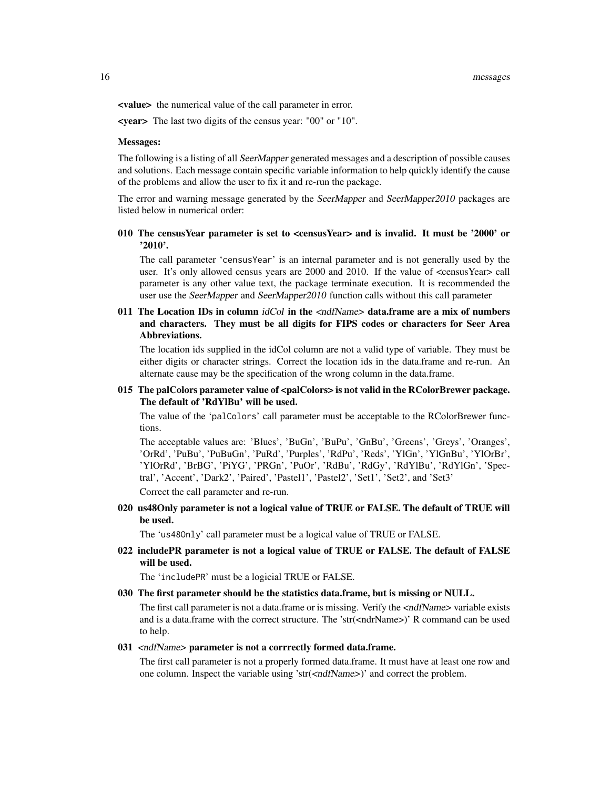<value> the numerical value of the call parameter in error.

<year> The last two digits of the census year: "00" or "10".

#### Messages:

The following is a listing of all SeerMapper generated messages and a description of possible causes and solutions. Each message contain specific variable information to help quickly identify the cause of the problems and allow the user to fix it and re-run the package.

The error and warning message generated by the SeerMapper and SeerMapper2010 packages are listed below in numerical order:

# 010 The censusYear parameter is set to <censusYear> and is invalid. It must be '2000' or '2010'.

The call parameter 'censusYear' is an internal parameter and is not generally used by the user. It's only allowed census years are 2000 and 2010. If the value of <censusYear> call parameter is any other value text, the package terminate execution. It is recommended the user use the SeerMapper and SeerMapper2010 function calls without this call parameter

011 The Location IDs in column  $idCol$  in the  $\ltq ndfName$  data.frame are a mix of numbers and characters. They must be all digits for FIPS codes or characters for Seer Area Abbreviations.

The location ids supplied in the idCol column are not a valid type of variable. They must be either digits or character strings. Correct the location ids in the data.frame and re-run. An alternate cause may be the specification of the wrong column in the data.frame.

015 The palColors parameter value of <palColors> is not valid in the RColorBrewer package. The default of 'RdYlBu' will be used.

The value of the 'palColors' call parameter must be acceptable to the RColorBrewer functions.

The acceptable values are: 'Blues', 'BuGn', 'BuPu', 'GnBu', 'Greens', 'Greys', 'Oranges', 'OrRd', 'PuBu', 'PuBuGn', 'PuRd', 'Purples', 'RdPu', 'Reds', 'YlGn', 'YlGnBu', 'YlOrBr', 'YlOrRd', 'BrBG', 'PiYG', 'PRGn', 'PuOr', 'RdBu', 'RdGy', 'RdYlBu', 'RdYlGn', 'Spectral', 'Accent', 'Dark2', 'Paired', 'Pastel1', 'Pastel2', 'Set1', 'Set2', and 'Set3'

Correct the call parameter and re-run.

020 us48Only parameter is not a logical value of TRUE or FALSE. The default of TRUE will be used.

The 'us48Only' call parameter must be a logical value of TRUE or FALSE.

022 includePR parameter is not a logical value of TRUE or FALSE. The default of FALSE will be used.

The 'includePR' must be a logicial TRUE or FALSE.

030 The first parameter should be the statistics data.frame, but is missing or NULL.

The first call parameter is not a data.frame or is missing. Verify the <ndfName> variable exists and is a data.frame with the correct structure. The 'str(<ndrName>)' R command can be used to help.

# 031 <ndfName> parameter is not a corrrectly formed data.frame.

The first call parameter is not a properly formed data.frame. It must have at least one row and one column. Inspect the variable using 'str(<ndfName>)' and correct the problem.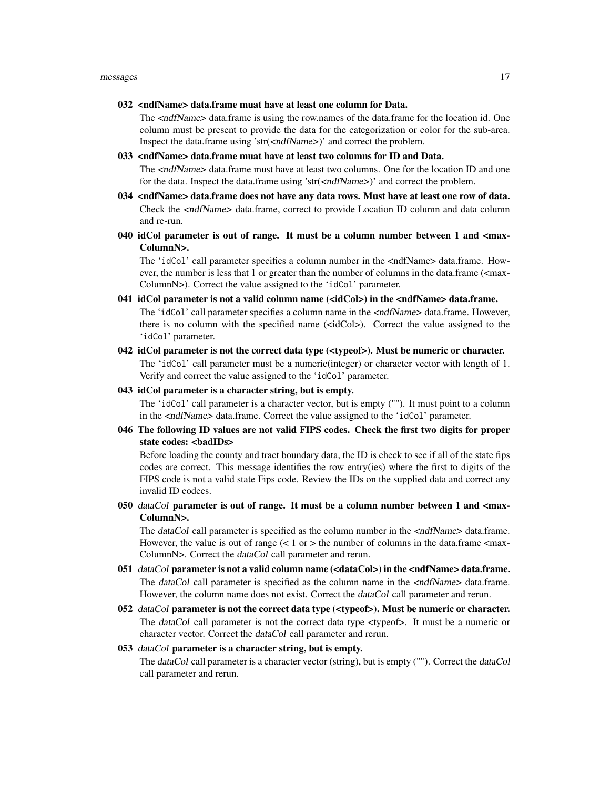#### 032 <ndfName> data.frame muat have at least one column for Data.

The <ndfName> data.frame is using the row.names of the data.frame for the location id. One column must be present to provide the data for the categorization or color for the sub-area. Inspect the data.frame using 'str(<ndfName>)' and correct the problem.

#### 033 <ndfName> data.frame muat have at least two columns for ID and Data.

The <ndfName> data.frame must have at least two columns. One for the location ID and one for the data. Inspect the data.frame using 'str(<ndfName>)' and correct the problem.

- 034 <ndfName> data.frame does not have any data rows. Must have at least one row of data. Check the <ndfName> data.frame, correct to provide Location ID column and data column and re-run.
- 040 idCol parameter is out of range. It must be a column number between 1 and <max-ColumnN>.

The 'idCol' call parameter specifies a column number in the <ndfName> data.frame. However, the number is less that 1 or greater than the number of columns in the data.frame (<max-ColumnN>). Correct the value assigned to the 'idCol' parameter.

- 041 idCol parameter is not a valid column name  $(\text{sidCols})$  in the  $\text{andfName}$  data.frame. The 'idCol' call parameter specifies a column name in the <ndfName> data.frame. However, there is no column with the specified name (<idCol>). Correct the value assigned to the 'idCol' parameter.
- 042 idCol parameter is not the correct data type (<typeof>). Must be numeric or character. The 'idCol' call parameter must be a numeric(integer) or character vector with length of 1. Verify and correct the value assigned to the 'idCol' parameter.

#### 043 idCol parameter is a character string, but is empty.

The 'idCol' call parameter is a character vector, but is empty (""). It must point to a column in the <ndfName> data.frame. Correct the value assigned to the 'idCol' parameter.

046 The following ID values are not valid FIPS codes. Check the first two digits for proper state codes: <badIDs>

Before loading the county and tract boundary data, the ID is check to see if all of the state fips codes are correct. This message identifies the row entry(ies) where the first to digits of the FIPS code is not a valid state Fips code. Review the IDs on the supplied data and correct any invalid ID codees.

050 dataCol parameter is out of range. It must be a column number between 1 and  $\langle$ max-ColumnN>.

The dataCol call parameter is specified as the column number in the <ndfName> data.frame. However, the value is out of range  $\left($  < 1 or > the number of columns in the data.frame <max-ColumnN>. Correct the dataCol call parameter and rerun.

- 051 dataCol parameter is not a valid column name (<dataCol>) in the <ndfName> data.frame. The dataCol call parameter is specified as the column name in the  $\langle \text{ndfName} \rangle$  data.frame. However, the column name does not exist. Correct the dataCol call parameter and rerun.
- 052 dataCol parameter is not the correct data type  $(\langle \langle \rangle \rangle)$ . Must be numeric or character. The dataCol call parameter is not the correct data type <typeof>. It must be a numeric or character vector. Correct the dataCol call parameter and rerun.

# 053 dataCol parameter is a character string, but is empty.

The dataCol call parameter is a character vector (string), but is empty (""). Correct the dataCol call parameter and rerun.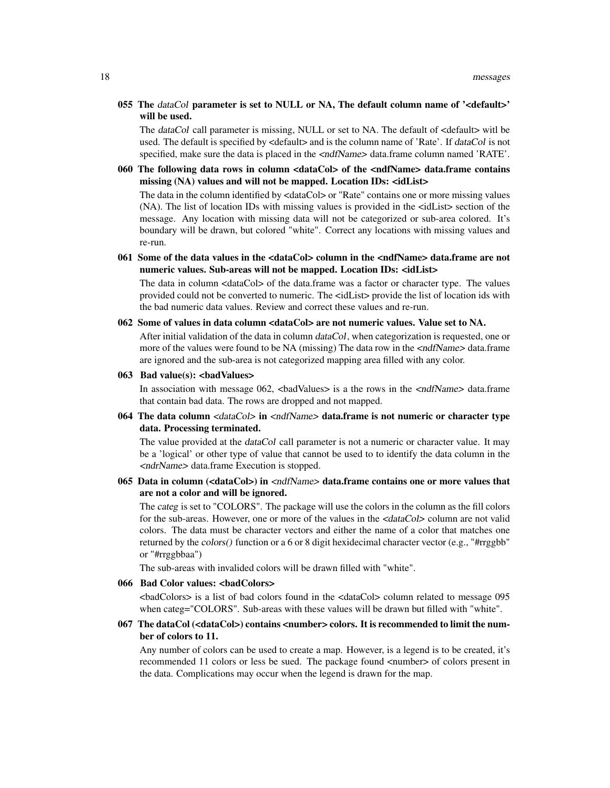055 The dataCol parameter is set to NULL or NA, The default column name of '<default>' will be used.

The dataCol call parameter is missing, NULL or set to NA. The default of <default> witl be used. The default is specified by <default> and is the column name of 'Rate'. If dataCol is not specified, make sure the data is placed in the  $\langle \text{ndfName} \rangle$  data.frame column named 'RATE'.

060 The following data rows in column <dataCol> of the <ndfName> data.frame contains missing (NA) values and will not be mapped. Location IDs: <idList>

The data in the column identified by <dataCol> or "Rate" contains one or more missing values (NA). The list of location IDs with missing values is provided in the <idList> section of the message. Any location with missing data will not be categorized or sub-area colored. It's boundary will be drawn, but colored "white". Correct any locations with missing values and re-run.

061 Some of the data values in the <dataCol> column in the <ndfName> data.frame are not numeric values. Sub-areas will not be mapped. Location IDs: <idList>

The data in column <dataCol> of the data.frame was a factor or character type. The values provided could not be converted to numeric. The <idList> provide the list of location ids with the bad numeric data values. Review and correct these values and re-run.

062 Some of values in data column <dataCol> are not numeric values. Value set to NA.

After initial validation of the data in column dataCol, when categorization is requested, one or more of the values were found to be NA (missing) The data row in the  $\langle \text{ndfName}\rangle$  data.frame are ignored and the sub-area is not categorized mapping area filled with any color.

 $063$  Bad value(s):  $\langle$ badValues>

In association with message  $062$ ,  $\lt$ badValues $>$  is a the rows in the  $\lt$ ndfName $>$  data.frame that contain bad data. The rows are dropped and not mapped.

064 The data column  $\langle dataCol \rangle$  in  $\langle \langle ndf \rangle$  has data.frame is not numeric or character type data. Processing terminated.

The value provided at the *dataCol* call parameter is not a numeric or character value. It may be a 'logical' or other type of value that cannot be used to to identify the data column in the <ndrName> data.frame Execution is stopped.

065 Data in column (<dataCol>) in <ndfName> data.frame contains one or more values that are not a color and will be ignored.

The categ is set to "COLORS". The package will use the colors in the column as the fill colors for the sub-areas. However, one or more of the values in the  $\langle \text{dataCol}\rangle$  column are not valid colors. The data must be character vectors and either the name of a color that matches one returned by the colors() function or a 6 or 8 digit hexidecimal character vector (e.g., "#rrggbb" or "#rrggbbaa")

The sub-areas with invalided colors will be drawn filled with "white".

066 Bad Color values: <br/>badColors>

<badColors> is a list of bad colors found in the <dataCol> column related to message 095 when categ="COLORS". Sub-areas with these values will be drawn but filled with "white".

# 067 The dataCol (<dataCol>) contains <number> colors. It is recommended to limit the number of colors to 11.

Any number of colors can be used to create a map. However, is a legend is to be created, it's recommended 11 colors or less be sued. The package found  $\langle$  number  $\rangle$  of colors present in the data. Complications may occur when the legend is drawn for the map.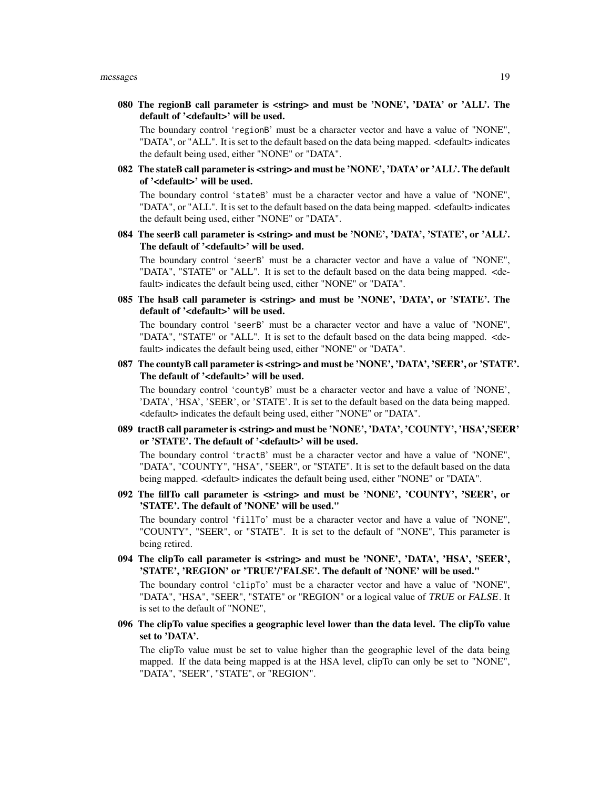080 The regionB call parameter is <string> and must be 'NONE', 'DATA' or 'ALL'. The default of '<default>' will be used.

The boundary control 'regionB' must be a character vector and have a value of "NONE", "DATA", or "ALL". It is set to the default based on the data being mapped. <default> indicates the default being used, either "NONE" or "DATA".

082 The stateB call parameter is <string> and must be 'NONE', 'DATA' or 'ALL'. The default of '<default>' will be used.

The boundary control 'stateB' must be a character vector and have a value of "NONE", "DATA", or "ALL". It is set to the default based on the data being mapped. <default> indicates the default being used, either "NONE" or "DATA".

084 The seerB call parameter is <string> and must be 'NONE', 'DATA', 'STATE', or 'ALL'. The default of '<default>' will be used.

The boundary control 'seerB' must be a character vector and have a value of "NONE", "DATA", "STATE" or "ALL". It is set to the default based on the data being mapped. <default> indicates the default being used, either "NONE" or "DATA".

085 The hsaB call parameter is <string> and must be 'NONE', 'DATA', or 'STATE'. The default of '<default>' will be used.

The boundary control 'seerB' must be a character vector and have a value of "NONE", "DATA", "STATE" or "ALL". It is set to the default based on the data being mapped. <default> indicates the default being used, either "NONE" or "DATA".

087 The countyB call parameter is <string> and must be 'NONE', 'DATA', 'SEER', or 'STATE'. The default of '<default>' will be used.

The boundary control 'countyB' must be a character vector and have a value of 'NONE', 'DATA', 'HSA', 'SEER', or 'STATE'. It is set to the default based on the data being mapped. <default> indicates the default being used, either "NONE" or "DATA".

089 tractB call parameter is <string> and must be 'NONE', 'DATA', 'COUNTY', 'HSA','SEER' or 'STATE'. The default of '<default>' will be used.

The boundary control 'tractB' must be a character vector and have a value of "NONE", "DATA", "COUNTY", "HSA", "SEER", or "STATE". It is set to the default based on the data being mapped. <default> indicates the default being used, either "NONE" or "DATA".

092 The fillTo call parameter is <string> and must be 'NONE', 'COUNTY', 'SEER', or 'STATE'. The default of 'NONE' will be used."

The boundary control 'fillTo' must be a character vector and have a value of "NONE", "COUNTY", "SEER", or "STATE". It is set to the default of "NONE", This parameter is being retired.

094 The clipTo call parameter is <string> and must be 'NONE', 'DATA', 'HSA', 'SEER', 'STATE', 'REGION' or 'TRUE'/'FALSE'. The default of 'NONE' will be used."

The boundary control 'clipTo' must be a character vector and have a value of "NONE", "DATA", "HSA", "SEER", "STATE" or "REGION" or a logical value of TRUE or FALSE. It is set to the default of "NONE",

096 The clipTo value specifies a geographic level lower than the data level. The clipTo value set to 'DATA'.

The clipTo value must be set to value higher than the geographic level of the data being mapped. If the data being mapped is at the HSA level, clipTo can only be set to "NONE", "DATA", "SEER", "STATE", or "REGION".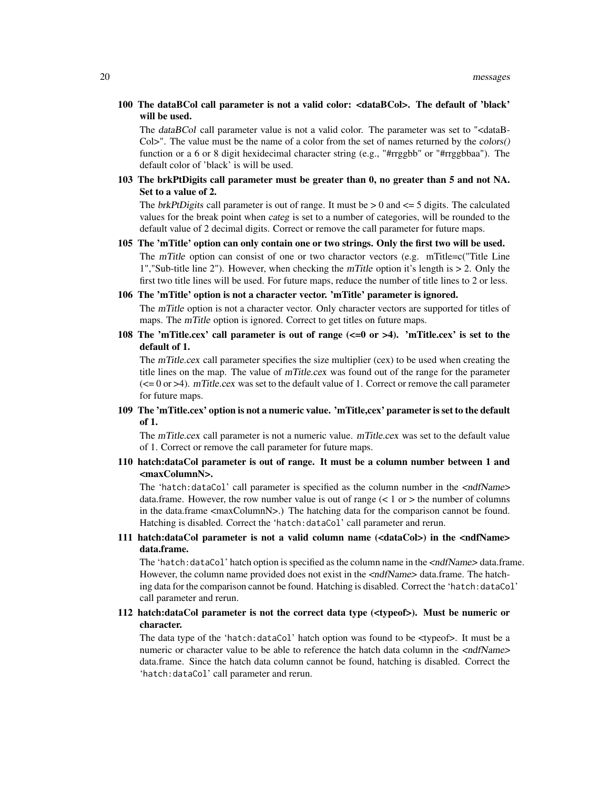100 The dataBCol call parameter is not a valid color: <dataBCol>. The default of 'black' will be used.

The dataBCol call parameter value is not a valid color. The parameter was set to "<dataB-Col>". The value must be the name of a color from the set of names returned by the colors() function or a 6 or 8 digit hexidecimal character string (e.g., "#rrggbb" or "#rrggbbaa"). The default color of 'black' is will be used.

103 The brkPtDigits call parameter must be greater than 0, no greater than 5 and not NA. Set to a value of 2.

The brkPtDigits call parameter is out of range. It must be  $> 0$  and  $\leq 5$  digits. The calculated values for the break point when categ is set to a number of categories, will be rounded to the default value of 2 decimal digits. Correct or remove the call parameter for future maps.

- 105 The 'mTitle' option can only contain one or two strings. Only the first two will be used. The mTitle option can consist of one or two charactor vectors (e.g. mTitle= $c$ ("Title Line 1","Sub-title line 2"). However, when checking the mTitle option it's length is > 2. Only the first two title lines will be used. For future maps, reduce the number of title lines to 2 or less.
- 106 The 'mTitle' option is not a character vector. 'mTitle' parameter is ignored.

The mTitle option is not a character vector. Only character vectors are supported for titles of maps. The *mTitle* option is ignored. Correct to get titles on future maps.

108 The 'mTitle.cex' call parameter is out of range (<=0 or >4). 'mTitle.cex' is set to the default of 1.

The mTitle.cex call parameter specifies the size multiplier (cex) to be used when creating the title lines on the map. The value of mTitle.cex was found out of the range for the parameter  $\approx$  ( $\approx$  = 0 or  $>$ 4). mTitle.cex was set to the default value of 1. Correct or remove the call parameter for future maps.

109 The 'mTitle.cex' option is not a numeric value. 'mTitle,cex' parameter is set to the default of 1.

The mTitle.cex call parameter is not a numeric value. mTitle.cex was set to the default value of 1. Correct or remove the call parameter for future maps.

110 hatch:dataCol parameter is out of range. It must be a column number between 1 and <maxColumnN>.

The 'hatch:dataCol' call parameter is specified as the column number in the <ndfName> data.frame. However, the row number value is out of range  $(< 1 \text{ or }>)$  the number of columns in the data.frame <maxColumnN>.) The hatching data for the comparison cannot be found. Hatching is disabled. Correct the 'hatch:dataCol' call parameter and rerun.

111 hatch:dataCol parameter is not a valid column name (<dataCol>) in the <ndfName> data.frame.

The 'hatch:dataCol' hatch option is specified as the column name in the  $\langle \text{ndfName} \rangle$  data.frame. However, the column name provided does not exist in the <ndfName> data.frame. The hatching data for the comparison cannot be found. Hatching is disabled. Correct the 'hatch:dataCol' call parameter and rerun.

# 112 hatch:dataCol parameter is not the correct data type (<typeof>). Must be numeric or character.

The data type of the 'hatch:dataCol' hatch option was found to be <typeof>. It must be a numeric or character value to be able to reference the hatch data column in the  $\langle \text{ndfName}\rangle$ data.frame. Since the hatch data column cannot be found, hatching is disabled. Correct the 'hatch:dataCol' call parameter and rerun.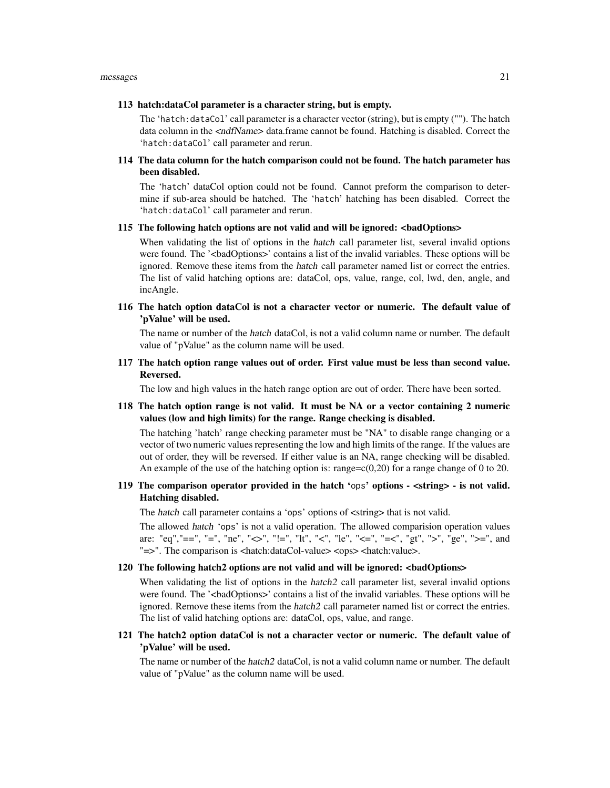#### 113 hatch:dataCol parameter is a character string, but is empty.

The 'hatch:dataCol' call parameter is a character vector (string), but is empty (""). The hatch data column in the <ndfName> data.frame cannot be found. Hatching is disabled. Correct the 'hatch:dataCol' call parameter and rerun.

114 The data column for the hatch comparison could not be found. The hatch parameter has been disabled.

The 'hatch' dataCol option could not be found. Cannot preform the comparison to determine if sub-area should be hatched. The 'hatch' hatching has been disabled. Correct the 'hatch:dataCol' call parameter and rerun.

#### 115 The following hatch options are not valid and will be ignored: <br/>badOptions>

When validating the list of options in the hatch call parameter list, several invalid options were found. The '<br/>badOptions>' contains a list of the invalid variables. These options will be ignored. Remove these items from the hatch call parameter named list or correct the entries. The list of valid hatching options are: dataCol, ops, value, range, col, lwd, den, angle, and incAngle.

116 The hatch option dataCol is not a character vector or numeric. The default value of 'pValue' will be used.

The name or number of the hatch dataCol, is not a valid column name or number. The default value of "pValue" as the column name will be used.

117 The hatch option range values out of order. First value must be less than second value. Reversed.

The low and high values in the hatch range option are out of order. There have been sorted.

118 The hatch option range is not valid. It must be NA or a vector containing 2 numeric values (low and high limits) for the range. Range checking is disabled.

The hatching 'hatch' range checking parameter must be "NA" to disable range changing or a vector of two numeric values representing the low and high limits of the range. If the values are out of order, they will be reversed. If either value is an NA, range checking will be disabled. An example of the use of the hatching option is: range= $c(0,20)$  for a range change of 0 to 20.

# 119 The comparison operator provided in the hatch 'ops' options - <string> - is not valid. Hatching disabled.

The hatch call parameter contains a 'ops' options of <string> that is not valid.

The allowed hatch 'ops' is not a valid operation. The allowed comparision operation values are: "eq","==", "=", "ne", "<>", "!=", "lt", "<", "le", "<=", "=<", "gt", ">", "ge", ">=", and "=>". The comparison is <hatch:dataCol-value> <ops> <hatch:value>.

# 120 The following hatch2 options are not valid and will be ignored: <badOptions>

When validating the list of options in the *hatch2* call parameter list, several invalid options were found. The '<br/>badOptions>' contains a list of the invalid variables. These options will be ignored. Remove these items from the hatch2 call parameter named list or correct the entries. The list of valid hatching options are: dataCol, ops, value, and range.

# 121 The hatch2 option dataCol is not a character vector or numeric. The default value of 'pValue' will be used.

The name or number of the *hatch2* dataCol, is not a valid column name or number. The default value of "pValue" as the column name will be used.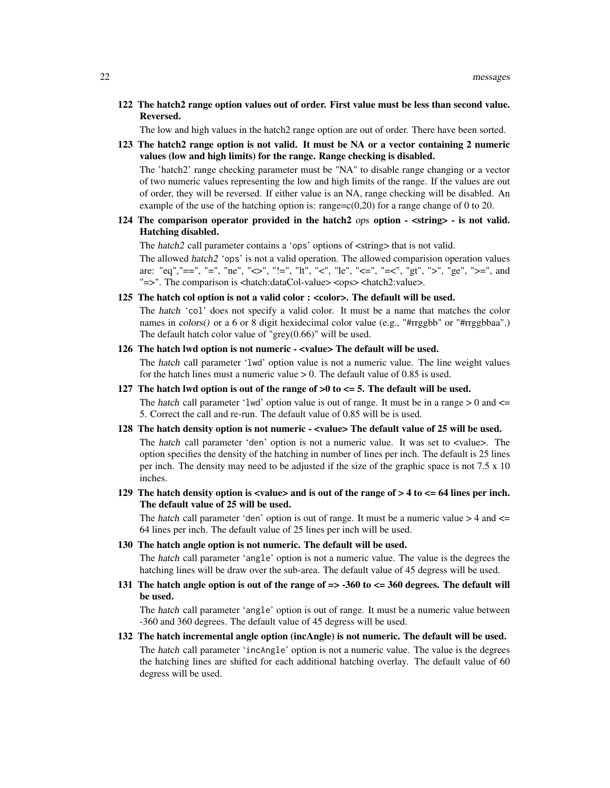122 The hatch2 range option values out of order. First value must be less than second value. Reversed.

The low and high values in the hatch2 range option are out of order. There have been sorted.

123 The hatch2 range option is not valid. It must be NA or a vector containing 2 numeric values (low and high limits) for the range. Range checking is disabled.

The 'hatch2' range checking parameter must be "NA" to disable range changing or a vector of two numeric values representing the low and high limits of the range. If the values are out of order, they will be reversed. If either value is an NA, range checking will be disabled. An example of the use of the hatching option is: range= $c(0,20)$  for a range change of 0 to 20.

124 The comparison operator provided in the hatch  $2 \cos \theta$  option -  $\langle \sin \theta \rangle$  - is not valid. Hatching disabled.

The hatch2 call parameter contains a 'ops' options of <string> that is not valid.

The allowed hatch2 'ops' is not a valid operation. The allowed comparision operation values are: "eq","==", "=", "ne", "<>", "!=", "lt", "<", "le", "<=", "=<", "gt", ">", "ge", ">=", and "=>". The comparison is <hatch:dataCol-value> <ops> <hatch2:value>.

125 The hatch col option is not a valid color : <color>. The default will be used.

The hatch 'col' does not specify a valid color. It must be a name that matches the color names in colors() or a 6 or 8 digit hexidecimal color value (e.g., "#rrggbb" or "#rrggbbaa".) The default hatch color value of "grey(0.66)" will be used.

126 The hatch lwd option is not numeric - <value> The default will be used.

The hatch call parameter 'lwd' option value is not a numeric value. The line weight values for the hatch lines must a numeric value  $> 0$ . The default value of 0.85 is used.

127 The hatch lwd option is out of the range of  $>0$  to  $\lt = 5$ . The default will be used.

The hatch call parameter 'lwd' option value is out of range. It must be in a range  $> 0$  and  $\le$ 5. Correct the call and re-run. The default value of 0.85 will be is used.

128 The hatch density option is not numeric - <value> The default value of 25 will be used. The hatch call parameter 'den' option is not a numeric value. It was set to <value>. The

option specifies the density of the hatching in number of lines per inch. The default is 25 lines per inch. The density may need to be adjusted if the size of the graphic space is not 7.5 x 10 inches.

129 The hatch density option is  $\langle$ value $\rangle$  and is out of the range of  $> 4$  to  $\langle$  = 64 lines per inch. The default value of 25 will be used.

The hatch call parameter 'den' option is out of range. It must be a numeric value  $>$  4 and  $\le$ 64 lines per inch. The default value of 25 lines per inch will be used.

130 The hatch angle option is not numeric. The default will be used.

The hatch call parameter 'angle' option is not a numeric value. The value is the degrees the hatching lines will be draw over the sub-area. The default value of 45 degress will be used.

131 The hatch angle option is out of the range of  $\approx$  -360 to  $\lt$  = 360 degrees. The default will be used.

The hatch call parameter 'angle' option is out of range. It must be a numeric value between -360 and 360 degrees. The default value of 45 degress will be used.

132 The hatch incremental angle option (incAngle) is not numeric. The default will be used. The hatch call parameter 'incAngle' option is not a numeric value. The value is the degrees the hatching lines are shifted for each additional hatching overlay. The default value of 60 degress will be used.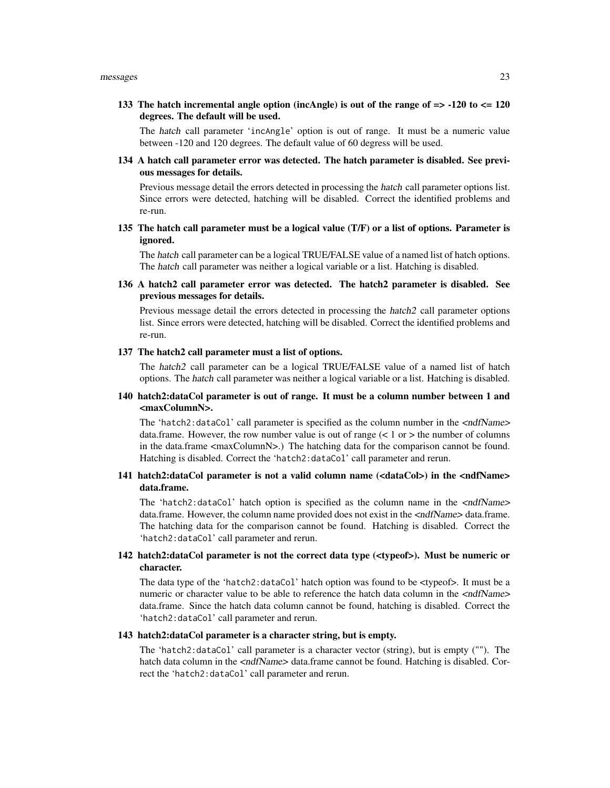133 The hatch incremental angle option (incAngle) is out of the range of  $\approx$  -120 to  $\lt$  = 120 degrees. The default will be used.

The hatch call parameter 'incAngle' option is out of range. It must be a numeric value between -120 and 120 degrees. The default value of 60 degress will be used.

134 A hatch call parameter error was detected. The hatch parameter is disabled. See previous messages for details.

Previous message detail the errors detected in processing the hatch call parameter options list. Since errors were detected, hatching will be disabled. Correct the identified problems and re-run.

135 The hatch call parameter must be a logical value (T/F) or a list of options. Parameter is ignored.

The hatch call parameter can be a logical TRUE/FALSE value of a named list of hatch options. The hatch call parameter was neither a logical variable or a list. Hatching is disabled.

136 A hatch2 call parameter error was detected. The hatch2 parameter is disabled. See previous messages for details.

Previous message detail the errors detected in processing the hatch2 call parameter options list. Since errors were detected, hatching will be disabled. Correct the identified problems and re-run.

# 137 The hatch2 call parameter must a list of options.

The hatch2 call parameter can be a logical TRUE/FALSE value of a named list of hatch options. The hatch call parameter was neither a logical variable or a list. Hatching is disabled.

# 140 hatch2:dataCol parameter is out of range. It must be a column number between 1 and <maxColumnN>.

The 'hatch2:dataCol' call parameter is specified as the column number in the  $\langle \text{ndfName}\rangle$ data.frame. However, the row number value is out of range  $(< 1 \text{ or }>)$  the number of columns in the data.frame <maxColumnN>.) The hatching data for the comparison cannot be found. Hatching is disabled. Correct the 'hatch2:dataCol' call parameter and rerun.

# 141 hatch2:dataCol parameter is not a valid column name (<dataCol>) in the <ndfName> data.frame.

The 'hatch2:dataCol' hatch option is specified as the column name in the <ndfName> data.frame. However, the column name provided does not exist in the  $\langle \text{ndfName}\rangle$  data.frame. The hatching data for the comparison cannot be found. Hatching is disabled. Correct the 'hatch2:dataCol' call parameter and rerun.

# 142 hatch2:dataCol parameter is not the correct data type (<typeof>). Must be numeric or character.

The data type of the 'hatch2:dataCol' hatch option was found to be <typeof>. It must be a numeric or character value to be able to reference the hatch data column in the  $\langle \text{ndfName}\rangle$ data.frame. Since the hatch data column cannot be found, hatching is disabled. Correct the 'hatch2:dataCol' call parameter and rerun.

# 143 hatch2:dataCol parameter is a character string, but is empty.

The 'hatch2:dataCol' call parameter is a character vector (string), but is empty (""). The hatch data column in the  $\langle \text{ndfName}\rangle$  data.frame cannot be found. Hatching is disabled. Correct the 'hatch2:dataCol' call parameter and rerun.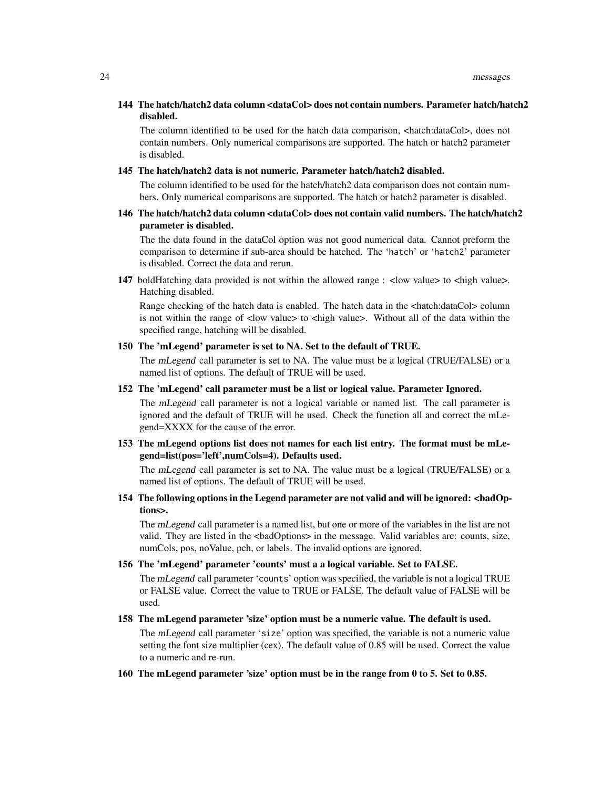# 144 The hatch/hatch2 data column <dataCol> does not contain numbers. Parameter hatch/hatch2 disabled.

The column identified to be used for the hatch data comparison, <hatch:dataCol>, does not contain numbers. Only numerical comparisons are supported. The hatch or hatch2 parameter is disabled.

#### 145 The hatch/hatch2 data is not numeric. Parameter hatch/hatch2 disabled.

The column identified to be used for the hatch/hatch2 data comparison does not contain numbers. Only numerical comparisons are supported. The hatch or hatch2 parameter is disabled.

# 146 The hatch/hatch2 data column <dataCol> does not contain valid numbers. The hatch/hatch2 parameter is disabled.

The the data found in the dataCol option was not good numerical data. Cannot preform the comparison to determine if sub-area should be hatched. The 'hatch' or 'hatch2' parameter is disabled. Correct the data and rerun.

147 boldHatching data provided is not within the allowed range : <low value> to <high value>. Hatching disabled.

Range checking of the hatch data is enabled. The hatch data in the <hatch:dataCol> column is not within the range of  $\langle$  low value $\rangle$  to  $\langle$  high value $\rangle$ . Without all of the data within the specified range, hatching will be disabled.

# 150 The 'mLegend' parameter is set to NA. Set to the default of TRUE.

The mLegend call parameter is set to NA. The value must be a logical (TRUE/FALSE) or a named list of options. The default of TRUE will be used.

# 152 The 'mLegend' call parameter must be a list or logical value. Parameter Ignored.

The mLegend call parameter is not a logical variable or named list. The call parameter is ignored and the default of TRUE will be used. Check the function all and correct the mLegend=XXXX for the cause of the error.

# 153 The mLegend options list does not names for each list entry. The format must be mLegend=list(pos='left',numCols=4). Defaults used.

The mLegend call parameter is set to NA. The value must be a logical (TRUE/FALSE) or a named list of options. The default of TRUE will be used.

# 154 The following options in the Legend parameter are not valid and will be ignored: <br/>badOptions>.

The mLegend call parameter is a named list, but one or more of the variables in the list are not valid. They are listed in the <badOptions> in the message. Valid variables are: counts, size, numCols, pos, noValue, pch, or labels. The invalid options are ignored.

#### 156 The 'mLegend' parameter 'counts' must a a logical variable. Set to FALSE.

The mLegend call parameter 'counts' option was specified, the variable is not a logical TRUE or FALSE value. Correct the value to TRUE or FALSE. The default value of FALSE will be used.

# 158 The mLegend parameter 'size' option must be a numeric value. The default is used.

The mLegend call parameter 'size' option was specified, the variable is not a numeric value setting the font size multiplier (cex). The default value of 0.85 will be used. Correct the value to a numeric and re-run.

# 160 The mLegend parameter 'size' option must be in the range from 0 to 5. Set to 0.85.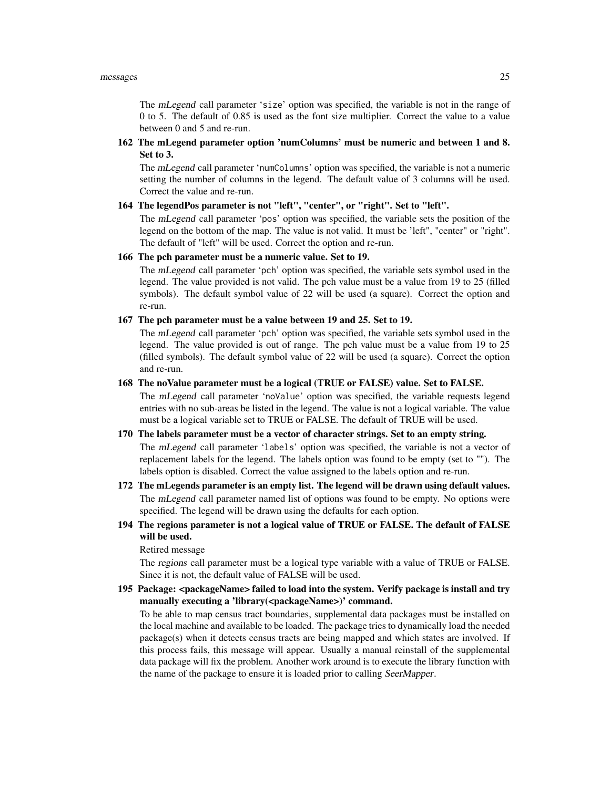The mLegend call parameter 'size' option was specified, the variable is not in the range of 0 to 5. The default of 0.85 is used as the font size multiplier. Correct the value to a value between 0 and 5 and re-run.

162 The mLegend parameter option 'numColumns' must be numeric and between 1 and 8. Set to 3.

The mLegend call parameter 'numColumns' option was specified, the variable is not a numeric setting the number of columns in the legend. The default value of 3 columns will be used. Correct the value and re-run.

#### 164 The legendPos parameter is not "left", "center", or "right". Set to "left".

The mLegend call parameter 'pos' option was specified, the variable sets the position of the legend on the bottom of the map. The value is not valid. It must be 'left", "center" or "right". The default of "left" will be used. Correct the option and re-run.

# 166 The pch parameter must be a numeric value. Set to 19.

The mLegend call parameter 'pch' option was specified, the variable sets symbol used in the legend. The value provided is not valid. The pch value must be a value from 19 to 25 (filled symbols). The default symbol value of 22 will be used (a square). Correct the option and re-run.

167 The pch parameter must be a value between 19 and 25. Set to 19.

The mLegend call parameter 'pch' option was specified, the variable sets symbol used in the legend. The value provided is out of range. The pch value must be a value from 19 to 25 (filled symbols). The default symbol value of 22 will be used (a square). Correct the option and re-run.

# 168 The noValue parameter must be a logical (TRUE or FALSE) value. Set to FALSE.

The mLegend call parameter 'noValue' option was specified, the variable requests legend entries with no sub-areas be listed in the legend. The value is not a logical variable. The value must be a logical variable set to TRUE or FALSE. The default of TRUE will be used.

# 170 The labels parameter must be a vector of character strings. Set to an empty string.

The mLegend call parameter 'labels' option was specified, the variable is not a vector of replacement labels for the legend. The labels option was found to be empty (set to ""). The labels option is disabled. Correct the value assigned to the labels option and re-run.

- 172 The mLegends parameter is an empty list. The legend will be drawn using default values. The mLegend call parameter named list of options was found to be empty. No options were specified. The legend will be drawn using the defaults for each option.
- 194 The regions parameter is not a logical value of TRUE or FALSE. The default of FALSE will be used.

Retired message

The regions call parameter must be a logical type variable with a value of TRUE or FALSE. Since it is not, the default value of FALSE will be used.

195 Package: <packageName> failed to load into the system. Verify package is install and try manually executing a 'library(<packageName>)' command.

To be able to map census tract boundaries, supplemental data packages must be installed on the local machine and available to be loaded. The package tries to dynamically load the needed package(s) when it detects census tracts are being mapped and which states are involved. If this process fails, this message will appear. Usually a manual reinstall of the supplemental data package will fix the problem. Another work around is to execute the library function with the name of the package to ensure it is loaded prior to calling SeerMapper.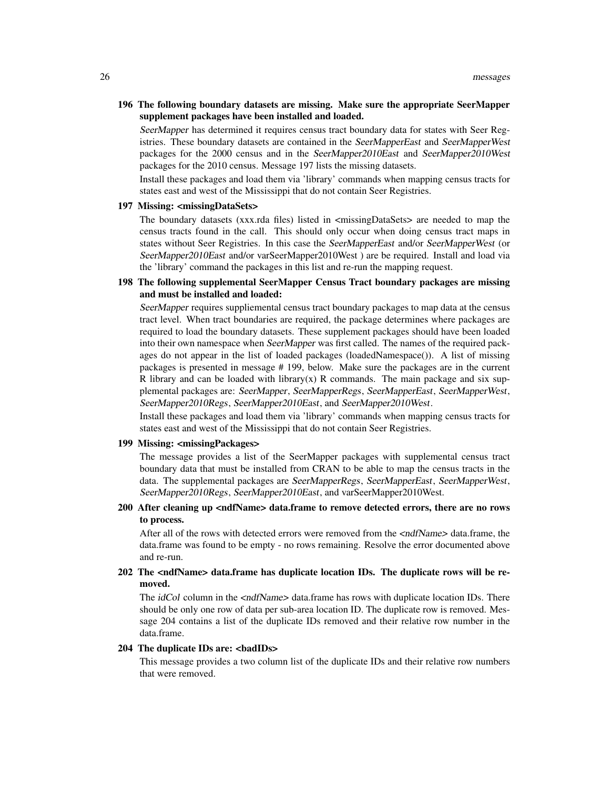# 196 The following boundary datasets are missing. Make sure the appropriate SeerMapper supplement packages have been installed and loaded.

SeerMapper has determined it requires census tract boundary data for states with Seer Registries. These boundary datasets are contained in the SeerMapperEast and SeerMapperWest packages for the 2000 census and in the SeerMapper2010East and SeerMapper2010West packages for the 2010 census. Message 197 lists the missing datasets.

Install these packages and load them via 'library' commands when mapping census tracts for states east and west of the Mississippi that do not contain Seer Registries.

#### 197 Missing: <missingDataSets>

The boundary datasets  $(xxx.rda$  files) listed in  $\langle\text{missingDataSets}\rangle$  are needed to map the census tracts found in the call. This should only occur when doing census tract maps in states without Seer Registries. In this case the SeerMapperEast and/or SeerMapperWest (or SeerMapper2010East and/or varSeerMapper2010West ) are be required. Install and load via the 'library' command the packages in this list and re-run the mapping request.

# 198 The following supplemental SeerMapper Census Tract boundary packages are missing and must be installed and loaded:

SeerMapper requires suppliemental census tract boundary packages to map data at the census tract level. When tract boundaries are required, the package determines where packages are required to load the boundary datasets. These supplement packages should have been loaded into their own namespace when SeerMapper was first called. The names of the required packages do not appear in the list of loaded packages (loadedNamespace()). A list of missing packages is presented in message # 199, below. Make sure the packages are in the current R library and can be loaded with library(x) R commands. The main package and six supplemental packages are: SeerMapper, SeerMapperRegs, SeerMapperEast, SeerMapperWest, SeerMapper2010Regs, SeerMapper2010East, and SeerMapper2010West.

Install these packages and load them via 'library' commands when mapping census tracts for states east and west of the Mississippi that do not contain Seer Registries.

#### 199 Missing: <missingPackages>

The message provides a list of the SeerMapper packages with supplemental census tract boundary data that must be installed from CRAN to be able to map the census tracts in the data. The supplemental packages are SeerMapperRegs, SeerMapperEast, SeerMapperWest, SeerMapper2010Regs, SeerMapper2010East, and varSeerMapper2010West.

# 200 After cleaning up <ndfName> data.frame to remove detected errors, there are no rows to process.

After all of the rows with detected errors were removed from the  $\leq$ ndfName> data.frame, the data.frame was found to be empty - no rows remaining. Resolve the error documented above and re-run.

# 202 The <ndfName> data.frame has duplicate location IDs. The duplicate rows will be removed.

The *idCol* column in the <ndfName> data.frame has rows with duplicate location IDs. There should be only one row of data per sub-area location ID. The duplicate row is removed. Message 204 contains a list of the duplicate IDs removed and their relative row number in the data.frame.

# 204 The duplicate IDs are: <badIDs>

This message provides a two column list of the duplicate IDs and their relative row numbers that were removed.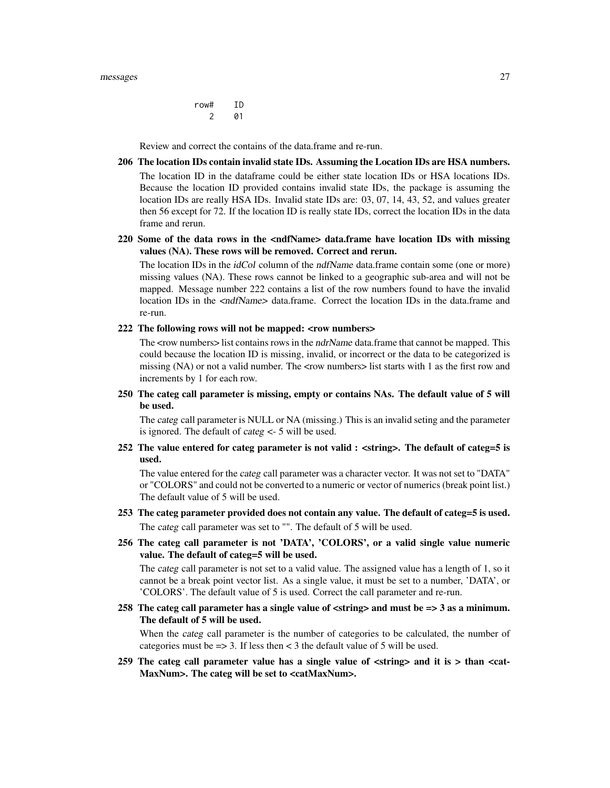#### messages 27

row# ID 2 01

Review and correct the contains of the data.frame and re-run.

206 The location IDs contain invalid state IDs. Assuming the Location IDs are HSA numbers. The location ID in the dataframe could be either state location IDs or HSA locations IDs. Because the location ID provided contains invalid state IDs, the package is assuming the location IDs are really HSA IDs. Invalid state IDs are: 03, 07, 14, 43, 52, and values greater then 56 except for 72. If the location ID is really state IDs, correct the location IDs in the data frame and rerun.

# 220 Some of the data rows in the <ndfName> data.frame have location IDs with missing values (NA). These rows will be removed. Correct and rerun.

The location IDs in the *idCol* column of the *ndfName* data.frame contain some (one or more) missing values (NA). These rows cannot be linked to a geographic sub-area and will not be mapped. Message number 222 contains a list of the row numbers found to have the invalid location IDs in the <ndfName> data.frame. Correct the location IDs in the data.frame and re-run.

```
222 The following rows will not be mapped: <row numbers>
```
The <row numbers> list contains rows in the *ndrName* data.frame that cannot be mapped. This could because the location ID is missing, invalid, or incorrect or the data to be categorized is missing (NA) or not a valid number. The <row numbers> list starts with 1 as the first row and increments by 1 for each row.

250 The categ call parameter is missing, empty or contains NAs. The default value of 5 will be used.

The categ call parameter is NULL or NA (missing.) This is an invalid seting and the parameter is ignored. The default of categ <- 5 will be used.

252 The value entered for categ parameter is not valid : <string>. The default of categ=5 is used.

The value entered for the categ call parameter was a character vector. It was not set to "DATA" or "COLORS" and could not be converted to a numeric or vector of numerics (break point list.) The default value of 5 will be used.

- 253 The categ parameter provided does not contain any value. The default of categ=5 is used. The categ call parameter was set to "". The default of 5 will be used.
- 256 The categ call parameter is not 'DATA', 'COLORS', or a valid single value numeric value. The default of categ=5 will be used.

The categ call parameter is not set to a valid value. The assigned value has a length of 1, so it cannot be a break point vector list. As a single value, it must be set to a number, 'DATA', or 'COLORS'. The default value of 5 is used. Correct the call parameter and re-run.

258 The categ call parameter has a single value of  $\langle \text{string} \rangle$  and must be  $\langle = \rangle$  3 as a minimum. The default of 5 will be used.

When the categ call parameter is the number of categories to be calculated, the number of categories must be  $\Rightarrow$  3. If less then  $\lt$  3 the default value of 5 will be used.

259 The categ call parameter value has a single value of <string> and it is > than <cat-MaxNum>. The categ will be set to <catMaxNum>.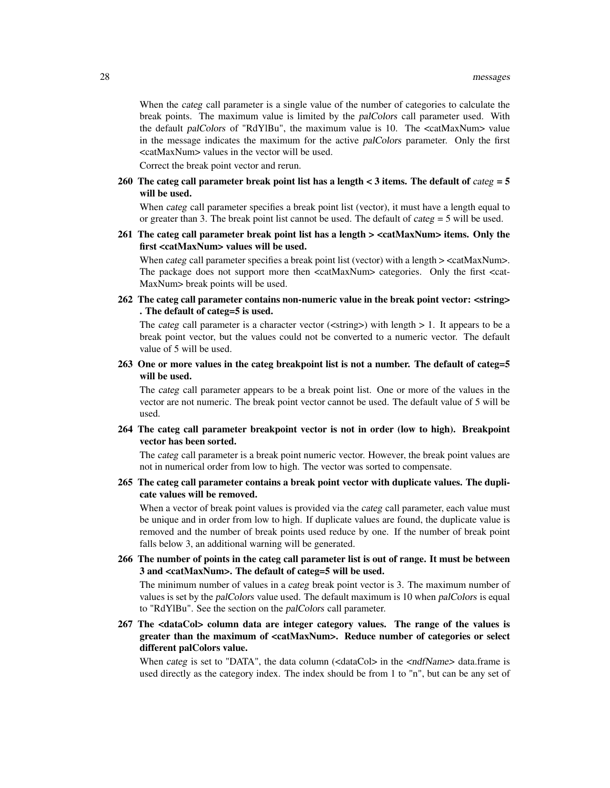When the categ call parameter is a single value of the number of categories to calculate the break points. The maximum value is limited by the palColors call parameter used. With the default palColors of "RdYlBu", the maximum value is 10. The <catMaxNum> value in the message indicates the maximum for the active palColors parameter. Only the first <catMaxNum> values in the vector will be used.

Correct the break point vector and rerun.

260 The categ call parameter break point list has a length  $\lt 3$  items. The default of categ = 5 will be used.

When categ call parameter specifies a break point list (vector), it must have a length equal to or greater than 3. The break point list cannot be used. The default of *categ* = 5 will be used.

261 The categ call parameter break point list has a length > <catMaxNum> items. Only the first <catMaxNum> values will be used.

When *categ* call parameter specifies a break point list (vector) with a length  $>$  <catMaxNum $>$ . The package does not support more then <catMaxNum> categories. Only the first <cat-MaxNum> break points will be used.

262 The categ call parameter contains non-numeric value in the break point vector: <string> . The default of categ=5 is used.

The categ call parameter is a character vector ( $\langle$ string $\rangle$ ) with length  $> 1$ . It appears to be a break point vector, but the values could not be converted to a numeric vector. The default value of 5 will be used.

263 One or more values in the categ breakpoint list is not a number. The default of categ=5 will be used.

The categ call parameter appears to be a break point list. One or more of the values in the vector are not numeric. The break point vector cannot be used. The default value of 5 will be used.

264 The categ call parameter breakpoint vector is not in order (low to high). Breakpoint vector has been sorted.

The categ call parameter is a break point numeric vector. However, the break point values are not in numerical order from low to high. The vector was sorted to compensate.

265 The categ call parameter contains a break point vector with duplicate values. The duplicate values will be removed.

When a vector of break point values is provided via the categ call parameter, each value must be unique and in order from low to high. If duplicate values are found, the duplicate value is removed and the number of break points used reduce by one. If the number of break point falls below 3, an additional warning will be generated.

266 The number of points in the categ call parameter list is out of range. It must be between 3 and <catMaxNum>. The default of categ=5 will be used.

The minimum number of values in a categ break point vector is 3. The maximum number of values is set by the palColors value used. The default maximum is 10 when palColors is equal to "RdYlBu". See the section on the palColors call parameter.

267 The <dataCol> column data are integer category values. The range of the values is greater than the maximum of <catMaxNum>. Reduce number of categories or select different palColors value.

When categ is set to "DATA", the data column  $\langle$  dataCol> in the  $\langle$  ndfName> data.frame is used directly as the category index. The index should be from 1 to "n", but can be any set of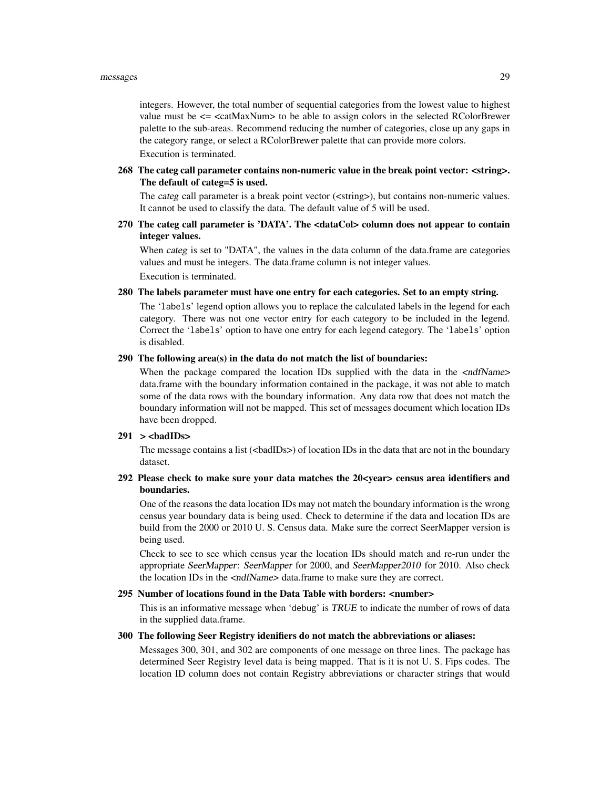integers. However, the total number of sequential categories from the lowest value to highest value must be  $\leq$   $\leq$   $\leq$   $\alpha$ xNum $>$  to be able to assign colors in the selected RColorBrewer palette to the sub-areas. Recommend reducing the number of categories, close up any gaps in the category range, or select a RColorBrewer palette that can provide more colors.

Execution is terminated.

268 The categ call parameter contains non-numeric value in the break point vector: <string>. The default of categ=5 is used.

The categ call parameter is a break point vector (<string>), but contains non-numeric values. It cannot be used to classify the data. The default value of 5 will be used.

270 The categ call parameter is 'DATA'. The <dataCol> column does not appear to contain integer values.

When *categ* is set to "DATA", the values in the data column of the data.frame are categories values and must be integers. The data.frame column is not integer values.

Execution is terminated.

# 280 The labels parameter must have one entry for each categories. Set to an empty string.

The 'labels' legend option allows you to replace the calculated labels in the legend for each category. There was not one vector entry for each category to be included in the legend. Correct the 'labels' option to have one entry for each legend category. The 'labels' option is disabled.

# 290 The following area(s) in the data do not match the list of boundaries:

When the package compared the location IDs supplied with the data in the  $\langle \text{ndfName}\rangle$ data.frame with the boundary information contained in the package, it was not able to match some of the data rows with the boundary information. Any data row that does not match the boundary information will not be mapped. This set of messages document which location IDs have been dropped.

# $291 >$   $>$   $\triangle$   $\triangle$

The message contains a list (<br/>badIDs>) of location IDs in the data that are not in the boundary dataset.

# 292 Please check to make sure your data matches the 20<year> census area identifiers and boundaries.

One of the reasons the data location IDs may not match the boundary information is the wrong census year boundary data is being used. Check to determine if the data and location IDs are build from the 2000 or 2010 U. S. Census data. Make sure the correct SeerMapper version is being used.

Check to see to see which census year the location IDs should match and re-run under the appropriate SeerMapper: SeerMapper for 2000, and SeerMapper2010 for 2010. Also check the location IDs in the  $\langle \langle \text{ndfName} \rangle \rangle$  data.frame to make sure they are correct.

# 295 Number of locations found in the Data Table with borders: <number>

This is an informative message when 'debug' is TRUE to indicate the number of rows of data in the supplied data.frame.

#### 300 The following Seer Registry idenifiers do not match the abbreviations or aliases:

Messages 300, 301, and 302 are components of one message on three lines. The package has determined Seer Registry level data is being mapped. That is it is not U. S. Fips codes. The location ID column does not contain Registry abbreviations or character strings that would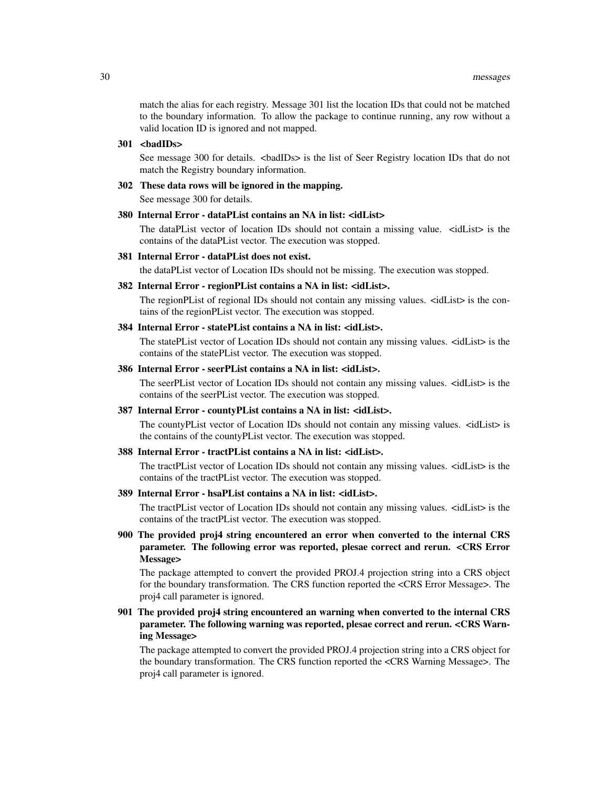match the alias for each registry. Message 301 list the location IDs that could not be matched to the boundary information. To allow the package to continue running, any row without a valid location ID is ignored and not mapped.

#### $301$  <br/> $\langle$ badIDs>

See message 300 for details. <br/>badIDs> is the list of Seer Registry location IDs that do not match the Registry boundary information.

# 302 These data rows will be ignored in the mapping.

See message 300 for details.

# 380 Internal Error - dataPList contains an NA in list: <idList>

The dataPList vector of location IDs should not contain a missing value. <idList> is the contains of the dataPList vector. The execution was stopped.

#### 381 Internal Error - dataPList does not exist.

the dataPList vector of Location IDs should not be missing. The execution was stopped.

#### 382 Internal Error - regionPList contains a NA in list: <idList>.

The regionPList of regional IDs should not contain any missing values.  $\leq$  idList $\geq$  is the contains of the regionPList vector. The execution was stopped.

# 384 Internal Error - statePList contains a NA in list: <idList>.

The statePList vector of Location IDs should not contain any missing values.  $\leq$ idList $>$  is the contains of the statePList vector. The execution was stopped.

# 386 Internal Error - seerPList contains a NA in list: <idList>.

The seerPList vector of Location IDs should not contain any missing values. <idList> is the contains of the seerPList vector. The execution was stopped.

# 387 Internal Error - countyPList contains a NA in list: <idList>.

The countyPList vector of Location IDs should not contain any missing values. <idList> is the contains of the countyPList vector. The execution was stopped.

#### 388 Internal Error - tractPList contains a NA in list: <idList>.

The tractPList vector of Location IDs should not contain any missing values.  $\leq$  idList $>$  is the contains of the tractPList vector. The execution was stopped.

# 389 Internal Error - hsaPList contains a NA in list: <idList>.

The tractPList vector of Location IDs should not contain any missing values. <idList> is the contains of the tractPList vector. The execution was stopped.

900 The provided proj4 string encountered an error when converted to the internal CRS parameter. The following error was reported, plesae correct and rerun. <CRS Error Message>

The package attempted to convert the provided PROJ.4 projection string into a CRS object for the boundary transformation. The CRS function reported the <CRS Error Message>. The proj4 call parameter is ignored.

# 901 The provided proj4 string encountered an warning when converted to the internal CRS parameter. The following warning was reported, plesae correct and rerun. <CRS Warning Message>

The package attempted to convert the provided PROJ.4 projection string into a CRS object for the boundary transformation. The CRS function reported the <CRS Warning Message>. The proj4 call parameter is ignored.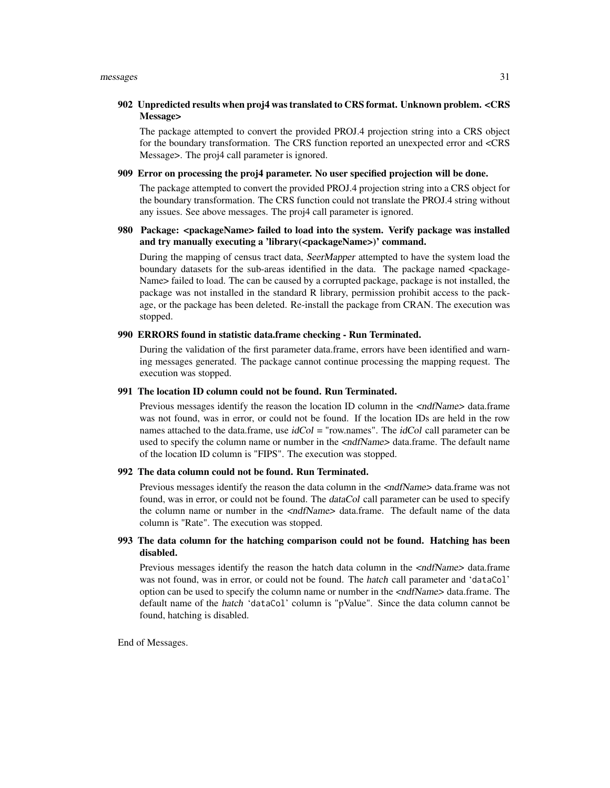# 902 Unpredicted results when proj4 was translated to CRS format. Unknown problem. <CRS Message>

The package attempted to convert the provided PROJ.4 projection string into a CRS object for the boundary transformation. The CRS function reported an unexpected error and <CRS Message>. The proj4 call parameter is ignored.

# 909 Error on processing the proj4 parameter. No user specified projection will be done.

The package attempted to convert the provided PROJ.4 projection string into a CRS object for the boundary transformation. The CRS function could not translate the PROJ.4 string without any issues. See above messages. The proj4 call parameter is ignored.

# 980 Package: <packageName> failed to load into the system. Verify package was installed and try manually executing a 'library(<packageName>)' command.

During the mapping of census tract data, SeerMapper attempted to have the system load the boundary datasets for the sub-areas identified in the data. The package named  $\leq$ package-Name> failed to load. The can be caused by a corrupted package, package is not installed, the package was not installed in the standard R library, permission prohibit access to the package, or the package has been deleted. Re-install the package from CRAN. The execution was stopped.

#### 990 ERRORS found in statistic data.frame checking - Run Terminated.

During the validation of the first parameter data.frame, errors have been identified and warning messages generated. The package cannot continue processing the mapping request. The execution was stopped.

#### 991 The location ID column could not be found. Run Terminated.

Previous messages identify the reason the location ID column in the  $\langle \text{ndfName}\rangle$  data.frame was not found, was in error, or could not be found. If the location IDs are held in the row names attached to the data.frame, use  $i dCol = "row.names"$ . The  $i dCol$  call parameter can be used to specify the column name or number in the <ndfName> data.frame. The default name of the location ID column is "FIPS". The execution was stopped.

#### 992 The data column could not be found. Run Terminated.

Previous messages identify the reason the data column in the <ndfName> data.frame was not found, was in error, or could not be found. The dataCol call parameter can be used to specify the column name or number in the  $\langle \text{ndfName}\rangle$  data.frame. The default name of the data column is "Rate". The execution was stopped.

# 993 The data column for the hatching comparison could not be found. Hatching has been disabled.

Previous messages identify the reason the hatch data column in the  $\langle \text{ndfName} \rangle$  data.frame was not found, was in error, or could not be found. The hatch call parameter and 'dataCol' option can be used to specify the column name or number in the <ndfName> data.frame. The default name of the hatch 'dataCol' column is "pValue". Since the data column cannot be found, hatching is disabled.

End of Messages.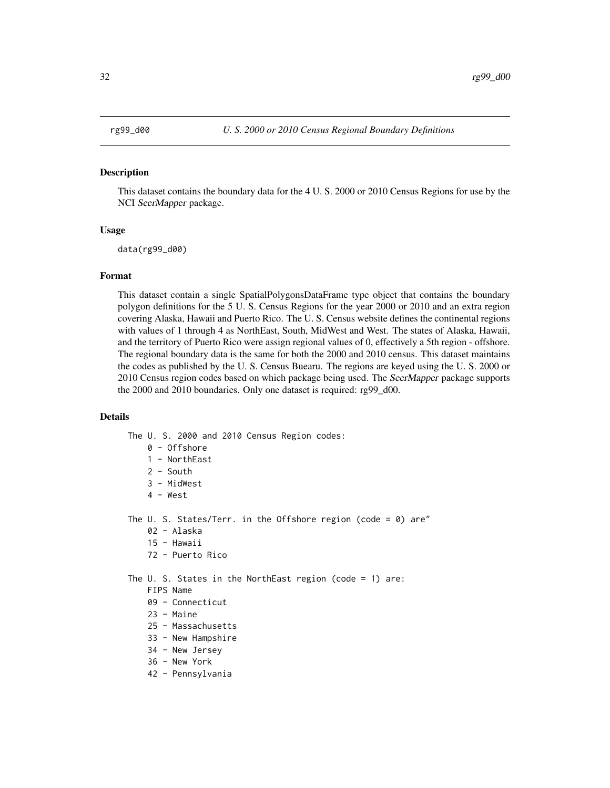#### <span id="page-31-0"></span>Description

This dataset contains the boundary data for the 4 U. S. 2000 or 2010 Census Regions for use by the NCI SeerMapper package.

# Usage

data(rg99\_d00)

#### Format

This dataset contain a single SpatialPolygonsDataFrame type object that contains the boundary polygon definitions for the 5 U. S. Census Regions for the year 2000 or 2010 and an extra region covering Alaska, Hawaii and Puerto Rico. The U. S. Census website defines the continental regions with values of 1 through 4 as NorthEast, South, MidWest and West. The states of Alaska, Hawaii, and the territory of Puerto Rico were assign regional values of 0, effectively a 5th region - offshore. The regional boundary data is the same for both the 2000 and 2010 census. This dataset maintains the codes as published by the U. S. Census Buearu. The regions are keyed using the U. S. 2000 or 2010 Census region codes based on which package being used. The SeerMapper package supports the 2000 and 2010 boundaries. Only one dataset is required: rg99\_d00.

# Details

The U. S. 2000 and 2010 Census Region codes:

- 0 Offshore
- 1 NorthEast
- 2 South
- 3 MidWest
- 4 West

The U. S. States/Terr. in the Offshore region (code =  $0$ ) are"

- 02 Alaska
- 15 Hawaii
- 72 Puerto Rico

The U. S. States in the NorthEast region (code = 1) are:

#### FIPS Name

- 09 Connecticut
- 23 Maine
- 25 Massachusetts
- 33 New Hampshire
- 34 New Jersey
- 36 New York
- 42 Pennsylvania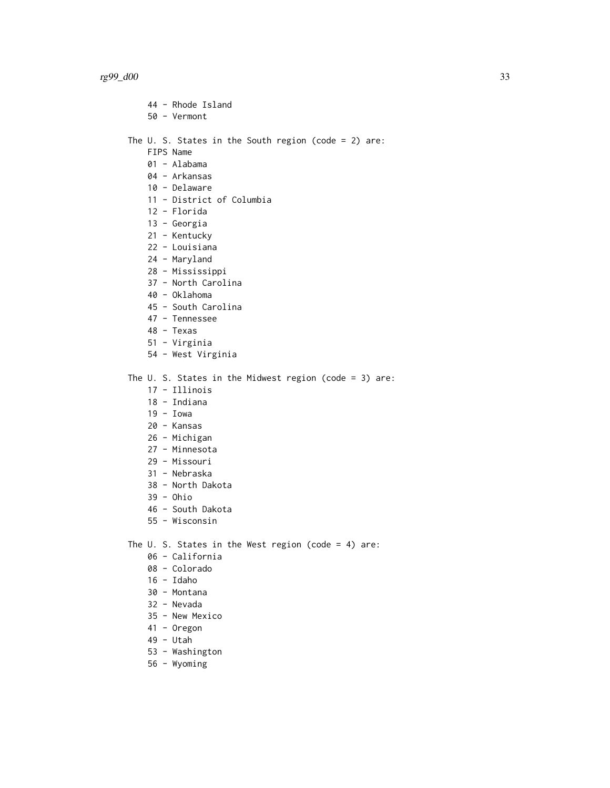- 44 Rhode Island
- 50 Vermont

The U. S. States in the South region (code = 2) are:

- FIPS Name
- 01 Alabama
- 04 Arkansas
- 10 Delaware
- 11 District of Columbia
- 12 Florida
- 13 Georgia
- 21 Kentucky
- 22 Louisiana
- 24 Maryland
- 28 Mississippi
- 37 North Carolina
- 40 Oklahoma
- 45 South Carolina
- 47 Tennessee
- 48 Texas
- 51 Virginia
- 54 West Virginia

The U. S. States in the Midwest region (code = 3) are:

- 17 Illinois
- 18 Indiana
- 19 Iowa
- 20 Kansas
- 26 Michigan
- 27 Minnesota
- 29 Missouri
- 31 Nebraska
- 38 North Dakota
- 39 Ohio
- 46 South Dakota
- 55 Wisconsin

The U. S. States in the West region (code = 4) are:

- 06 California
- 08 Colorado
- 16 Idaho
- 30 Montana
- 32 Nevada
- 35 New Mexico
- 41 Oregon
- 49 Utah
- 53 Washington
- 56 Wyoming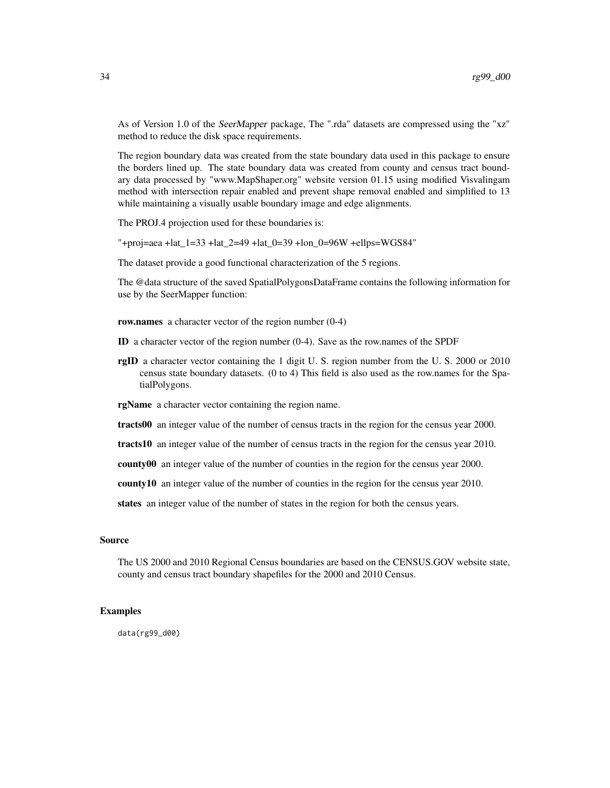As of Version 1.0 of the SeerMapper package, The ".rda" datasets are compressed using the "xz" method to reduce the disk space requirements.

The region boundary data was created from the state boundary data used in this package to ensure the borders lined up. The state boundary data was created from county and census tract boundary data processed by "www.MapShaper.org" website version 01.15 using modified Visvalingam method with intersection repair enabled and prevent shape removal enabled and simplified to 13 while maintaining a visually usable boundary image and edge alignments.

The PROJ.4 projection used for these boundaries is:

"+proj=aea +lat\_1=33 +lat\_2=49 +lat\_0=39 +lon\_0=96W +ellps=WGS84"

The dataset provide a good functional characterization of the 5 regions.

The @data structure of the saved SpatialPolygonsDataFrame contains the following information for use by the SeerMapper function:

row.names a character vector of the region number  $(0-4)$ 

- ID a character vector of the region number (0-4). Save as the row.names of the SPDF
- rgID a character vector containing the 1 digit U. S. region number from the U. S. 2000 or 2010 census state boundary datasets. (0 to 4) This field is also used as the row.names for the SpatialPolygons.

rgName a character vector containing the region name.

tracts00 an integer value of the number of census tracts in the region for the census year 2000.

tracts10 an integer value of the number of census tracts in the region for the census year 2010.

county00 an integer value of the number of counties in the region for the census year 2000.

county10 an integer value of the number of counties in the region for the census year 2010.

states an integer value of the number of states in the region for both the census years.

# Source

The US 2000 and 2010 Regional Census boundaries are based on the CENSUS.GOV website state, county and census tract boundary shapefiles for the 2000 and 2010 Census.

#### Examples

data(rg99\_d00)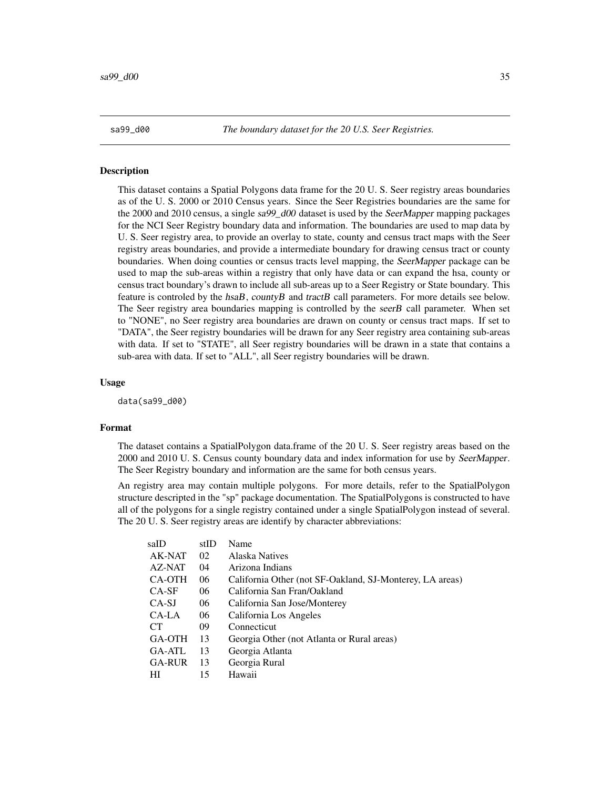<span id="page-34-0"></span>sa99\_d00 *The boundary dataset for the 20 U.S. Seer Registries.*

# Description

This dataset contains a Spatial Polygons data frame for the 20 U. S. Seer registry areas boundaries as of the U. S. 2000 or 2010 Census years. Since the Seer Registries boundaries are the same for the 2000 and 2010 census, a single sa99\_d00 dataset is used by the SeerMapper mapping packages for the NCI Seer Registry boundary data and information. The boundaries are used to map data by U. S. Seer registry area, to provide an overlay to state, county and census tract maps with the Seer registry areas boundaries, and provide a intermediate boundary for drawing census tract or county boundaries. When doing counties or census tracts level mapping, the SeerMapper package can be used to map the sub-areas within a registry that only have data or can expand the hsa, county or census tract boundary's drawn to include all sub-areas up to a Seer Registry or State boundary. This feature is controled by the  $hsaB$ , countyB and tractB call parameters. For more details see below. The Seer registry area boundaries mapping is controlled by the seerB call parameter. When set to "NONE", no Seer registry area boundaries are drawn on county or census tract maps. If set to "DATA", the Seer registry boundaries will be drawn for any Seer registry area containing sub-areas with data. If set to "STATE", all Seer registry boundaries will be drawn in a state that contains a sub-area with data. If set to "ALL", all Seer registry boundaries will be drawn.

# Usage

data(sa99\_d00)

# Format

The dataset contains a SpatialPolygon data.frame of the 20 U. S. Seer registry areas based on the 2000 and 2010 U. S. Census county boundary data and index information for use by SeerMapper. The Seer Registry boundary and information are the same for both census years.

An registry area may contain multiple polygons. For more details, refer to the SpatialPolygon structure descripted in the "sp" package documentation. The SpatialPolygons is constructed to have all of the polygons for a single registry contained under a single SpatialPolygon instead of several. The 20 U. S. Seer registry areas are identify by character abbreviations:

| saID          | stID | Name                                                     |
|---------------|------|----------------------------------------------------------|
| AK-NAT        | 02   | Alaska Natives                                           |
| AZ-NAT        | 04   | Arizona Indians                                          |
| CA-OTH        | 06   | California Other (not SF-Oakland, SJ-Monterey, LA areas) |
| $CA-SE$       | 06   | California San Fran/Oakland                              |
| CA-SJ         | 06   | California San Jose/Monterey                             |
| CA-LA         | 06   | California Los Angeles                                   |
| CT.           | 09   | Connecticut                                              |
| GA-OTH        | 13   | Georgia Other (not Atlanta or Rural areas)               |
| GA-ATL        | 13   | Georgia Atlanta                                          |
| <b>GA-RUR</b> | 13   | Georgia Rural                                            |
| HI            | 15   | Hawaii                                                   |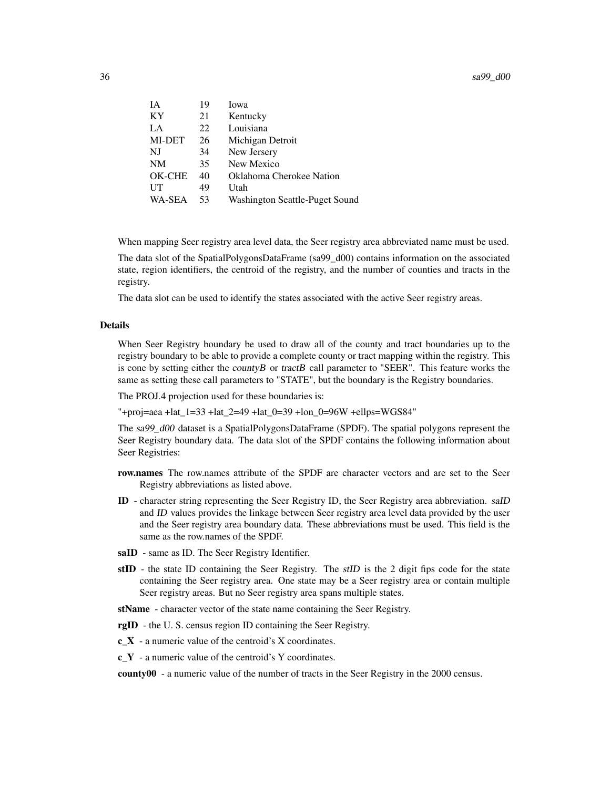$36$  sa99\_d00

| IA            | 19 | Iowa                           |
|---------------|----|--------------------------------|
| <b>KY</b>     | 21 | Kentucky                       |
| LA            | 22 | Louisiana                      |
| MI-DET        | 26 | Michigan Detroit               |
| NJ            | 34 | New Jersery                    |
| NM            | 35 | New Mexico                     |
| OK-CHE        | 40 | Oklahoma Cherokee Nation       |
| UT            | 49 | Utah                           |
| <b>WA-SEA</b> | 53 | Washington Seattle-Puget Sound |

When mapping Seer registry area level data, the Seer registry area abbreviated name must be used.

The data slot of the SpatialPolygonsDataFrame (sa99\_d00) contains information on the associated state, region identifiers, the centroid of the registry, and the number of counties and tracts in the registry.

The data slot can be used to identify the states associated with the active Seer registry areas.

#### Details

When Seer Registry boundary be used to draw all of the county and tract boundaries up to the registry boundary to be able to provide a complete county or tract mapping within the registry. This is cone by setting either the *countyB* or *tractB* call parameter to "SEER". This feature works the same as setting these call parameters to "STATE", but the boundary is the Registry boundaries.

The PROJ.4 projection used for these boundaries is:

"+proj=aea +lat  $1=33$  +lat  $2=49$  +lat  $0=39$  +lon  $0=96W$  +ellps=WGS84"

The sa99 d00 dataset is a SpatialPolygonsDataFrame (SPDF). The spatial polygons represent the Seer Registry boundary data. The data slot of the SPDF contains the following information about Seer Registries:

- row.names The row.names attribute of the SPDF are character vectors and are set to the Seer Registry abbreviations as listed above.
- ID character string representing the Seer Registry ID, the Seer Registry area abbreviation. saID and ID values provides the linkage between Seer registry area level data provided by the user and the Seer registry area boundary data. These abbreviations must be used. This field is the same as the row.names of the SPDF.
- saID same as ID. The Seer Registry Identifier.
- stID the state ID containing the Seer Registry. The *stID* is the 2 digit fips code for the state containing the Seer registry area. One state may be a Seer registry area or contain multiple Seer registry areas. But no Seer registry area spans multiple states.

stName - character vector of the state name containing the Seer Registry.

rgID - the U. S. census region ID containing the Seer Registry.

 $c_X - a$  numeric value of the centroid's X coordinates.

c\_Y - a numeric value of the centroid's Y coordinates.

county00 - a numeric value of the number of tracts in the Seer Registry in the 2000 census.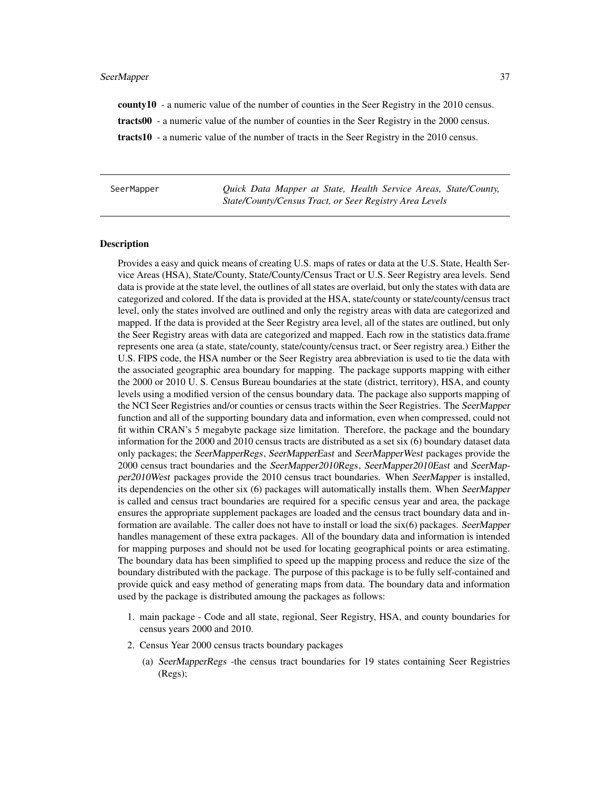county10 - a numeric value of the number of counties in the Seer Registry in the 2010 census. tracts00 - a numeric value of the number of counties in the Seer Registry in the 2000 census. tracts10 - a numeric value of the number of tracts in the Seer Registry in the 2010 census.

SeerMapper *Quick Data Mapper at State, Health Service Areas, State/County, State/County/Census Tract, or Seer Registry Area Levels*

#### **Description**

Provides a easy and quick means of creating U.S. maps of rates or data at the U.S. State, Health Service Areas (HSA), State/County, State/County/Census Tract or U.S. Seer Registry area levels. Send data is provide at the state level, the outlines of all states are overlaid, but only the states with data are categorized and colored. If the data is provided at the HSA, state/county or state/county/census tract level, only the states involved are outlined and only the registry areas with data are categorized and mapped. If the data is provided at the Seer Registry area level, all of the states are outlined, but only the Seer Registry areas with data are categorized and mapped. Each row in the statistics data.frame represents one area (a state, state/county, state/county/census tract, or Seer registry area.) Either the U.S. FIPS code, the HSA number or the Seer Registry area abbreviation is used to tie the data with the associated geographic area boundary for mapping. The package supports mapping with either the 2000 or 2010 U. S. Census Bureau boundaries at the state (district, territory), HSA, and county levels using a modified version of the census boundary data. The package also supports mapping of the NCI Seer Registries and/or counties or census tracts within the Seer Registries. The SeerMapper function and all of the supporting boundary data and information, even when compressed, could not fit within CRAN's 5 megabyte package size limitation. Therefore, the package and the boundary information for the 2000 and 2010 census tracts are distributed as a set six (6) boundary dataset data only packages; the SeerMapperRegs, SeerMapperEast and SeerMapperWest packages provide the 2000 census tract boundaries and the SeerMapper2010Regs, SeerMapper2010East and SeerMapper2010West packages provide the 2010 census tract boundaries. When SeerMapper is installed, its dependencies on the other six (6) packages will automatically installs them. When SeerMapper is called and census tract boundaries are required for a specific census year and area, the package ensures the appropriate supplement packages are loaded and the census tract boundary data and information are available. The caller does not have to install or load the  $six(6)$  packages. SeerMapper handles management of these extra packages. All of the boundary data and information is intended for mapping purposes and should not be used for locating geographical points or area estimating. The boundary data has been simplified to speed up the mapping process and reduce the size of the boundary distributed with the package. The purpose of this package is to be fully self-contained and provide quick and easy method of generating maps from data. The boundary data and information used by the package is distributed amoung the packages as follows:

- 1. main package Code and all state, regional, Seer Registry, HSA, and county boundaries for census years 2000 and 2010.
- 2. Census Year 2000 census tracts boundary packages
	- (a) SeerMapperRegs -the census tract boundaries for 19 states containing Seer Registries (Regs);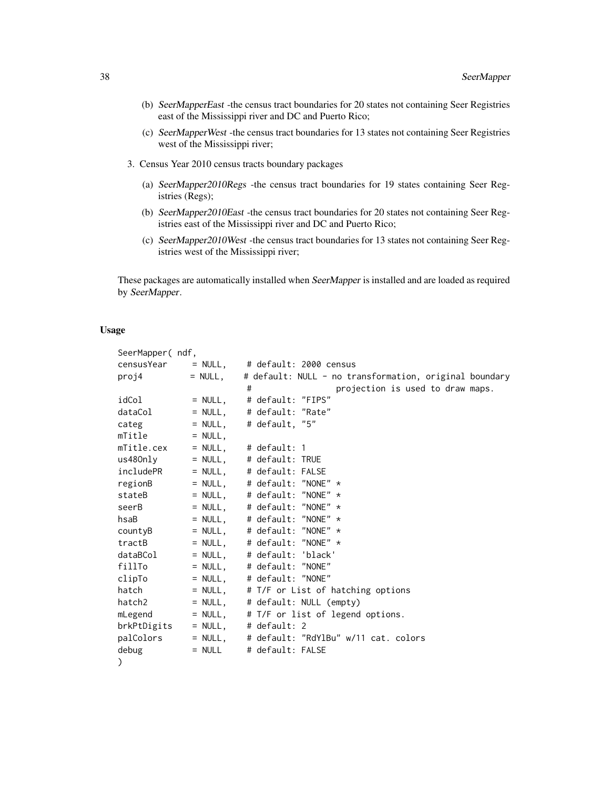- (b) SeerMapperEast -the census tract boundaries for 20 states not containing Seer Registries east of the Mississippi river and DC and Puerto Rico;
- (c) SeerMapperWest -the census tract boundaries for 13 states not containing Seer Registries west of the Mississippi river;
- 3. Census Year 2010 census tracts boundary packages
	- (a) SeerMapper2010Regs -the census tract boundaries for 19 states containing Seer Registries (Regs);
	- (b) SeerMapper2010East -the census tract boundaries for 20 states not containing Seer Registries east of the Mississippi river and DC and Puerto Rico;
	- (c) SeerMapper2010West -the census tract boundaries for 13 states not containing Seer Registries west of the Mississippi river;

These packages are automatically installed when SeerMapper is installed and are loaded as required by SeerMapper.

# Usage

| SeerMapper(ndf, |           |                                                        |
|-----------------|-----------|--------------------------------------------------------|
|                 |           | $censusYear = NULL, # default: 2000 census$            |
| proj4           | $= NULL,$ | # default: NULL - no transformation, original boundary |
|                 |           | projection is used to draw maps.<br>#                  |
| idCol           |           | = NULL,     # default: "FIPS"                          |
| dataCol         |           | $=$ NULL, $\#$ default: "Rate"                         |
| categ           | $= NULL,$ | # default, "5"                                         |
| mTitle          | $= NULL,$ |                                                        |
| mTitle.cex      |           | $=$ NULL, $\#$ default: 1                              |
| us480nly        |           | $=$ NULL, $\#$ default: TRUE                           |
| includePR       |           | $=$ NULL, $\#$ default: FALSE                          |
| regionB         |           | $=$ NULL, $\#$ default: "NONE" $\star$                 |
| stateB          |           | $=$ NULL, # default: "NONE" $\star$                    |
| seerB           |           | $=$ NULL, # default: "NONE" $\star$                    |
| hsaB            |           | = NULL, $\#$ default: "NONE" $\star$                   |
| countyB         |           | $=$ NULL, $\#$ default: "NONE" $*$                     |
| tractB          |           | $=$ NULL, # default: "NONE" $*$                        |
| dataBCol        |           | $=$ NULL, $\#$ default: 'black'                        |
| fillTo          |           | $=$ NULL, $\#$ default: "NONE"                         |
| clipTo          | $= NULL,$ | # default: "NONE"                                      |
| hatch           | $=$ NULL, | # T/F or List of hatching options                      |
| hatch2          | $= NULL,$ | # default: NULL (empty)                                |
| mLegend         | $=$ NULL, | # T/F or list of legend options.                       |
| brkPtDigits     | $=$ NULL, | # $default: 2$                                         |
| palColors       | $=$ NULL, | # default: "RdYlBu" w/11 cat. colors                   |
| debug           | $=$ NULL  | # default: FALSE                                       |
|                 |           |                                                        |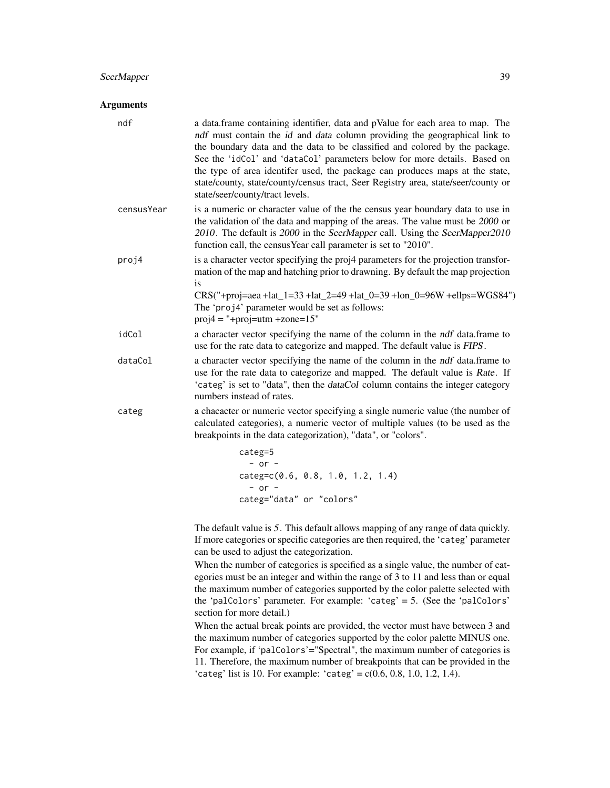### Arguments

| ndf        | a data.frame containing identifier, data and pValue for each area to map. The<br>ndf must contain the id and data column providing the geographical link to<br>the boundary data and the data to be classified and colored by the package.<br>See the 'idCol' and 'dataCol' parameters below for more details. Based on<br>the type of area identifer used, the package can produces maps at the state,<br>state/county, state/county/census tract, Seer Registry area, state/seer/county or<br>state/seer/county/tract levels. |  |
|------------|---------------------------------------------------------------------------------------------------------------------------------------------------------------------------------------------------------------------------------------------------------------------------------------------------------------------------------------------------------------------------------------------------------------------------------------------------------------------------------------------------------------------------------|--|
| censusYear | is a numeric or character value of the the census year boundary data to use in<br>the validation of the data and mapping of the areas. The value must be 2000 or<br>2010. The default is 2000 in the SeerMapper call. Using the SeerMapper2010<br>function call, the census Year call parameter is set to "2010".                                                                                                                                                                                                               |  |
| proj4      | is a character vector specifying the proj4 parameters for the projection transfor-<br>mation of the map and hatching prior to drawning. By default the map projection<br>is<br>CRS("+proj=aea+lat_1=33+lat_2=49+lat_0=39+lon_0=96W+ellps=WGS84")<br>The 'proj4' parameter would be set as follows:<br>$proj4 =$ "+proj=utm +zone=15"                                                                                                                                                                                            |  |
| idCol      | a character vector specifying the name of the column in the <i>ndf</i> data.frame to<br>use for the rate data to categorize and mapped. The default value is FIPS.                                                                                                                                                                                                                                                                                                                                                              |  |
| dataCol    | a character vector specifying the name of the column in the <i>ndf</i> data.frame to<br>use for the rate data to categorize and mapped. The default value is Rate. If<br>'categ' is set to "data", then the <i>dataCol</i> column contains the integer category<br>numbers instead of rates.                                                                                                                                                                                                                                    |  |
| categ      | a chacacter or numeric vector specifying a single numeric value (the number of<br>calculated categories), a numeric vector of multiple values (to be used as the<br>breakpoints in the data categorization), "data", or "colors".                                                                                                                                                                                                                                                                                               |  |
|            | $categ=5$<br>$-$ or $-$<br>$categ=c(0.6, 0.8, 1.0, 1.2, 1.4)$<br>$-$ or $-$<br>categ="data" or "colors"                                                                                                                                                                                                                                                                                                                                                                                                                         |  |

The default value is 5. This default allows mapping of any range of data quickly. If more categories or specific categories are then required, the 'categ' parameter can be used to adjust the categorization.

When the number of categories is specified as a single value, the number of categories must be an integer and within the range of 3 to 11 and less than or equal the maximum number of categories supported by the color palette selected with the 'palColors' parameter. For example: 'categ' = 5. (See the 'palColors' section for more detail.)

When the actual break points are provided, the vector must have between 3 and the maximum number of categories supported by the color palette MINUS one. For example, if 'palColors'="Spectral", the maximum number of categories is 11. Therefore, the maximum number of breakpoints that can be provided in the 'categ' list is 10. For example: 'categ' =  $c(0.6, 0.8, 1.0, 1.2, 1.4)$ .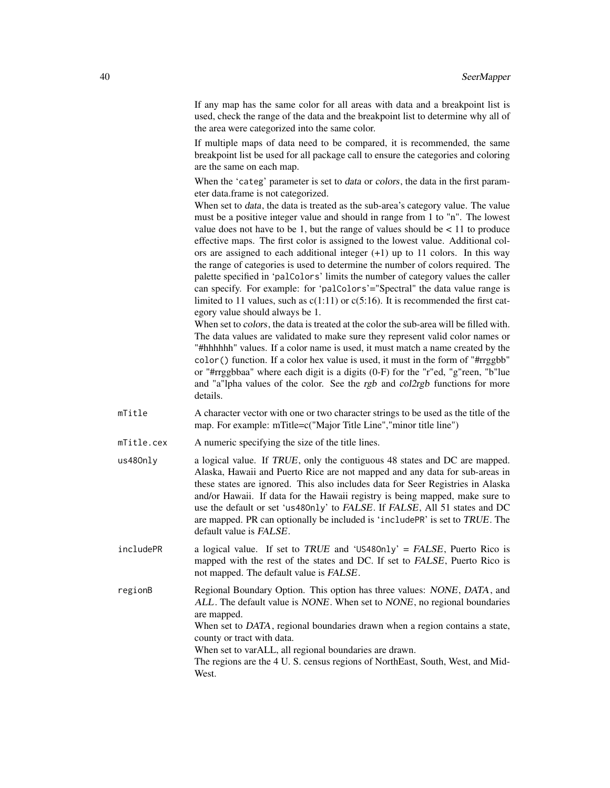If any map has the same color for all areas with data and a breakpoint list is used, check the range of the data and the breakpoint list to determine why all of the area were categorized into the same color.

If multiple maps of data need to be compared, it is recommended, the same breakpoint list be used for all package call to ensure the categories and coloring are the same on each map.

When the 'categ' parameter is set to *data* or *colors*, the data in the first parameter data.frame is not categorized.

When set to *data*, the data is treated as the sub-area's category value. The value must be a positive integer value and should in range from 1 to "n". The lowest value does not have to be 1, but the range of values should be  $< 11$  to produce effective maps. The first color is assigned to the lowest value. Additional colors are assigned to each additional integer  $(+1)$  up to 11 colors. In this way the range of categories is used to determine the number of colors required. The palette specified in 'palColors' limits the number of category values the caller can specify. For example: for 'palColors'="Spectral" the data value range is limited to 11 values, such as  $c(1:11)$  or  $c(5:16)$ . It is recommended the first category value should always be 1.

When set to colors, the data is treated at the color the sub-area will be filled with. The data values are validated to make sure they represent valid color names or "#hhhhhh" values. If a color name is used, it must match a name created by the color() function. If a color hex value is used, it must in the form of "#rrggbb" or "#rrggbbaa" where each digit is a digits (0-F) for the "r"ed, "g"reen, "b"lue and "a"lpha values of the color. See the rgb and col2rgb functions for more details.

- mTitle A character vector with one or two character strings to be used as the title of the map. For example: mTitle=c("Major Title Line","minor title line")
- mTitle.cex A numeric specifying the size of the title lines.
- us48Only a logical value. If TRUE, only the contiguous 48 states and DC are mapped. Alaska, Hawaii and Puerto Rice are not mapped and any data for sub-areas in these states are ignored. This also includes data for Seer Registries in Alaska and/or Hawaii. If data for the Hawaii registry is being mapped, make sure to use the default or set 'us48Only' to FALSE. If FALSE, All 51 states and DC are mapped. PR can optionally be included is 'includePR' is set to TRUE. The default value is FALSE.

includePR a logical value. If set to TRUE and 'US480nly' = FALSE, Puerto Rico is mapped with the rest of the states and DC. If set to FALSE, Puerto Rico is not mapped. The default value is FALSE.

regionB Regional Boundary Option. This option has three values: NONE, DATA, and ALL. The default value is NONE. When set to NONE, no regional boundaries are mapped. When set to DATA, regional boundaries drawn when a region contains a state, county or tract with data. When set to varALL, all regional boundaries are drawn. The regions are the 4 U. S. census regions of NorthEast, South, West, and Mid-

West.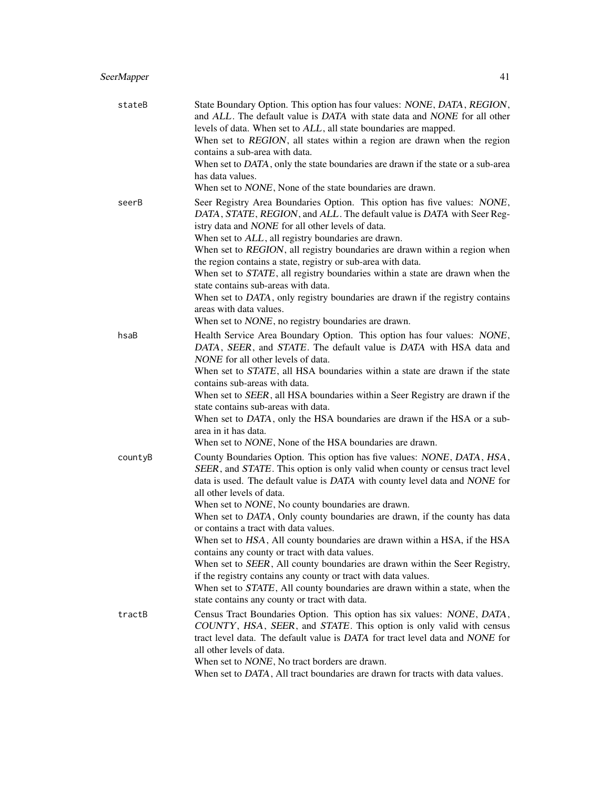| stateB  | State Boundary Option. This option has four values: NONE, DATA, REGION,<br>and ALL. The default value is DATA with state data and NONE for all other<br>levels of data. When set to ALL, all state boundaries are mapped.<br>When set to REGION, all states within a region are drawn when the region<br>contains a sub-area with data.<br>When set to DATA, only the state boundaries are drawn if the state or a sub-area<br>has data values.<br>When set to <i>NONE</i> , None of the state boundaries are drawn.                                                                                                                                                                                                                                                                                                                                                    |
|---------|-------------------------------------------------------------------------------------------------------------------------------------------------------------------------------------------------------------------------------------------------------------------------------------------------------------------------------------------------------------------------------------------------------------------------------------------------------------------------------------------------------------------------------------------------------------------------------------------------------------------------------------------------------------------------------------------------------------------------------------------------------------------------------------------------------------------------------------------------------------------------|
| seerB   | Seer Registry Area Boundaries Option. This option has five values: NONE,<br>DATA, STATE, REGION, and ALL. The default value is DATA with Seer Reg-<br>istry data and NONE for all other levels of data.<br>When set to ALL, all registry boundaries are drawn.<br>When set to REGION, all registry boundaries are drawn within a region when<br>the region contains a state, registry or sub-area with data.<br>When set to STATE, all registry boundaries within a state are drawn when the<br>state contains sub-areas with data.<br>When set to DATA, only registry boundaries are drawn if the registry contains<br>areas with data values.                                                                                                                                                                                                                         |
| hsaB    | When set to <i>NONE</i> , no registry boundaries are drawn.<br>Health Service Area Boundary Option. This option has four values: NONE,<br>DATA, SEER, and STATE. The default value is DATA with HSA data and<br>NONE for all other levels of data.<br>When set to STATE, all HSA boundaries within a state are drawn if the state<br>contains sub-areas with data.<br>When set to SEER, all HSA boundaries within a Seer Registry are drawn if the<br>state contains sub-areas with data.<br>When set to DATA, only the HSA boundaries are drawn if the HSA or a sub-<br>area in it has data.<br>When set to NONE, None of the HSA boundaries are drawn.                                                                                                                                                                                                                |
| countyB | County Boundaries Option. This option has five values: NONE, DATA, HSA,<br>SEER, and STATE. This option is only valid when county or census tract level<br>data is used. The default value is DATA with county level data and NONE for<br>all other levels of data.<br>When set to <i>NONE</i> , No county boundaries are drawn.<br>When set to DATA, Only county boundaries are drawn, if the county has data<br>or contains a tract with data values.<br>When set to HSA, All county boundaries are drawn within a HSA, if the HSA<br>contains any county or tract with data values.<br>When set to SEER, All county boundaries are drawn within the Seer Registry,<br>if the registry contains any county or tract with data values.<br>When set to STATE, All county boundaries are drawn within a state, when the<br>state contains any county or tract with data. |
| tractB  | Census Tract Boundaries Option. This option has six values: NONE, DATA,<br>COUNTY, HSA, SEER, and STATE. This option is only valid with census<br>tract level data. The default value is DATA for tract level data and NONE for<br>all other levels of data.<br>When set to <i>NONE</i> , No tract borders are drawn.                                                                                                                                                                                                                                                                                                                                                                                                                                                                                                                                                   |

When set to DATA, All tract boundaries are drawn for tracts with data values.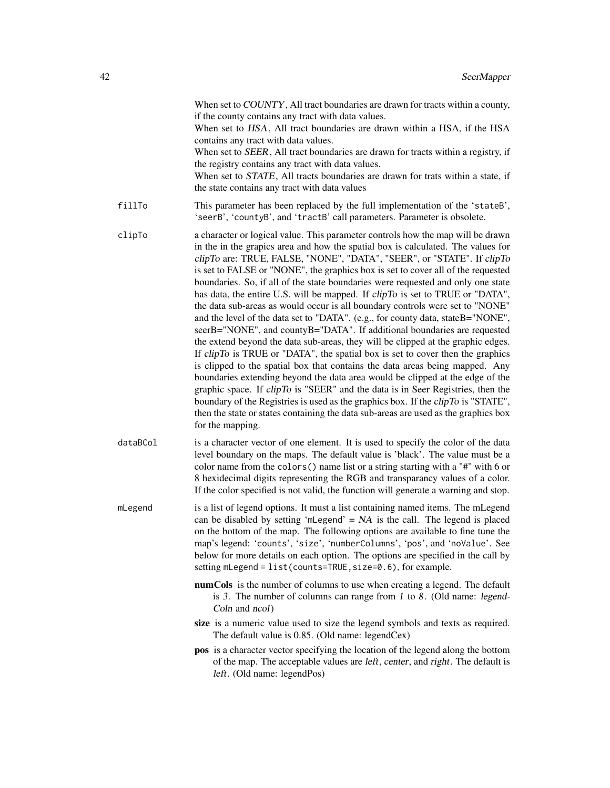|          | When set to COUNTY, All tract boundaries are drawn for tracts within a county,<br>if the county contains any tract with data values.<br>When set to HSA, All tract boundaries are drawn within a HSA, if the HSA<br>contains any tract with data values.<br>When set to SEER, All tract boundaries are drawn for tracts within a registry, if<br>the registry contains any tract with data values.<br>When set to STATE, All tracts boundaries are drawn for trats within a state, if<br>the state contains any tract with data values                                                                                                                                                                                                                                                                                                                                                                                                                                                                                                                                                                                                                                                                                                                                                                                                                                                  |
|----------|-----------------------------------------------------------------------------------------------------------------------------------------------------------------------------------------------------------------------------------------------------------------------------------------------------------------------------------------------------------------------------------------------------------------------------------------------------------------------------------------------------------------------------------------------------------------------------------------------------------------------------------------------------------------------------------------------------------------------------------------------------------------------------------------------------------------------------------------------------------------------------------------------------------------------------------------------------------------------------------------------------------------------------------------------------------------------------------------------------------------------------------------------------------------------------------------------------------------------------------------------------------------------------------------------------------------------------------------------------------------------------------------|
| fillTo   | This parameter has been replaced by the full implementation of the 'stateB',<br>'seerB', 'countyB', and 'tractB' call parameters. Parameter is obsolete.                                                                                                                                                                                                                                                                                                                                                                                                                                                                                                                                                                                                                                                                                                                                                                                                                                                                                                                                                                                                                                                                                                                                                                                                                                |
| clipTo   | a character or logical value. This parameter controls how the map will be drawn<br>in the in the grapics area and how the spatial box is calculated. The values for<br>clipTo are: TRUE, FALSE, "NONE", "DATA", "SEER", or "STATE". If clipTo<br>is set to FALSE or "NONE", the graphics box is set to cover all of the requested<br>boundaries. So, if all of the state boundaries were requested and only one state<br>has data, the entire U.S. will be mapped. If clipTo is set to TRUE or "DATA",<br>the data sub-areas as would occur is all boundary controls were set to "NONE"<br>and the level of the data set to "DATA". (e.g., for county data, stateB="NONE",<br>seerB="NONE", and countyB="DATA". If additional boundaries are requested<br>the extend beyond the data sub-areas, they will be clipped at the graphic edges.<br>If clipTo is TRUE or "DATA", the spatial box is set to cover then the graphics<br>is clipped to the spatial box that contains the data areas being mapped. Any<br>boundaries extending beyond the data area would be clipped at the edge of the<br>graphic space. If clipTo is "SEER" and the data is in Seer Registries, then the<br>boundary of the Registries is used as the graphics box. If the <i>clipTo</i> is "STATE",<br>then the state or states containing the data sub-areas are used as the graphics box<br>for the mapping. |
| dataBCol | is a character vector of one element. It is used to specify the color of the data<br>level boundary on the maps. The default value is 'black'. The value must be a<br>color name from the colors () name list or a string starting with a "#" with 6 or<br>8 hexidecimal digits representing the RGB and transparancy values of a color.<br>If the color specified is not valid, the function will generate a warning and stop.                                                                                                                                                                                                                                                                                                                                                                                                                                                                                                                                                                                                                                                                                                                                                                                                                                                                                                                                                         |
| mLegend  | is a list of legend options. It must a list containing named items. The mLegend<br>can be disabled by setting 'mLegend' = $NA$ is the call. The legend is placed<br>on the bottom of the map. The following options are available to fine tune the<br>map's legend: 'counts', 'size', 'numberColumns', 'pos', and 'noValue'. See<br>below for more details on each option. The options are specified in the call by<br>setting mLegend = list(counts=TRUE, size=0.6), for example.                                                                                                                                                                                                                                                                                                                                                                                                                                                                                                                                                                                                                                                                                                                                                                                                                                                                                                      |
|          | numCols is the number of columns to use when creating a legend. The default<br>is 3. The number of columns can range from $1$ to $8$ . (Old name: legend-<br>Coln and ncol)                                                                                                                                                                                                                                                                                                                                                                                                                                                                                                                                                                                                                                                                                                                                                                                                                                                                                                                                                                                                                                                                                                                                                                                                             |
|          | size is a numeric value used to size the legend symbols and texts as required.<br>The default value is 0.85. (Old name: legendCex)                                                                                                                                                                                                                                                                                                                                                                                                                                                                                                                                                                                                                                                                                                                                                                                                                                                                                                                                                                                                                                                                                                                                                                                                                                                      |
|          | pos is a character vector specifying the location of the legend along the bottom<br>of the map. The acceptable values are <i>left</i> , <i>center</i> , and <i>right</i> . The default is<br>left. (Old name: legendPos)                                                                                                                                                                                                                                                                                                                                                                                                                                                                                                                                                                                                                                                                                                                                                                                                                                                                                                                                                                                                                                                                                                                                                                |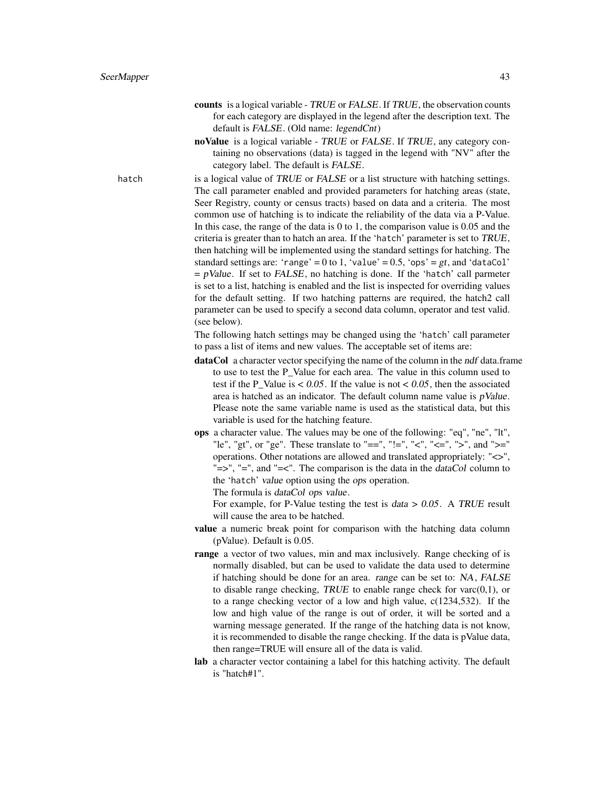- counts is a logical variable TRUE or FALSE. If TRUE, the observation counts for each category are displayed in the legend after the description text. The default is FALSE. (Old name: legendCnt)
- noValue is a logical variable TRUE or FALSE. If TRUE, any category containing no observations (data) is tagged in the legend with "NV" after the category label. The default is FALSE.

hatch is a logical value of TRUE or FALSE or a list structure with hatching settings. The call parameter enabled and provided parameters for hatching areas (state, Seer Registry, county or census tracts) based on data and a criteria. The most common use of hatching is to indicate the reliability of the data via a P-Value. In this case, the range of the data is 0 to 1, the comparison value is 0.05 and the criteria is greater than to hatch an area. If the 'hatch' parameter is set to TRUE, then hatching will be implemented using the standard settings for hatching. The standard settings are: 'range' = 0 to 1, 'value' = 0.5, 'ops' =  $gt$ , and 'dataCol'  $= pValue$ . If set to FALSE, no hatching is done. If the 'hatch' call parmeter is set to a list, hatching is enabled and the list is inspected for overriding values for the default setting. If two hatching patterns are required, the hatch2 call parameter can be used to specify a second data column, operator and test valid. (see below).

> The following hatch settings may be changed using the 'hatch' call parameter to pass a list of items and new values. The acceptable set of items are:

- dataCol a character vector specifying the name of the column in the ndf data.frame to use to test the P\_Value for each area. The value in this column used to test if the P\_Value is < 0.05. If the value is not < 0.05, then the associated area is hatched as an indicator. The default column name value is  $pValue$ . Please note the same variable name is used as the statistical data, but this variable is used for the hatching feature.
- ops a character value. The values may be one of the following: "eq", "ne", "lt", "le", "gt", or "ge". These translate to "==", "!=", "<", "<=", ">", and ">=" operations. Other notations are allowed and translated appropriately: "<>", " $\equiv$ ", " $\equiv$ ", and " $\equiv$ <". The comparison is the data in the *dataCol* column to the 'hatch' value option using the ops operation.

The formula is dataCol ops value.

For example, for P-Value testing the test is  $data > 0.05$ . A TRUE result will cause the area to be hatched.

- value a numeric break point for comparison with the hatching data column (pValue). Default is 0.05.
- range a vector of two values, min and max inclusively. Range checking of is normally disabled, but can be used to validate the data used to determine if hatching should be done for an area. range can be set to: NA, FALSE to disable range checking, TRUE to enable range check for  $\text{varc}(0,1)$ , or to a range checking vector of a low and high value, c(1234,532). If the low and high value of the range is out of order, it will be sorted and a warning message generated. If the range of the hatching data is not know, it is recommended to disable the range checking. If the data is pValue data, then range=TRUE will ensure all of the data is valid.
- lab a character vector containing a label for this hatching activity. The default is "hatch#1".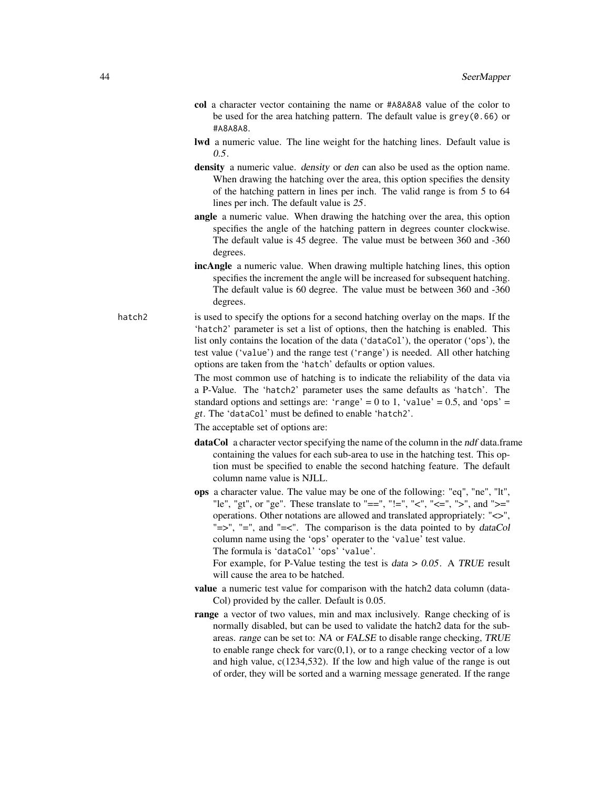- col a character vector containing the name or #A8A8A8 value of the color to be used for the area hatching pattern. The default value is  $grev(0.66)$  or #A8A8A8.
- lwd a numeric value. The line weight for the hatching lines. Default value is 0.5.
- density a numeric value. density or den can also be used as the option name. When drawing the hatching over the area, this option specifies the density of the hatching pattern in lines per inch. The valid range is from 5 to 64 lines per inch. The default value is 25.
- angle a numeric value. When drawing the hatching over the area, this option specifies the angle of the hatching pattern in degrees counter clockwise. The default value is 45 degree. The value must be between 360 and -360 degrees.
- incAngle a numeric value. When drawing multiple hatching lines, this option specifies the increment the angle will be increased for subsequent hatching. The default value is 60 degree. The value must be between 360 and -360 degrees.

hatch<sub>2</sub> is used to specify the options for a second hatching overlay on the maps. If the 'hatch2' parameter is set a list of options, then the hatching is enabled. This list only contains the location of the data ('dataCol'), the operator ('ops'), the test value ('value') and the range test ('range') is needed. All other hatching options are taken from the 'hatch' defaults or option values.

> The most common use of hatching is to indicate the reliability of the data via a P-Value. The 'hatch2' parameter uses the same defaults as 'hatch'. The standard options and settings are: 'range' = 0 to 1, 'value' = 0.5, and 'ops' = gt. The 'dataCol' must be defined to enable 'hatch2'.

The acceptable set of options are:

- dataCol a character vector specifying the name of the column in the ndf data.frame containing the values for each sub-area to use in the hatching test. This option must be specified to enable the second hatching feature. The default column name value is NJLL.
- ops a character value. The value may be one of the following: "eq", "ne", "lt", "le", "gt", or "ge". These translate to "==", "!=", "<", "<=", ">", and ">=" operations. Other notations are allowed and translated appropriately: "<>", " $\Rightarrow$ ", " $\equiv$ ", and " $\equiv$ <". The comparison is the data pointed to by *dataCol* column name using the 'ops' operater to the 'value' test value. The formula is 'dataCol' 'ops' 'value'.

For example, for P-Value testing the test is  $data > 0.05$ . A TRUE result will cause the area to be hatched.

- value a numeric test value for comparison with the hatch2 data column (data-Col) provided by the caller. Default is 0.05.
- range a vector of two values, min and max inclusively. Range checking of is normally disabled, but can be used to validate the hatch2 data for the subareas. range can be set to: NA or FALSE to disable range checking, TRUE to enable range check for  $\text{varc}(0,1)$ , or to a range checking vector of a low and high value, c(1234,532). If the low and high value of the range is out of order, they will be sorted and a warning message generated. If the range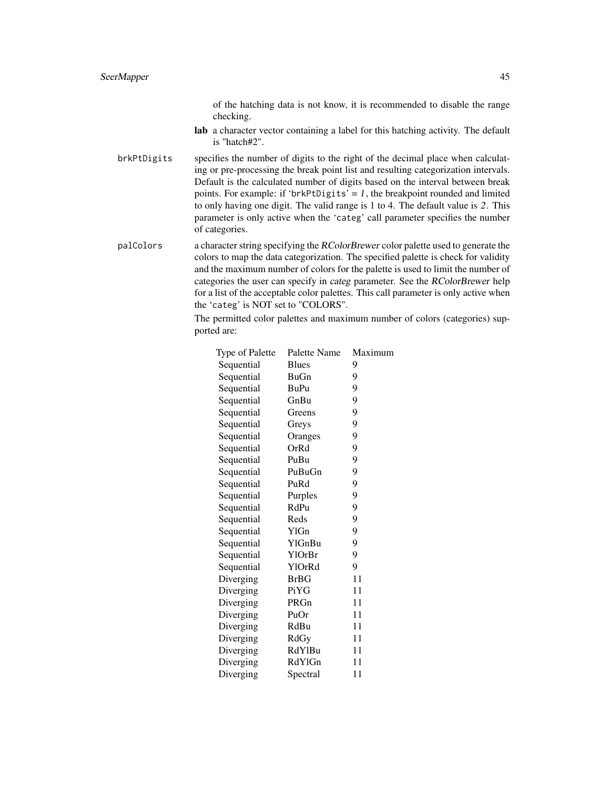of the hatching data is not know, it is recommended to disable the range checking.

- lab a character vector containing a label for this hatching activity. The default is "hatch#2".
- brkPtDigits specifies the number of digits to the right of the decimal place when calculating or pre-processing the break point list and resulting categorization intervals. Default is the calculated number of digits based on the interval between break points. For example: if 'brkPtDigits' = 1, the breakpoint rounded and limited to only having one digit. The valid range is 1 to 4. The default value is 2. This parameter is only active when the 'categ' call parameter specifies the number of categories.
- palColors a character string specifying the RColorBrewer color palette used to generate the colors to map the data categorization. The specified palette is check for validity and the maximum number of colors for the palette is used to limit the number of categories the user can specify in categ parameter. See the RColorBrewer help for a list of the acceptable color palettes. This call parameter is only active when the 'categ' is NOT set to "COLORS".

The permitted color palettes and maximum number of colors (categories) supported are:

| Type of Palette | Palette Name | Maximum |
|-----------------|--------------|---------|
| Sequential      | <b>Blues</b> | 9       |
| Sequential      | BuGn         | 9       |
| Sequential      | <b>BuPu</b>  | 9       |
| Sequential      | GnBu         | 9       |
| Sequential      | Greens       | 9       |
| Sequential      | Greys        | 9       |
| Sequential      | Oranges      | 9       |
| Sequential      | OrRd         | 9       |
| Sequential      | PuBu         | 9       |
| Sequential      | PuBuGn       | 9       |
| Sequential      | PuRd         | 9       |
| Sequential      | Purples      | 9       |
| Sequential      | RdPu         | 9       |
| Sequential      | Reds         | 9       |
| Sequential      | <b>YlGn</b>  | 9       |
| Sequential      | YlGnBu       | 9       |
| Sequential      | YlOrBr       | 9       |
| Sequential      | YlOrRd       | 9       |
| Diverging       | <b>BrBG</b>  | 11      |
| Diverging       | Pi YG        | 11      |
| Diverging       | PRGn         | 11      |
| Diverging       | PuOr         | 11      |
| Diverging       | RdBu         | 11      |
| Diverging       | RdGy         | 11      |
| Diverging       | RdYlBu       | 11      |
| Diverging       | RdYlGn       | 11      |
| Diverging       | Spectral     | 11      |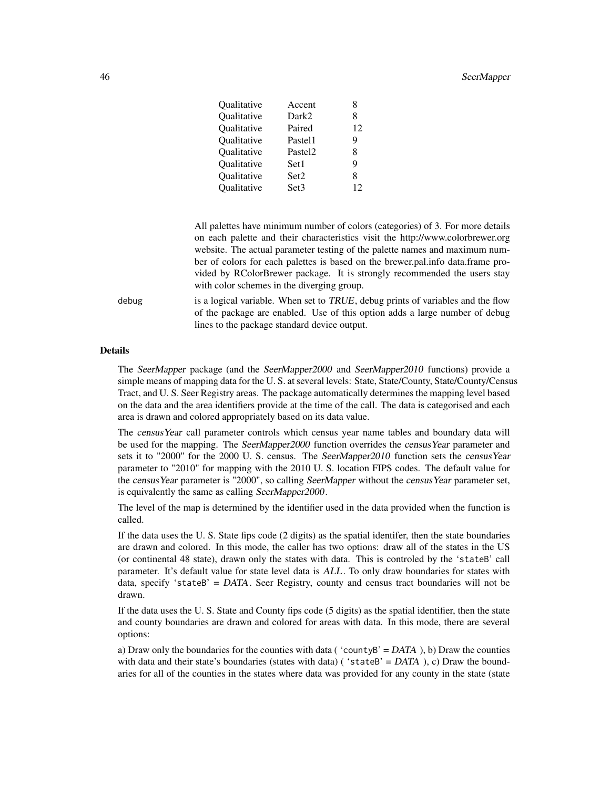#### Absolute the second second second second second second second second second second second second second second second second second second second second second second second second second second second second second second

| 8  |
|----|
|    |
| 12 |
| 9  |
| 8  |
| 9  |
| 8  |
| 12 |
|    |

All palettes have minimum number of colors (categories) of 3. For more details on each palette and their characteristics visit the http://www.colorbrewer.org website. The actual parameter testing of the palette names and maximum number of colors for each palettes is based on the brewer.pal.info data.frame provided by RColorBrewer package. It is strongly recommended the users stay with color schemes in the diverging group.

debug is a logical variable. When set to  $TRUE$ , debug prints of variables and the flow of the package are enabled. Use of this option adds a large number of debug lines to the package standard device output.

## Details

The SeerMapper package (and the SeerMapper2000 and SeerMapper2010 functions) provide a simple means of mapping data for the U. S. at several levels: State, State/County, State/County/Census Tract, and U. S. Seer Registry areas. The package automatically determines the mapping level based on the data and the area identifiers provide at the time of the call. The data is categorised and each area is drawn and colored appropriately based on its data value.

The censusYear call parameter controls which census year name tables and boundary data will be used for the mapping. The SeerMapper2000 function overrides the census Year parameter and sets it to "2000" for the 2000 U. S. census. The SeerMapper2010 function sets the censusYear parameter to "2010" for mapping with the 2010 U. S. location FIPS codes. The default value for the census Year parameter is "2000", so calling SeerMapper without the census Year parameter set, is equivalently the same as calling SeerMapper2000.

The level of the map is determined by the identifier used in the data provided when the function is called.

If the data uses the U. S. State fips code (2 digits) as the spatial identifer, then the state boundaries are drawn and colored. In this mode, the caller has two options: draw all of the states in the US (or continental 48 state), drawn only the states with data. This is controled by the 'stateB' call parameter. It's default value for state level data is ALL. To only draw boundaries for states with data, specify 'stateB' =  $DATA$ . Seer Registry, county and census tract boundaries will not be drawn.

If the data uses the U. S. State and County fips code (5 digits) as the spatial identifier, then the state and county boundaries are drawn and colored for areas with data. In this mode, there are several options:

a) Draw only the boundaries for the counties with data ( $\text{'countyB'} = DATA$ ), b) Draw the counties with data and their state's boundaries (states with data) ( $\text{'stateB'} = DATA$ ), c) Draw the boundaries for all of the counties in the states where data was provided for any county in the state (state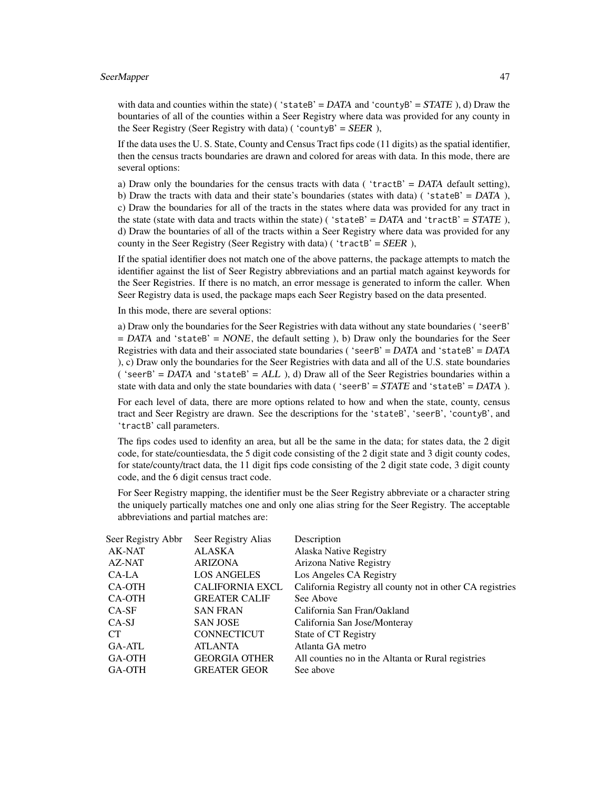with data and counties within the state) ('stateB' =  $DATA$  and 'countyB' =  $STATE$ ), d) Draw the bountaries of all of the counties within a Seer Registry where data was provided for any county in the Seer Registry (Seer Registry with data) ( 'countyB' =  $SEER$ ),

If the data uses the U. S. State, County and Census Tract fips code (11 digits) as the spatial identifier, then the census tracts boundaries are drawn and colored for areas with data. In this mode, there are several options:

a) Draw only the boundaries for the census tracts with data ( $'$ tractB' = DATA default setting), b) Draw the tracts with data and their state's boundaries (states with data) ('stateB' =  $DATA$ ), c) Draw the boundaries for all of the tracts in the states where data was provided for any tract in the state (state with data and tracts within the state) ('stateB' =  $DATA$  and 'tractB' =  $STATE$ ), d) Draw the bountaries of all of the tracts within a Seer Registry where data was provided for any county in the Seer Registry (Seer Registry with data) ( 'tractB' =  $SEER$ ),

If the spatial identifier does not match one of the above patterns, the package attempts to match the identifier against the list of Seer Registry abbreviations and an partial match against keywords for the Seer Registries. If there is no match, an error message is generated to inform the caller. When Seer Registry data is used, the package maps each Seer Registry based on the data presented.

In this mode, there are several options:

a) Draw only the boundaries for the Seer Registries with data without any state boundaries ( 'seerB'  $=$  DATA and 'stateB'  $=$  NONE, the default setting ), b) Draw only the boundaries for the Seer Registries with data and their associated state boundaries ('seerB' =  $DATA$  and 'stateB' =  $DATA$ ), c) Draw only the boundaries for the Seer Registries with data and all of the U.S. state boundaries ( 'seerB' =  $DATA$  and 'stateB' =  $ALL$  ), d) Draw all of the Seer Registries boundaries within a state with data and only the state boundaries with data ('seerB' =  $STATE$  and 'stateB' =  $DATA$ ).

For each level of data, there are more options related to how and when the state, county, census tract and Seer Registry are drawn. See the descriptions for the 'stateB', 'seerB', 'countyB', and 'tractB' call parameters.

The fips codes used to idenfity an area, but all be the same in the data; for states data, the 2 digit code, for state/countiesdata, the 5 digit code consisting of the 2 digit state and 3 digit county codes, for state/county/tract data, the 11 digit fips code consisting of the 2 digit state code, 3 digit county code, and the 6 digit census tract code.

For Seer Registry mapping, the identifier must be the Seer Registry abbreviate or a character string the uniquely partically matches one and only one alias string for the Seer Registry. The acceptable abbreviations and partial matches are:

| Seer Registry Abbr | Seer Registry Alias    | Description                                               |
|--------------------|------------------------|-----------------------------------------------------------|
| AK-NAT             | <b>ALASKA</b>          | Alaska Native Registry                                    |
| AZ-NAT             | <b>ARIZONA</b>         | Arizona Native Registry                                   |
| CA-LA              | <b>LOS ANGELES</b>     | Los Angeles CA Registry                                   |
| CA-OTH             | <b>CALIFORNIA EXCL</b> | California Registry all county not in other CA registries |
| CA-OTH             | <b>GREATER CALIF</b>   | See Above                                                 |
| $CA-SF$            | <b>SAN FRAN</b>        | California San Fran/Oakland                               |
| $CA-SJ$            | <b>SAN JOSE</b>        | California San Jose/Monteray                              |
| CT.                | <b>CONNECTICUT</b>     | State of CT Registry                                      |
| GA-ATL             | <b>ATLANTA</b>         | Atlanta GA metro                                          |
| GA-OTH             | <b>GEORGIA OTHER</b>   | All counties no in the Altanta or Rural registries        |
| GA-OTH             | <b>GREATER GEOR</b>    | See above                                                 |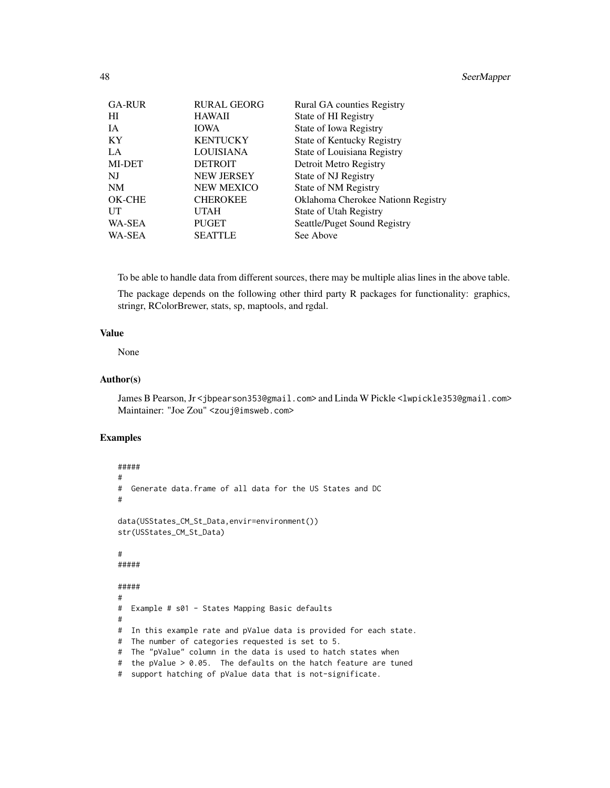| <b>GA-RUR</b> | <b>RURAL GEORG</b> | Rural GA counties Registry         |
|---------------|--------------------|------------------------------------|
| HI            | <b>HAWAII</b>      | State of HI Registry               |
| <b>IA</b>     | <b>IOWA</b>        | State of Iowa Registry             |
| KY            | <b>KENTUCKY</b>    | State of Kentucky Registry         |
| LA            | <b>LOUISIANA</b>   | State of Louisiana Registry        |
| MI-DET        | <b>DETROIT</b>     | Detroit Metro Registry             |
| NJ            | <b>NEW JERSEY</b>  | State of NJ Registry               |
| <b>NM</b>     | <b>NEW MEXICO</b>  | State of NM Registry               |
| OK-CHE        | <b>CHEROKEE</b>    | Oklahoma Cherokee Nationn Registry |
| UT            | <b>UTAH</b>        | State of Utah Registry             |
| WA-SEA        | <b>PUGET</b>       | Seattle/Puget Sound Registry       |
| WA-SEA        | <b>SEATTLE</b>     | See Above                          |

To be able to handle data from different sources, there may be multiple alias lines in the above table.

The package depends on the following other third party R packages for functionality: graphics, stringr, RColorBrewer, stats, sp, maptools, and rgdal.

# Value

None

### Author(s)

James B Pearson, Jr <jbpearson353@gmail.com> and Linda W Pickle <lwpickle353@gmail.com> Maintainer: "Joe Zou" <zouj@imsweb.com>

# Examples

```
#####
#
# Generate data.frame of all data for the US States and DC
#
data(USStates_CM_St_Data,envir=environment())
str(USStates_CM_St_Data)
#
#####
#####
#
# Example # s01 - States Mapping Basic defaults
#
# In this example rate and pValue data is provided for each state.
# The number of categories requested is set to 5.
# The "pValue" column in the data is used to hatch states when
# the pValue > 0.05. The defaults on the hatch feature are tuned
# support hatching of pValue data that is not-significate.
```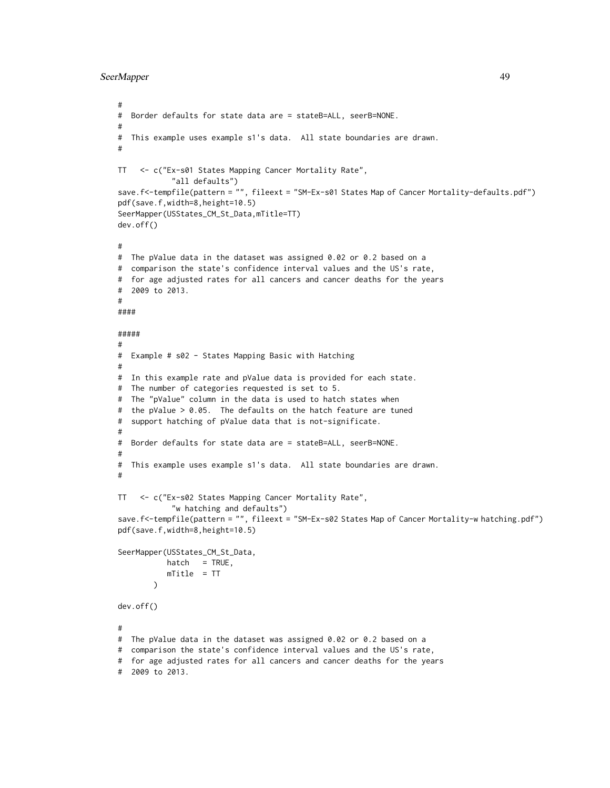```
SeerMapper 49
```

```
#
# Border defaults for state data are = stateB=ALL, seerB=NONE.
#
# This example uses example s1's data. All state boundaries are drawn.
#
TT <- c("Ex-s01 States Mapping Cancer Mortality Rate",
            "all defaults")
save.f<-tempfile(pattern = "", fileext = "SM-Ex-s01 States Map of Cancer Mortality-defaults.pdf")
pdf(save.f,width=8,height=10.5)
SeerMapper(USStates_CM_St_Data,mTitle=TT)
dev.off()
#
# The pValue data in the dataset was assigned 0.02 or 0.2 based on a
# comparison the state's confidence interval values and the US's rate,
# for age adjusted rates for all cancers and cancer deaths for the years
# 2009 to 2013.
#
####
#####
#
# Example # s02 - States Mapping Basic with Hatching
#
# In this example rate and pValue data is provided for each state.
# The number of categories requested is set to 5.
# The "pValue" column in the data is used to hatch states when
# the pValue > 0.05. The defaults on the hatch feature are tuned
# support hatching of pValue data that is not-significate.
#
# Border defaults for state data are = stateB=ALL, seerB=NONE.
#
# This example uses example s1's data. All state boundaries are drawn.
#
TT <- c("Ex-s02 States Mapping Cancer Mortality Rate",
            "w hatching and defaults")
save.f<-tempfile(pattern = "", fileext = "SM-Ex-s02 States Map of Cancer Mortality-w hatching.pdf")
pdf(save.f,width=8,height=10.5)
SeerMapper(USStates_CM_St_Data,
          hat = TRUE,mTitle = TT
        \lambdadev.off()
#
# The pValue data in the dataset was assigned 0.02 or 0.2 based on a
# comparison the state's confidence interval values and the US's rate,
# for age adjusted rates for all cancers and cancer deaths for the years
# 2009 to 2013.
```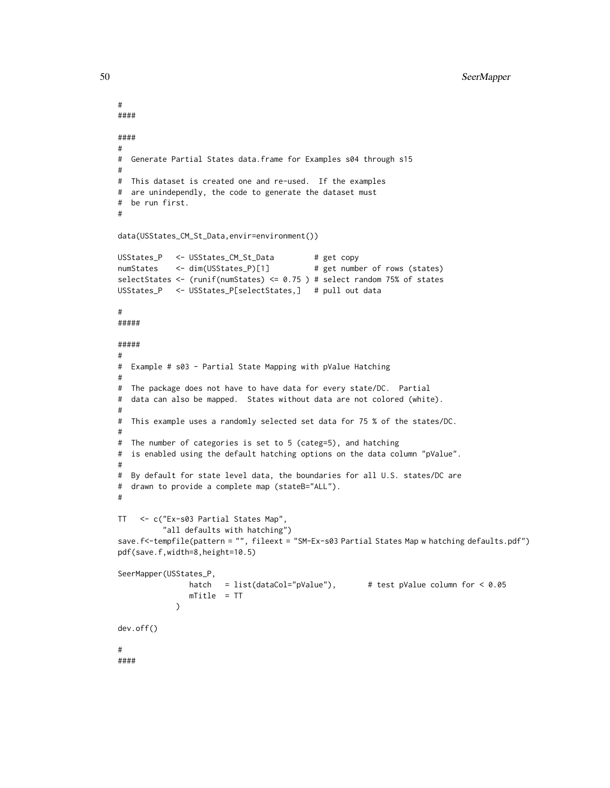```
#
####
####
#
# Generate Partial States data.frame for Examples s04 through s15
#
# This dataset is created one and re-used. If the examples
# are unindependly, the code to generate the dataset must
# be run first.
#
data(USStates_CM_St_Data,envir=environment())
USStates_P <- USStates_CM_St_Data # get copy
numStates <- dim(USStates_P)[1] # get number of rows (states)
selectStates <- (runif(numStates) <= 0.75 ) # select random 75% of states
USStates_P <- USStates_P[selectStates,] # pull out data
#
#####
#####
#
# Example # s03 - Partial State Mapping with pValue Hatching
#
# The package does not have to have data for every state/DC. Partial
# data can also be mapped. States without data are not colored (white).
#
# This example uses a randomly selected set data for 75 % of the states/DC.
#
# The number of categories is set to 5 (categ=5), and hatching
# is enabled using the default hatching options on the data column "pValue".
#
# By default for state level data, the boundaries for all U.S. states/DC are
# drawn to provide a complete map (stateB="ALL").
#
TT <- c("Ex-s03 Partial States Map",
          "all defaults with hatching")
save.f<-tempfile(pattern = "", fileext = "SM-Ex-s03 Partial States Map w hatching defaults.pdf")
pdf(save.f,width=8,height=10.5)
SeerMapper(USStates_P,
               hatch = list(dataCol="pValue"), \qquad # test pValue column for < 0.05
               mTitle = TT
            \lambdadev.off()
#
####
```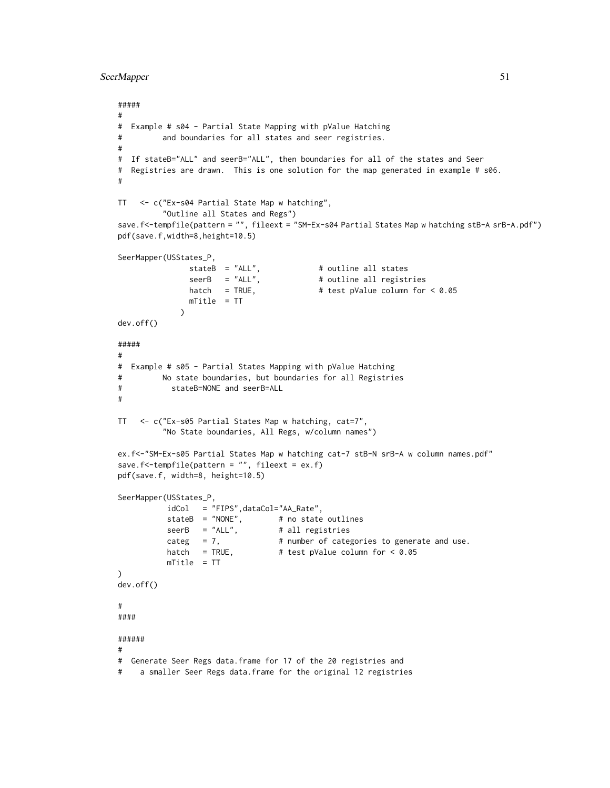```
SeerMapper 51
```

```
#####
#
# Example # s04 - Partial State Mapping with pValue Hatching
# and boundaries for all states and seer registries.
#
# If stateB="ALL" and seerB="ALL", then boundaries for all of the states and Seer
# Registries are drawn. This is one solution for the map generated in example # s06.
#
TT <- c("Ex-s04 Partial State Map w hatching",
         "Outline all States and Regs")
save.f<-tempfile(pattern = "", fileext = "SM-Ex-s04 Partial States Map w hatching stB-A srB-A.pdf")
pdf(save.f,width=8,height=10.5)
SeerMapper(USStates_P,
               stateB = "ALL", # outline all states
               seerB = "ALL", # outline all registries
              hatch = TRUE, \# test pValue column for < 0.05
              mTitle = TT
             )
dev.off()
#####
#
# Example # s05 - Partial States Mapping with pValue Hatching
# No state boundaries, but boundaries for all Registries
# stateB=NONE and seerB=ALL
#
TT <- c("Ex-s05 Partial States Map w hatching, cat=7",
         "No State boundaries, All Regs, w/column names")
ex.f<-"SM-Ex-s05 Partial States Map w hatching cat-7 stB-N srB-A w column names.pdf"
save.f<-tempfile(pattern = ", fileext = ex.f)
pdf(save.f, width=8, height=10.5)
SeerMapper(USStates_P,
          idCol = "FIPS",dataCol="AA_Rate",
          stateB = "NONE", # no state outlines
          seerB = "ALL", # all registries
          categ = 7, # number of categories to generate and use.
          hatch = TRUE, \# test pValue column for < 0.05
          mTitle = TT
)
dev.off()
#
####
######
#
# Generate Seer Regs data.frame for 17 of the 20 registries and
# a smaller Seer Regs data.frame for the original 12 registries
```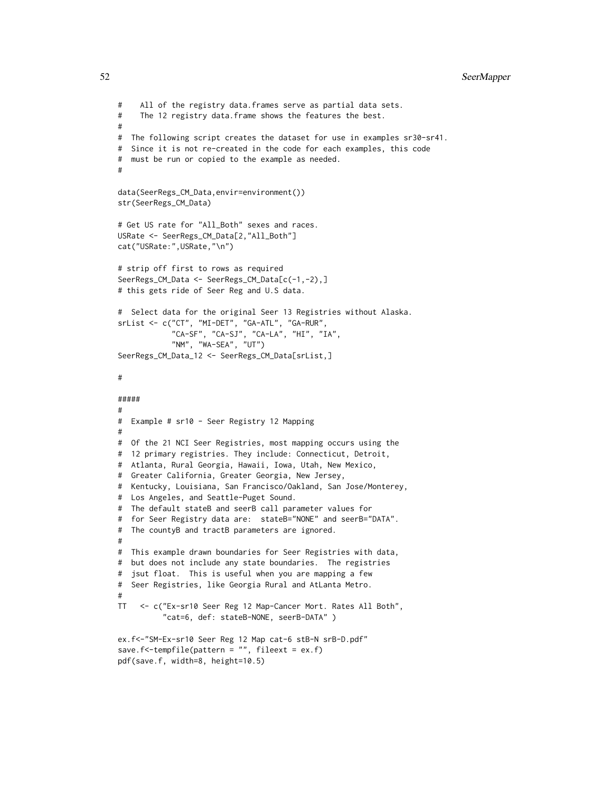```
# All of the registry data.frames serve as partial data sets.
# The 12 registry data.frame shows the features the best.
#
# The following script creates the dataset for use in examples sr30-sr41.
# Since it is not re-created in the code for each examples, this code
# must be run or copied to the example as needed.
#
data(SeerRegs_CM_Data,envir=environment())
str(SeerRegs_CM_Data)
# Get US rate for "All_Both" sexes and races.
USRate <- SeerRegs_CM_Data[2,"All_Both"]
cat("USRate:",USRate,"\n")
# strip off first to rows as required
SeerRegs_CM_Data <- SeerRegs_CM_Data[c(-1,-2),]
# this gets ride of Seer Reg and U.S data.
# Select data for the original Seer 13 Registries without Alaska.
srList <- c("CT", "MI-DET", "GA-ATL", "GA-RUR",
            "CA-SF", "CA-SJ", "CA-LA", "HI", "IA",
            "NM", "WA-SEA", "UT")
SeerRegs_CM_Data_12 <- SeerRegs_CM_Data[srList,]
#
#####
#
# Example # sr10 - Seer Registry 12 Mapping
#
# Of the 21 NCI Seer Registries, most mapping occurs using the
# 12 primary registries. They include: Connecticut, Detroit,
# Atlanta, Rural Georgia, Hawaii, Iowa, Utah, New Mexico,
# Greater California, Greater Georgia, New Jersey,
# Kentucky, Louisiana, San Francisco/Oakland, San Jose/Monterey,
# Los Angeles, and Seattle-Puget Sound.
# The default stateB and seerB call parameter values for
# for Seer Registry data are: stateB="NONE" and seerB="DATA".
# The countyB and tractB parameters are ignored.
#
# This example drawn boundaries for Seer Registries with data,
# but does not include any state boundaries. The registries
# jsut float. This is useful when you are mapping a few
# Seer Registries, like Georgia Rural and AtLanta Metro.
#
TT <- c("Ex-sr10 Seer Reg 12 Map-Cancer Mort. Rates All Both",
          "cat=6, def: stateB-NONE, seerB-DATA" )
ex.f<-"SM-Ex-sr10 Seer Reg 12 Map cat-6 stB-N srB-D.pdf"
save.f<-tempfile(pattern = "", fileext = ex.f)
```

```
pdf(save.f, width=8, height=10.5)
```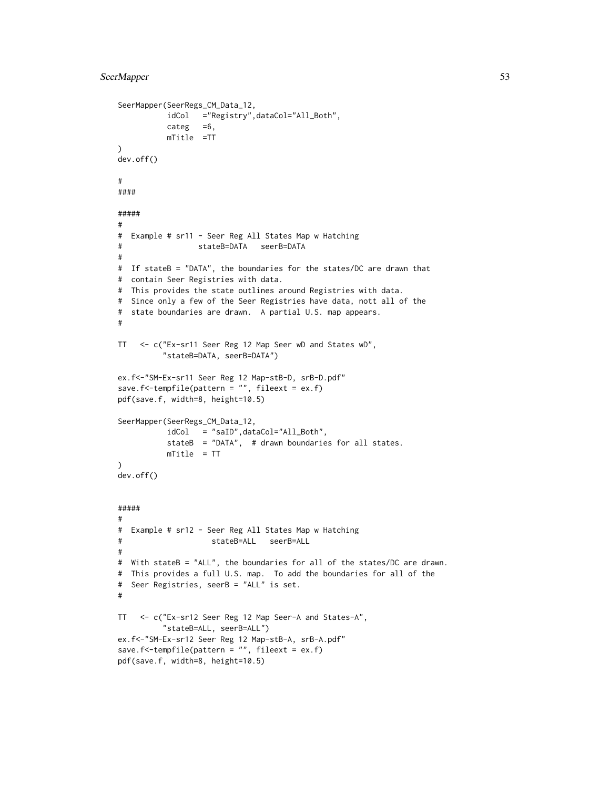```
SeerMapper(SeerRegs_CM_Data_12,
          idCol ="Registry",dataCol="All_Both",
          categ =6,
          mTitle =TT
)
dev.off()
#
####
#####
#
# Example # sr11 - Seer Reg All States Map w Hatching
# stateB=DATA seerB=DATA
#
# If stateB = "DATA", the boundaries for the states/DC are drawn that
# contain Seer Registries with data.
# This provides the state outlines around Registries with data.
# Since only a few of the Seer Registries have data, nott all of the
# state boundaries are drawn. A partial U.S. map appears.
#
TT <- c("Ex-sr11 Seer Reg 12 Map Seer wD and States wD",
         "stateB=DATA, seerB=DATA")
ex.f<-"SM-Ex-sr11 Seer Reg 12 Map-stB-D, srB-D.pdf"
save.f<-tempfile(pattern = "", fileext = ex.f)
pdf(save.f, width=8, height=10.5)
SeerMapper(SeerRegs_CM_Data_12,
          idCol = "saID",dataCol="All_Both",
          stateB = "DATA", # drawn boundaries for all states.
          mTitle = TT
)
dev.off()
#####
#
# Example # sr12 - Seer Reg All States Map w Hatching
# stateB=ALL seerB=ALL
#
# With stateB = "ALL", the boundaries for all of the states/DC are drawn.
# This provides a full U.S. map. To add the boundaries for all of the
# Seer Registries, seerB = "ALL" is set.
#
TT <- c("Ex-sr12 Seer Reg 12 Map Seer-A and States-A",
         "stateB=ALL, seerB=ALL")
ex.f<-"SM-Ex-sr12 Seer Reg 12 Map-stB-A, srB-A.pdf"
save.f<-tempfile(pattern = "", fileext = ex.f)
pdf(save.f, width=8, height=10.5)
```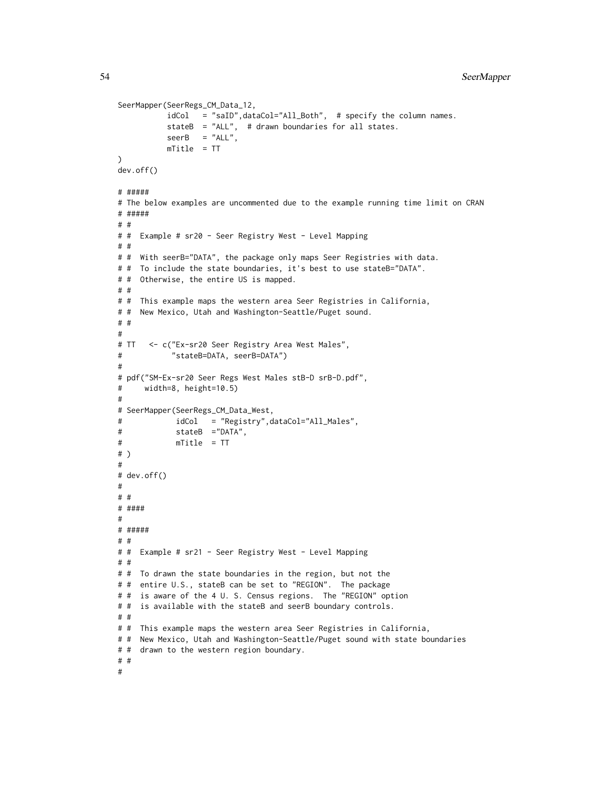```
SeerMapper(SeerRegs_CM_Data_12,
          idCol = "saID",dataCol="All_Both", # specify the column names.
          stateB = "ALL", # drawn boundaries for all states.
          seerB = "ALL",mTitle = TT
)
dev.off()
# #####
# The below examples are uncommented due to the example running time limit on CRAN
# #####
# #
# # Example # sr20 - Seer Registry West - Level Mapping
# #
# # With seerB="DATA", the package only maps Seer Registries with data.
# # To include the state boundaries, it's best to use stateB="DATA".
# # Otherwise, the entire US is mapped.
# #
# # This example maps the western area Seer Registries in California,
# # New Mexico, Utah and Washington-Seattle/Puget sound.
# #
#
# TT <- c("Ex-sr20 Seer Registry Area West Males",
# "stateB=DATA, seerB=DATA")
#
# pdf("SM-Ex-sr20 Seer Regs West Males stB-D srB-D.pdf",
# width=8, height=10.5)
#
# SeerMapper(SeerRegs_CM_Data_West,
# idCol = "Registry",dataCol="All_Males",
# stateB ="DATA",
# mTitle = TT
# )
#
# dev.off()
#
# #
# ####
#
# #####
# #
# # Example # sr21 - Seer Registry West - Level Mapping
# #
# # To drawn the state boundaries in the region, but not the
# # entire U.S., stateB can be set to "REGION". The package
# # is aware of the 4 U. S. Census regions. The "REGION" option
# # is available with the stateB and seerB boundary controls.
# #
# # This example maps the western area Seer Registries in California,
# # New Mexico, Utah and Washington-Seattle/Puget sound with state boundaries
# # drawn to the western region boundary.
# #
#
```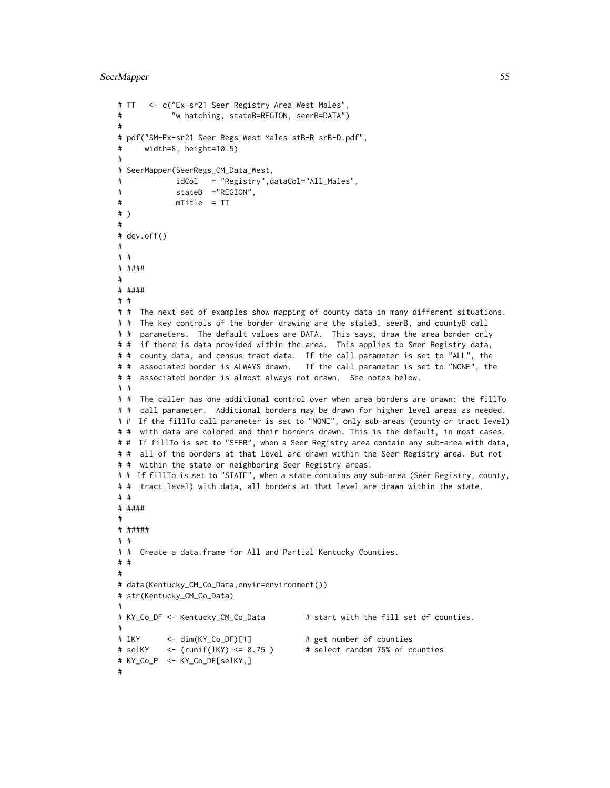```
# TT <- c("Ex-sr21 Seer Registry Area West Males",
# "w hatching, stateB=REGION, seerB=DATA")
#
# pdf("SM-Ex-sr21 Seer Regs West Males stB-R srB-D.pdf",
# width=8, height=10.5)
#
# SeerMapper(SeerRegs_CM_Data_West,
# idCol = "Registry",dataCol="All_Males",
# stateB ="REGION",
# mTitle = TT
# )
#
# dev.off()
#
# #
# ####
#
# ####
# #
# # The next set of examples show mapping of county data in many different situations.
# # The key controls of the border drawing are the stateB, seerB, and countyB call
# # parameters. The default values are DATA. This says, draw the area border only
# # if there is data provided within the area. This applies to Seer Registry data,
# # county data, and census tract data. If the call parameter is set to "ALL", the
# # associated border is ALWAYS drawn. If the call parameter is set to "NONE", the
# # associated border is almost always not drawn. See notes below.
# #
# # The caller has one additional control over when area borders are drawn: the fillTo
# # call parameter. Additional borders may be drawn for higher level areas as needed.
# # If the fillTo call parameter is set to "NONE", only sub-areas (county or tract level)
# # with data are colored and their borders drawn. This is the default, in most cases.
# # If fillTo is set to "SEER", when a Seer Registry area contain any sub-area with data,
# # all of the borders at that level are drawn within the Seer Registry area. But not
# # within the state or neighboring Seer Registry areas.
# # If fillTo is set to "STATE", when a state contains any sub-area (Seer Registry, county,
# # tract level) with data, all borders at that level are drawn within the state.
# #
# ####
#
# #####
# #
# # Create a data.frame for All and Partial Kentucky Counties.
# #
#
# data(Kentucky_CM_Co_Data,envir=environment())
# str(Kentucky_CM_Co_Data)
#
# KY_Co_DF <- Kentucky_CM_Co_Data # start with the fill set of counties.
#
# lKY <- dim(KY_Co_DF)[1] # get number of counties
# selKY <- (runif(lKY) <= 0.75 ) # select random 75% of counties
# KY_Co_P <- KY_Co_DF[selKY,]
#
```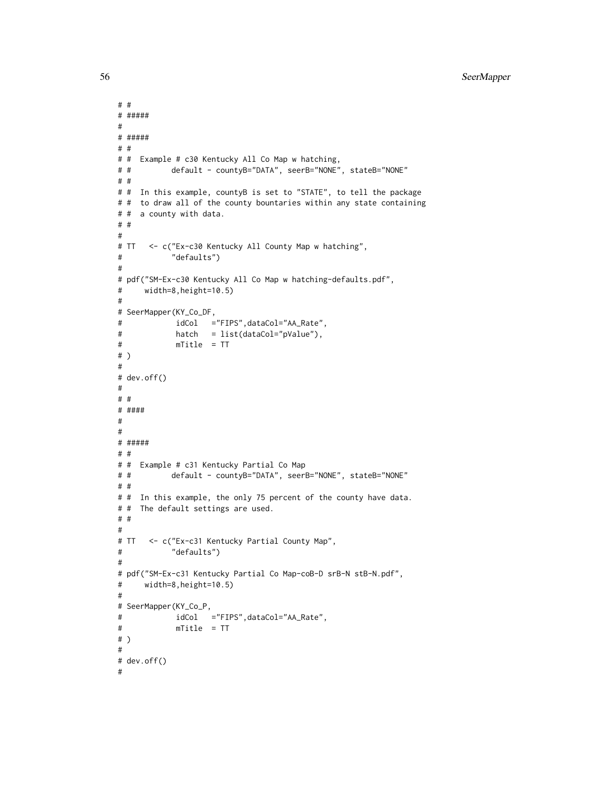```
# #
# #####
#
# #####
# #
# # Example # c30 Kentucky All Co Map w hatching,
# # default - countyB="DATA", seerB="NONE", stateB="NONE"
# #
# # In this example, countyB is set to "STATE", to tell the package
# # to draw all of the county bountaries within any state containing
# # a county with data.
# #
#
# TT <- c("Ex-c30 Kentucky All County Map w hatching",
# "defaults")
#
# pdf("SM-Ex-c30 Kentucky All Co Map w hatching-defaults.pdf",
# width=8,height=10.5)
#
# SeerMapper(KY_Co_DF,
# idCol ="FIPS",dataCol="AA_Rate",
# hatch = list(dataCol="pValue"),
# mTitle = TT
# )
#
# dev.off()
#
# #
# ####
#
#
# #####
# #
# # Example # c31 Kentucky Partial Co Map
# # default - countyB="DATA", seerB="NONE", stateB="NONE"
# #
# # In this example, the only 75 percent of the county have data.
# # The default settings are used.
# #
#
# TT <- c("Ex-c31 Kentucky Partial County Map",
# "defaults")
#
# pdf("SM-Ex-c31 Kentucky Partial Co Map-coB-D srB-N stB-N.pdf",
# width=8,height=10.5)
#
# SeerMapper(KY_Co_P,
# idCol ="FIPS",dataCol="AA_Rate",
# mTitle = TT
# )
#
# dev.off()
#
```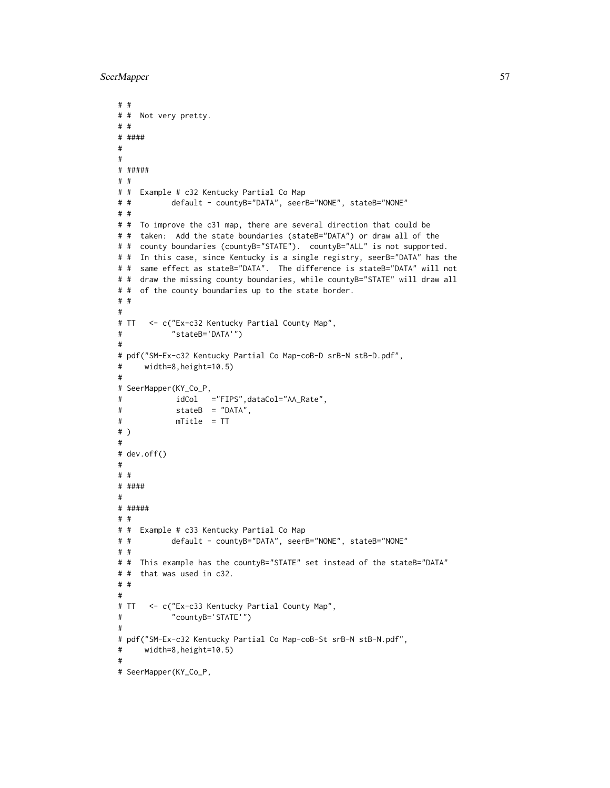```
# #
# # Not very pretty.
# #
# ####
#
#
# #####
# #
# # Example # c32 Kentucky Partial Co Map
# # default - countyB="DATA", seerB="NONE", stateB="NONE"
# #
# # To improve the c31 map, there are several direction that could be
# # taken: Add the state boundaries (stateB="DATA") or draw all of the
# # county boundaries (countyB="STATE"). countyB="ALL" is not supported.
# # In this case, since Kentucky is a single registry, seerB="DATA" has the
# # same effect as stateB="DATA". The difference is stateB="DATA" will not
# # draw the missing county boundaries, while countyB="STATE" will draw all
# # of the county boundaries up to the state border.
# #
#
# TT <- c("Ex-c32 Kentucky Partial County Map",
# "stateB='DATA'")
#
# pdf("SM-Ex-c32 Kentucky Partial Co Map-coB-D srB-N stB-D.pdf",
# width=8,height=10.5)
#
# SeerMapper(KY_Co_P,
# idCol ="FIPS",dataCol="AA_Rate",
# stateB = "DATA",
# mTitle = TT
# )
#
# dev.off()
#
# #
# ####
#
# #####
# #
# # Example # c33 Kentucky Partial Co Map
# # default - countyB="DATA", seerB="NONE", stateB="NONE"
# #
# # This example has the countyB="STATE" set instead of the stateB="DATA"
# # that was used in c32.
# #
#
# TT <- c("Ex-c33 Kentucky Partial County Map",
# "countyB='STATE'")
#
# pdf("SM-Ex-c32 Kentucky Partial Co Map-coB-St srB-N stB-N.pdf",
# width=8,height=10.5)
#
# SeerMapper(KY_Co_P,
```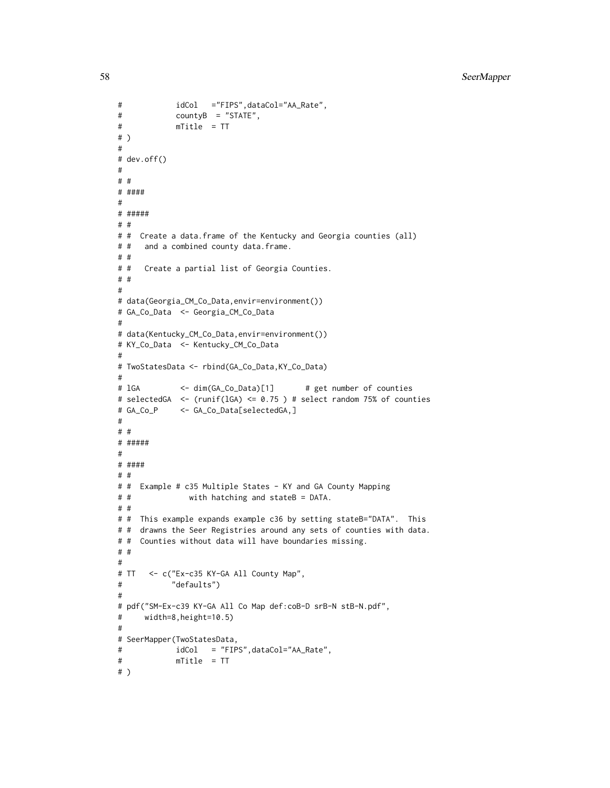```
# idCol ="FIPS",dataCol="AA_Rate",
# countyB = "STATE",
# mTitle = TT
# )
#
# dev.off()
#
# #
# ####
#
# #####
# #
# # Create a data.frame of the Kentucky and Georgia counties (all)
# # and a combined county data.frame.
# #
# # Create a partial list of Georgia Counties.
# #
#
# data(Georgia_CM_Co_Data,envir=environment())
# GA_Co_Data <- Georgia_CM_Co_Data
#
# data(Kentucky_CM_Co_Data,envir=environment())
# KY_Co_Data <- Kentucky_CM_Co_Data
#
# TwoStatesData <- rbind(GA_Co_Data,KY_Co_Data)
#
# lGA <- dim(GA_Co_Data)[1] # get number of counties
# selectedGA <- (runif(lGA) <= 0.75 ) # select random 75% of counties
# GA_Co_P <- GA_Co_Data[selectedGA,]
#
# #
# #####
#
# ####
# #
# # Example # c35 Multiple States - KY and GA County Mapping
# # with hatching and stateB = DATA.
# #
# # This example expands example c36 by setting stateB="DATA". This
# # drawns the Seer Registries around any sets of counties with data.
# # Counties without data will have boundaries missing.
# #
#
# TT <- c("Ex-c35 KY-GA All County Map",
# "defaults")
#
# pdf("SM-Ex-c39 KY-GA All Co Map def:coB-D srB-N stB-N.pdf",
# width=8,height=10.5)
#
# SeerMapper(TwoStatesData,
# idCol = "FIPS",dataCol="AA_Rate",
# mTitle = TT
# )
```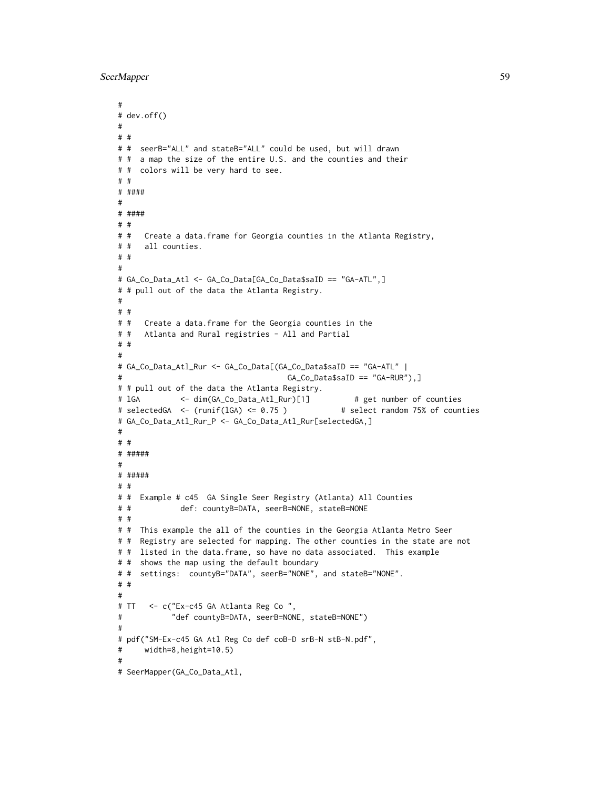```
#
# dev.off()
#
# #
# # seerB="ALL" and stateB="ALL" could be used, but will drawn
# # a map the size of the entire U.S. and the counties and their
# # colors will be very hard to see.
# #
# ####
#
# ####
# #
# # Create a data.frame for Georgia counties in the Atlanta Registry,
# # all counties.
# #
#
# GA_Co_Data_Atl <- GA_Co_Data[GA_Co_Data$saID == "GA-ATL",]
# # pull out of the data the Atlanta Registry.
#
# #
# # Create a data.frame for the Georgia counties in the
# # Atlanta and Rural registries - All and Partial
# #
#
# GA_Co_Data_Atl_Rur <- GA_Co_Data[(GA_Co_Data$saID == "GA-ATL" |
# GA_Co_Data$saID == "GA-RUR"),]
# # pull out of the data the Atlanta Registry.
# 1GA <- dim(GA_Co_Data_Atl_Rur)[1] # get number of counties
# selectedGA <- (runif(lGA) <= 0.75 ) # select random 75% of counties
# GA_Co_Data_Atl_Rur_P <- GA_Co_Data_Atl_Rur[selectedGA,]
#
# #
# #####
#
# #####
# #
# # Example # c45 GA Single Seer Registry (Atlanta) All Counties
# # def: countyB=DATA, seerB=NONE, stateB=NONE
# #
# # This example the all of the counties in the Georgia Atlanta Metro Seer
# # Registry are selected for mapping. The other counties in the state are not
# # listed in the data.frame, so have no data associated. This example
# # shows the map using the default boundary
# # settings: countyB="DATA", seerB="NONE", and stateB="NONE".
# #
#
# TT <- c("Ex-c45 GA Atlanta Reg Co ",
# "def countyB=DATA, seerB=NONE, stateB=NONE")
#
# pdf("SM-Ex-c45 GA Atl Reg Co def coB-D srB-N stB-N.pdf",
# width=8,height=10.5)
#
# SeerMapper(GA_Co_Data_Atl,
```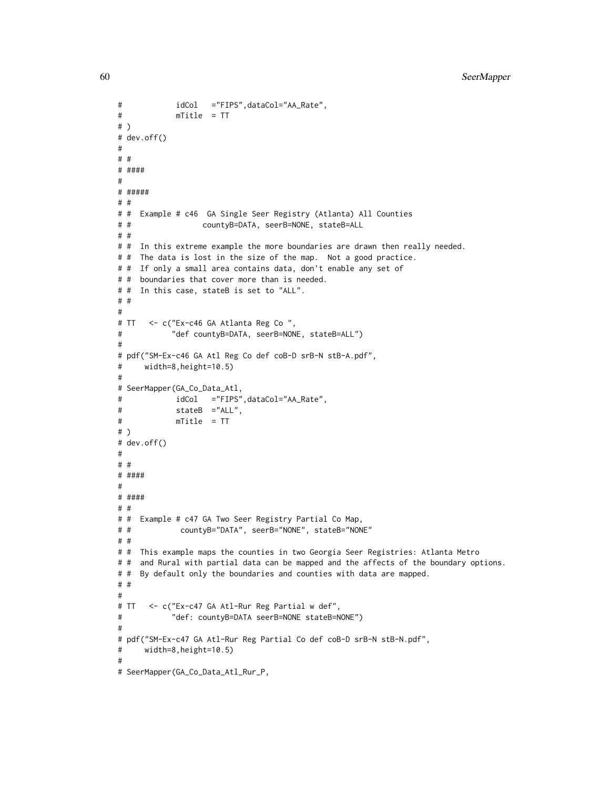```
# idCol ="FIPS",dataCol="AA_Rate",
# mTitle = TT
# )
# dev.off()
#
# #
# ####
#
# #####
# #
# # Example # c46 GA Single Seer Registry (Atlanta) All Counties
# # countyB=DATA, seerB=NONE, stateB=ALL
# #
# # In this extreme example the more boundaries are drawn then really needed.
# # The data is lost in the size of the map. Not a good practice.
# # If only a small area contains data, don't enable any set of
# # boundaries that cover more than is needed.
# # In this case, stateB is set to "ALL".
# #
#
# TT <- c("Ex-c46 GA Atlanta Reg Co ",
# "def countyB=DATA, seerB=NONE, stateB=ALL")
#
# pdf("SM-Ex-c46 GA Atl Reg Co def coB-D srB-N stB-A.pdf",
# width=8,height=10.5)
#
# SeerMapper(GA_Co_Data_Atl,
# idCol ="FIPS",dataCol="AA_Rate",
# stateB ="ALL",
# mTitle = TT
# )
# dev.off()
#
# #
# ####
#
# ####
# #
# # Example # c47 GA Two Seer Registry Partial Co Map,
# # countyB="DATA", seerB="NONE", stateB="NONE"
# #
# # This example maps the counties in two Georgia Seer Registries: Atlanta Metro
# # and Rural with partial data can be mapped and the affects of the boundary options.
# # By default only the boundaries and counties with data are mapped.
# #
#
# TT <- c("Ex-c47 GA Atl-Rur Reg Partial w def",
# "def: countyB=DATA seerB=NONE stateB=NONE")
#
# pdf("SM-Ex-c47 GA Atl-Rur Reg Partial Co def coB-D srB-N stB-N.pdf",
# width=8,height=10.5)
#
# SeerMapper(GA_Co_Data_Atl_Rur_P,
```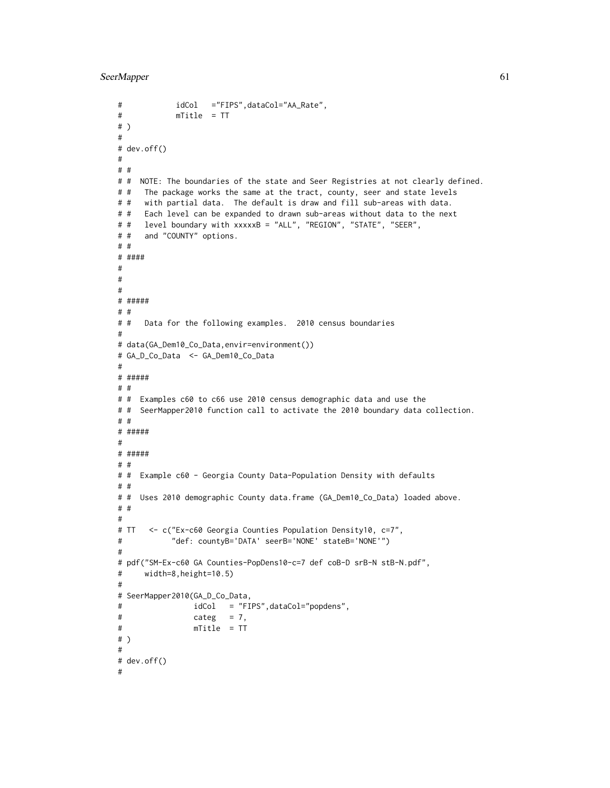```
# idCol ="FIPS",dataCol="AA_Rate",
# mTitle = TT
# )
#
# dev.off()
#
# #
# # NOTE: The boundaries of the state and Seer Registries at not clearly defined.
# # The package works the same at the tract, county, seer and state levels
# # with partial data. The default is draw and fill sub-areas with data.
# # Each level can be expanded to drawn sub-areas without data to the next
# # level boundary with xxxxxB = "ALL", "REGION", "STATE", "SEER",
# # and "COUNTY" options.
# #
# ####
#
#
#
# #####
# #
# # Data for the following examples. 2010 census boundaries
#
# data(GA_Dem10_Co_Data,envir=environment())
# GA_D_Co_Data <- GA_Dem10_Co_Data
#
# #####
# #
# # Examples c60 to c66 use 2010 census demographic data and use the
# # SeerMapper2010 function call to activate the 2010 boundary data collection.
# #
# #####
#
# #####
# #
# # Example c60 - Georgia County Data-Population Density with defaults
# #
# # Uses 2010 demographic County data.frame (GA_Dem10_Co_Data) loaded above.
# #
#
# TT <- c("Ex-c60 Georgia Counties Population Density10, c=7",
# "def: countyB='DATA' seerB='NONE' stateB='NONE'")
#
# pdf("SM-Ex-c60 GA Counties-PopDens10-c=7 def coB-D srB-N stB-N.pdf",
# width=8,height=10.5)
#
# SeerMapper2010(GA_D_Co_Data,
# idCol = "FIPS",dataCol="popdens",
# categ = 7,
# mTitle = TT
# )
#
# dev.off()
#
```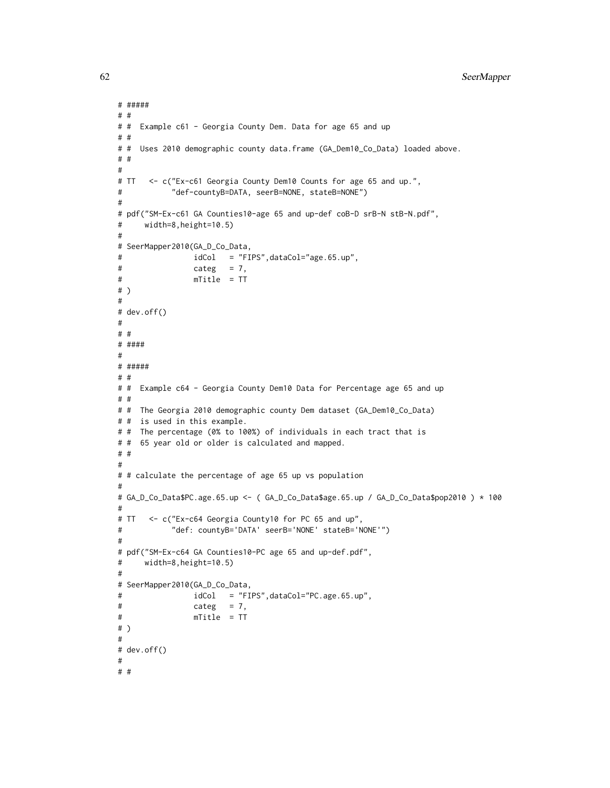```
# #####
# #
# # Example c61 - Georgia County Dem. Data for age 65 and up
# #
# # Uses 2010 demographic county data.frame (GA_Dem10_Co_Data) loaded above.
# #
#
# TT <- c("Ex-c61 Georgia County Dem10 Counts for age 65 and up.",
# "def-countyB=DATA, seerB=NONE, stateB=NONE")
#
# pdf("SM-Ex-c61 GA Counties10-age 65 and up-def coB-D srB-N stB-N.pdf",
# width=8,height=10.5)
#
# SeerMapper2010(GA_D_Co_Data,
# idCol = "FIPS",dataCol="age.65.up",
\# categ = 7,
# mTitle = TT
# )
#
# dev.off()
#
# #
# ####
#
# #####
# #
# # Example c64 - Georgia County Dem10 Data for Percentage age 65 and up
# #
# # The Georgia 2010 demographic county Dem dataset (GA_Dem10_Co_Data)
# # is used in this example.
# # The percentage (0% to 100%) of individuals in each tract that is
# # 65 year old or older is calculated and mapped.
# #
#
# # calculate the percentage of age 65 up vs population
#
# GA_D_Co_Data$PC.age.65.up <- ( GA_D_Co_Data$age.65.up / GA_D_Co_Data$pop2010 ) * 100
#
# TT <- c("Ex-c64 Georgia County10 for PC 65 and up",
# "def: countyB='DATA' seerB='NONE' stateB='NONE'")
#
# pdf("SM-Ex-c64 GA Counties10-PC age 65 and up-def.pdf",
# width=8,height=10.5)
#
# SeerMapper2010(GA_D_Co_Data,
# idCol = "FIPS",dataCol="PC.age.65.up",
# categ = 7,
# mTitle = TT
# )
#
# dev.off()
#
# #
```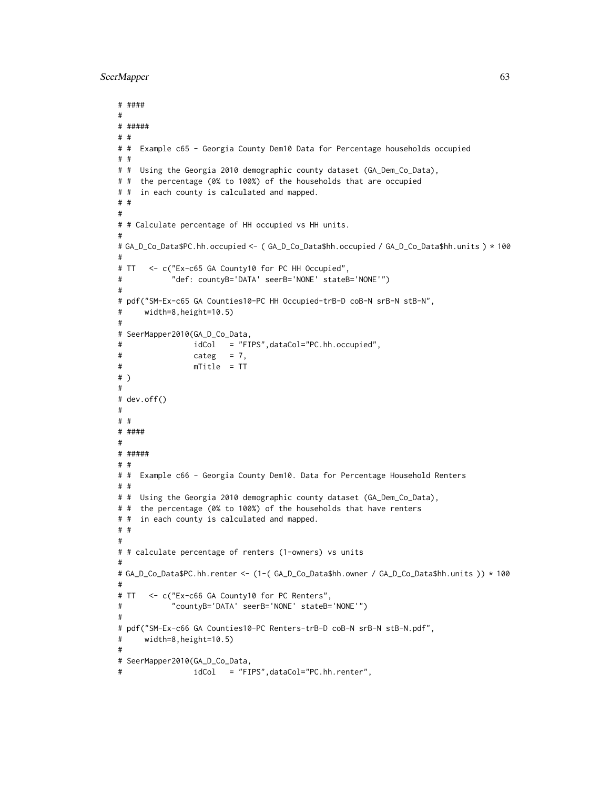```
# ####
#
# #####
# #
# # Example c65 - Georgia County Dem10 Data for Percentage households occupied
# #
# # Using the Georgia 2010 demographic county dataset (GA_Dem_Co_Data),
# # the percentage (0% to 100%) of the households that are occupied
# # in each county is calculated and mapped.
# #
#
# # Calculate percentage of HH occupied vs HH units.
#
# GA_D_Co_Data$PC.hh.occupied <- ( GA_D_Co_Data$hh.occupied / GA_D_Co_Data$hh.units ) * 100
#
# TT <- c("Ex-c65 GA County10 for PC HH Occupied",
# "def: countyB='DATA' seerB='NONE' stateB='NONE'")
#
# pdf("SM-Ex-c65 GA Counties10-PC HH Occupied-trB-D coB-N srB-N stB-N",
# width=8,height=10.5)
#
# SeerMapper2010(GA_D_Co_Data,
# idCol = "FIPS",dataCol="PC.hh.occupied",
# categ = 7,
# mTitle = TT
# )
#
# dev.off()
#
# #
# ####
#
# #####
# #
# # Example c66 - Georgia County Dem10. Data for Percentage Household Renters
# #
# # Using the Georgia 2010 demographic county dataset (GA_Dem_Co_Data),
# # the percentage (0% to 100%) of the households that have renters
# # in each county is calculated and mapped.
# #
#
# # calculate percentage of renters (1-owners) vs units
#
# GA_D_Co_Data$PC.hh.renter <- (1-( GA_D_Co_Data$hh.owner / GA_D_Co_Data$hh.units )) * 100
#
# TT <- c("Ex-c66 GA County10 for PC Renters",
# "countyB='DATA' seerB='NONE' stateB='NONE'")
#
# pdf("SM-Ex-c66 GA Counties10-PC Renters-trB-D coB-N srB-N stB-N.pdf",
# width=8,height=10.5)
#
# SeerMapper2010(GA_D_Co_Data,
# idCol = "FIPS",dataCol="PC.hh.renter",
```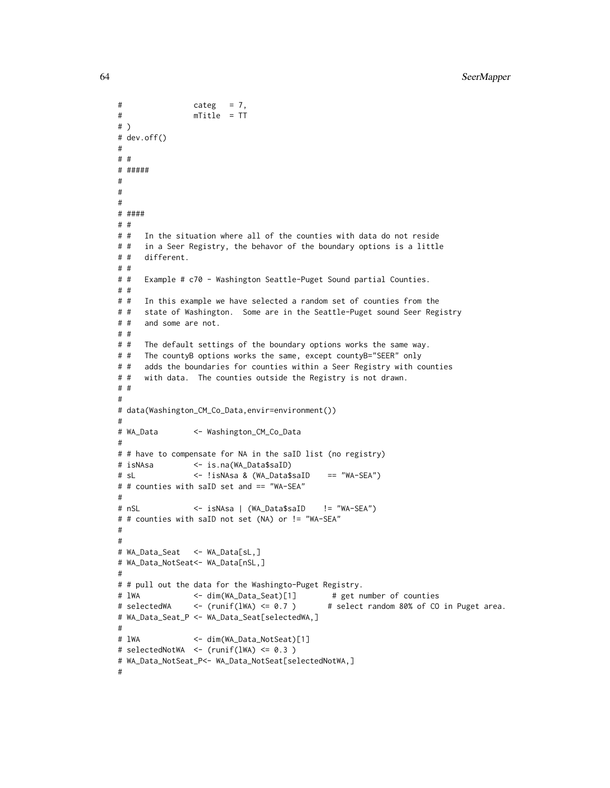```
# categ = 7,
# mTitle = TT
# )
# dev.off()
#
# #
# #####
#
#
#
# ####
# #
# # In the situation where all of the counties with data do not reside
# # in a Seer Registry, the behavor of the boundary options is a little
# # different.
# #
# # Example # c70 - Washington Seattle-Puget Sound partial Counties.
# #
# # In this example we have selected a random set of counties from the
# # state of Washington. Some are in the Seattle-Puget sound Seer Registry
# # and some are not.
# #
# # The default settings of the boundary options works the same way.
# # The countyB options works the same, except countyB="SEER" only
# # adds the boundaries for counties within a Seer Registry with counties
# # with data. The counties outside the Registry is not drawn.
# #
#
# data(Washington_CM_Co_Data,envir=environment())
#
# WA_Data <- Washington_CM_Co_Data
#
# # have to compensate for NA in the saID list (no registry)
# isNAsa <- is.na(WA_Data$saID)
# sL <- !isNAsa & (WA_Data$saID == "WA-SEA")
# # counties with saID set and == "WA-SEA"
#
# nSL <- isNAsa | (WA_Data$saID != "WA-SEA")
# # counties with saID not set (NA) or != "WA-SEA"
#
#
# WA_Data_Seat <- WA_Data[sL,]
# WA_Data_NotSeat<- WA_Data[nSL,]
#
# # pull out the data for the Washingto-Puget Registry.
# lWA <- dim(WA_Data_Seat)[1] # get number of counties
# selectedWA <- (runif(lWA) <= 0.7 ) # select random 80% of CO in Puget area.
# WA_Data_Seat_P <- WA_Data_Seat[selectedWA,]
#
# lWA <- dim(WA_Data_NotSeat)[1]
# selectedNotWA <- (runif(lWA) <= 0.3 )
# WA_Data_NotSeat_P<- WA_Data_NotSeat[selectedNotWA,]
#
```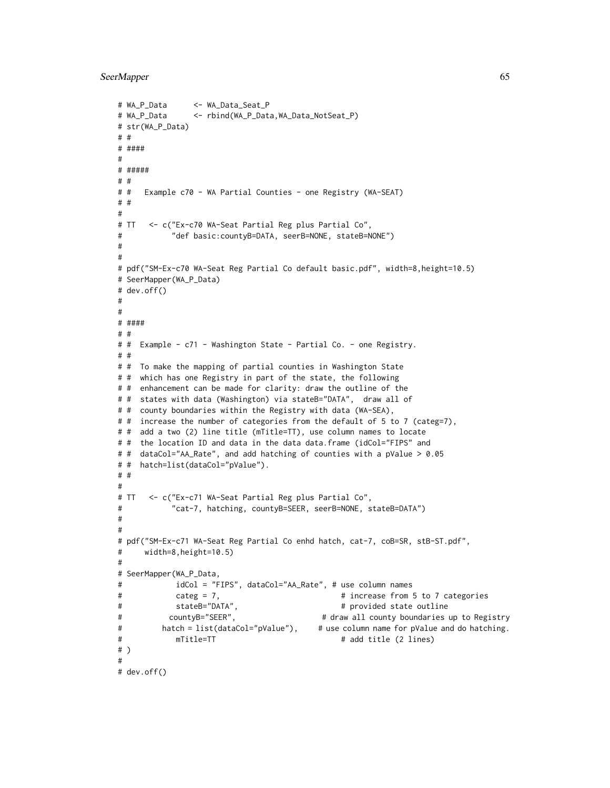```
# WA_P_Data <- WA_Data_Seat_P
# WA_P_Data <- rbind(WA_P_Data,WA_Data_NotSeat_P)
# str(WA_P_Data)
# #
# ####
#
# #####
# #
# # Example c70 - WA Partial Counties - one Registry (WA-SEAT)
# #
#
# TT <- c("Ex-c70 WA-Seat Partial Reg plus Partial Co",
# "def basic:countyB=DATA, seerB=NONE, stateB=NONE")
#
#
# pdf("SM-Ex-c70 WA-Seat Reg Partial Co default basic.pdf", width=8,height=10.5)
# SeerMapper(WA_P_Data)
# dev.off()
#
#
# ####
# #
# # Example - c71 - Washington State - Partial Co. - one Registry.
# #
# # To make the mapping of partial counties in Washington State
# # which has one Registry in part of the state, the following
# # enhancement can be made for clarity: draw the outline of the
# # states with data (Washington) via stateB="DATA", draw all of
# # county boundaries within the Registry with data (WA-SEA),
# # increase the number of categories from the default of 5 to 7 (categ=7),
# # add a two (2) line title (mTitle=TT), use column names to locate
# # the location ID and data in the data data.frame (idCol="FIPS" and
# # dataCol="AA_Rate", and add hatching of counties with a pValue > 0.05
# # hatch=list(dataCol="pValue").
# #
#
# TT <- c("Ex-c71 WA-Seat Partial Reg plus Partial Co",
# "cat-7, hatching, countyB=SEER, seerB=NONE, stateB=DATA")
#
#
# pdf("SM-Ex-c71 WA-Seat Reg Partial Co enhd hatch, cat-7, coB=SR, stB-ST.pdf",
# width=8,height=10.5)
#
# SeerMapper(WA_P_Data,
# idCol = "FIPS", dataCol="AA_Rate", # use column names
# categ = 7, \qquad \qquad # increase from 5 to 7 categories
# stateB="DATA", # provided state outline
# countyB="SEER", # draw all county boundaries up to Registry
# hatch = list(dataCol="pValue"), # use column name for pValue and do hatching.
# mTitle=TT # add title (2 lines)
# )
#
# dev.off()
```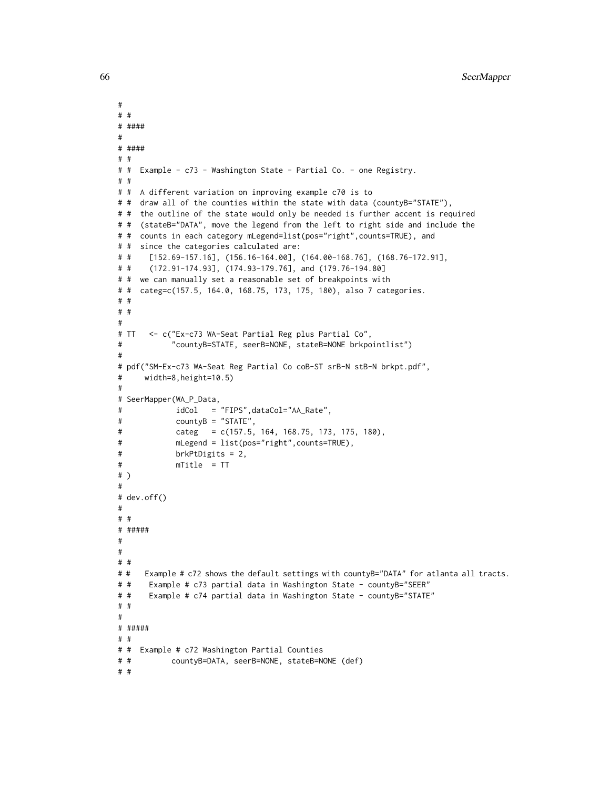```
#
# #
# ####
#
# ####
# #
# # Example - c73 - Washington State - Partial Co. - one Registry.
# #
# # A different variation on inproving example c70 is to
# # draw all of the counties within the state with data (countyB="STATE"),
# # the outline of the state would only be needed is further accent is required
# # (stateB="DATA", move the legend from the left to right side and include the
# # counts in each category mLegend=list(pos="right", counts=TRUE), and
# # since the categories calculated are:
# # [152.69-157.16], (156.16-164.00], (164.00-168.76], (168.76-172.91],
# # (172.91-174.93], (174.93-179.76], and (179.76-194.80]
# # we can manually set a reasonable set of breakpoints with
# # categ=c(157.5, 164.0, 168.75, 173, 175, 180), also 7 categories.
# #
# #
#
# TT <- c("Ex-c73 WA-Seat Partial Reg plus Partial Co",
# "countyB=STATE, seerB=NONE, stateB=NONE brkpointlist")
#
# pdf("SM-Ex-c73 WA-Seat Reg Partial Co coB-ST srB-N stB-N brkpt.pdf",
# width=8,height=10.5)
#
# SeerMapper(WA_P_Data,
# idCol = "FIPS",dataCol="AA_Rate",
# countyB = "STATE",
# categ = c(157.5, 164, 168.75, 173, 175, 180),
# mLegend = list(pos="right",counts=TRUE),
# brkPtDigits = 2,
# mTitle = TT
# )
#
# dev.off()
#
# #
# #####
#
#
# #
# # Example # c72 shows the default settings with countyB="DATA" for atlanta all tracts.
# # Example # c73 partial data in Washington State - countyB="SEER"
# # Example # c74 partial data in Washington State - countyB="STATE"
# #
#
# #####
# #
# # Example # c72 Washington Partial Counties
# # countyB=DATA, seerB=NONE, stateB=NONE (def)
# #
```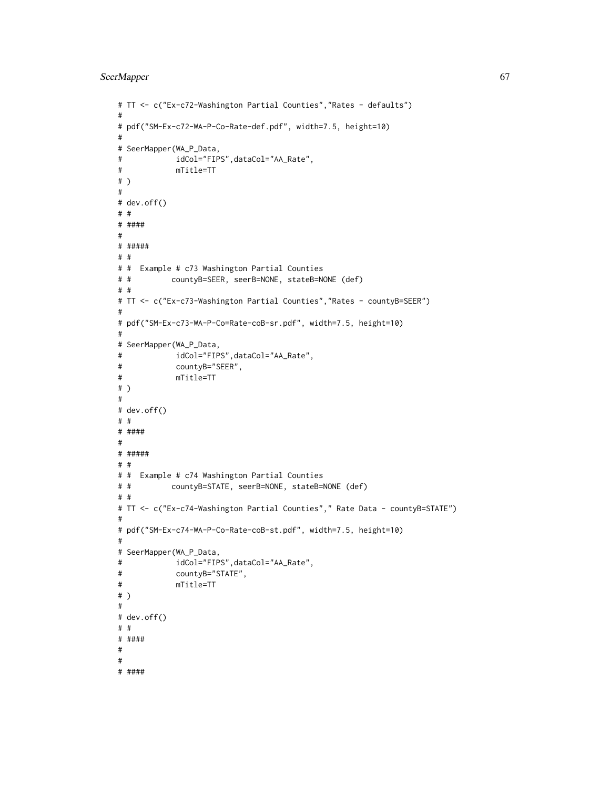```
# TT <- c("Ex-c72-Washington Partial Counties","Rates - defaults")
#
# pdf("SM-Ex-c72-WA-P-Co-Rate-def.pdf", width=7.5, height=10)
#
# SeerMapper(WA_P_Data,
# idCol="FIPS",dataCol="AA_Rate",
# mTitle=TT
# )
#
# dev.off()
# #
# ####
#
# #####
# #
# # Example # c73 Washington Partial Counties
# # countyB=SEER, seerB=NONE, stateB=NONE (def)
# #
# TT <- c("Ex-c73-Washington Partial Counties", "Rates - countyB=SEER")
#
# pdf("SM-Ex-c73-WA-P-Co=Rate-coB-sr.pdf", width=7.5, height=10)
#
# SeerMapper(WA_P_Data,
# idCol="FIPS",dataCol="AA_Rate",
# countyB="SEER",
# mTitle=TT
# )
#
# dev.off()
# #
# ####
#
# #####
# #
# # Example # c74 Washington Partial Counties
# # countyB=STATE, seerB=NONE, stateB=NONE (def)
# #
# TT <- c("Ex-c74-Washington Partial Counties"," Rate Data - countyB=STATE")
#
# pdf("SM-Ex-c74-WA-P-Co-Rate-coB-st.pdf", width=7.5, height=10)
#
# SeerMapper(WA_P_Data,
# idCol="FIPS",dataCol="AA_Rate",
# countyB="STATE",
# mTitle=TT
# )
#
# dev.off()
# #
# ####
#
#
# ####
```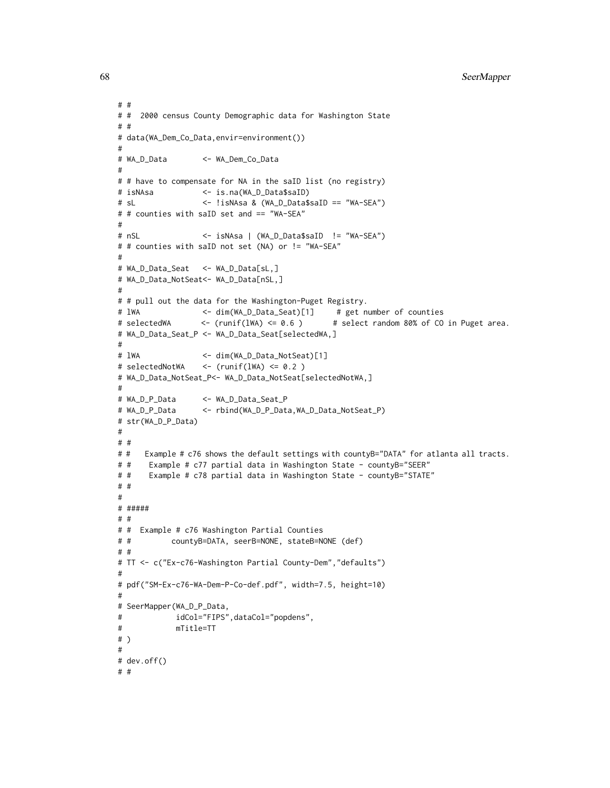```
# #
# # 2000 census County Demographic data for Washington State
# #
# data(WA_Dem_Co_Data,envir=environment())
#
# WA_D_Data <- WA_Dem_Co_Data
#
# # have to compensate for NA in the saID list (no registry)
# isNAsa <- is.na(WA_D_Data$saID)
# sL <- !isNAsa & (WA_D_Data$saID == "WA-SEA")
# # counties with saID set and == "WA-SEA"
#
# nSL <- isNAsa | (WA_D_Data$saID != "WA-SEA")
# # counties with saID not set (NA) or != "WA-SEA"
#
# WA_D_Data_Seat <- WA_D_Data[sL,]
# WA_D_Data_NotSeat<- WA_D_Data[nSL,]
#
# # pull out the data for the Washington-Puget Registry.
# lWA \leq dim(WA_D_Data_Seat)[1] # get number of counties
# selectedWA <- (runif(lWA) <= 0.6 ) # select random 80% of CO in Puget area.
# WA_D_Data_Seat_P <- WA_D_Data_Seat[selectedWA,]
#
# lWA <- dim(WA_D_Data_NotSeat)[1]
# selectedNotWA <- (runif(lWA) <= 0.2 )
# WA_D_Data_NotSeat_P<- WA_D_Data_NotSeat[selectedNotWA,]
#
# WA_D_P_Data <- WA_D_Data_Seat_P
# WA_D_P_Data <- rbind(WA_D_P_Data,WA_D_Data_NotSeat_P)
# str(WA_D_P_Data)
#
# #
# # Example # c76 shows the default settings with countyB="DATA" for atlanta all tracts.
# # Example # c77 partial data in Washington State - countyB="SEER"
# # Example # c78 partial data in Washington State - countyB="STATE"
# #
#
# #####
# #
# # Example # c76 Washington Partial Counties
# # countyB=DATA, seerB=NONE, stateB=NONE (def)
# #
# TT <- c("Ex-c76-Washington Partial County-Dem","defaults")
#
# pdf("SM-Ex-c76-WA-Dem-P-Co-def.pdf", width=7.5, height=10)
#
# SeerMapper(WA_D_P_Data,
# idCol="FIPS",dataCol="popdens",
# mTitle=TT
# )
#
# dev.off()
# #
```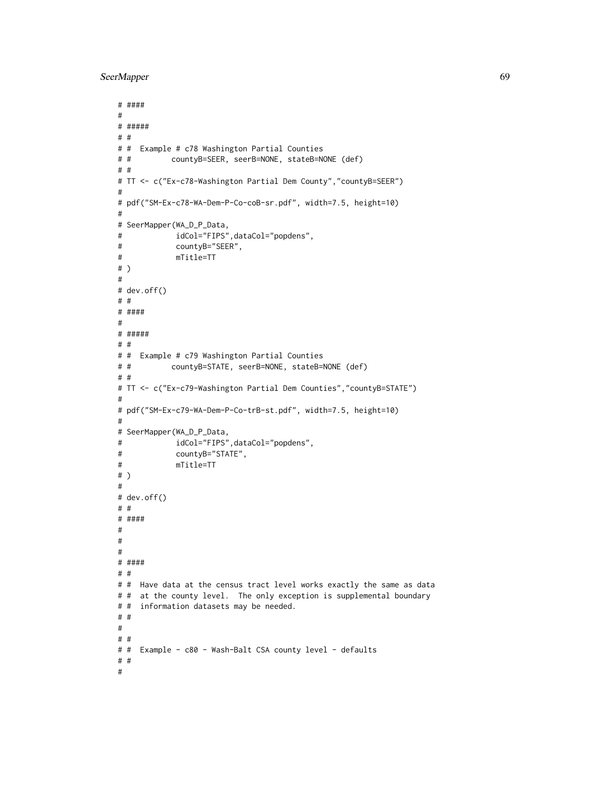```
# ####
#
# #####
# #
# # Example # c78 Washington Partial Counties
# # countyB=SEER, seerB=NONE, stateB=NONE (def)
# #
# TT <- c("Ex-c78-Washington Partial Dem County","countyB=SEER")
#
# pdf("SM-Ex-c78-WA-Dem-P-Co-coB-sr.pdf", width=7.5, height=10)
#
# SeerMapper(WA_D_P_Data,
# idCol="FIPS",dataCol="popdens",
# countyB="SEER",
# mTitle=TT
# )
#
# dev.off()
# #
# ####
#
# #####
# #
# # Example # c79 Washington Partial Counties
# # countyB=STATE, seerB=NONE, stateB=NONE (def)
# #
# TT <- c("Ex-c79-Washington Partial Dem Counties","countyB=STATE")
#
# pdf("SM-Ex-c79-WA-Dem-P-Co-trB-st.pdf", width=7.5, height=10)
#
# SeerMapper(WA_D_P_Data,
# idCol="FIPS",dataCol="popdens",
# countyB="STATE",
# mTitle=TT
# )
#
# dev.off()
# #
# ####
#
#
#
# ####
# #
# # Have data at the census tract level works exactly the same as data
# # at the county level. The only exception is supplemental boundary
# # information datasets may be needed.
# #
#
# #
# # Example - c80 - Wash-Balt CSA county level - defaults
# #
#
```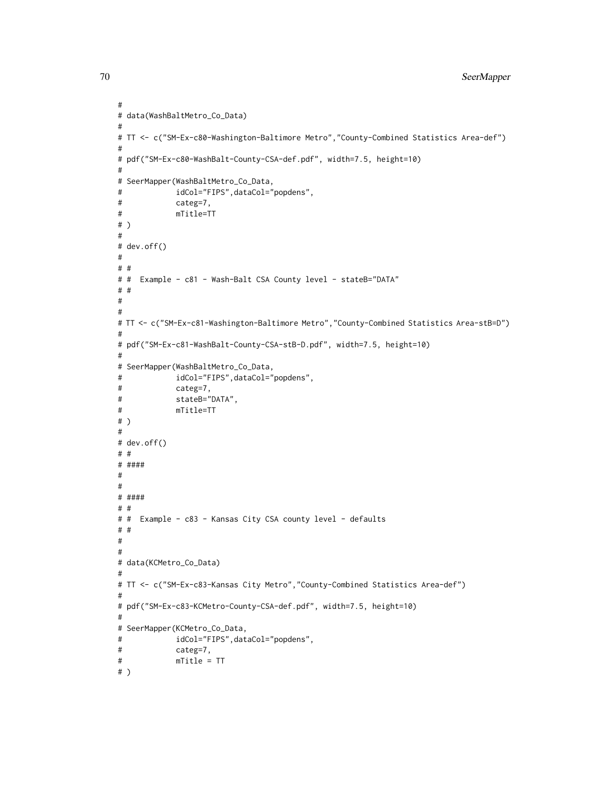```
70 SeerMapper
```

```
#
# data(WashBaltMetro_Co_Data)
#
# TT <- c("SM-Ex-c80-Washington-Baltimore Metro","County-Combined Statistics Area-def")
#
# pdf("SM-Ex-c80-WashBalt-County-CSA-def.pdf", width=7.5, height=10)
#
# SeerMapper(WashBaltMetro_Co_Data,
# idCol="FIPS",dataCol="popdens",
# categ=7,
# mTitle=TT
# )
#
# dev.off()
#
# #
# # Example - c81 - Wash-Balt CSA County level - stateB="DATA"
# #
#
#
# TT <- c("SM-Ex-c81-Washington-Baltimore Metro","County-Combined Statistics Area-stB=D")
#
# pdf("SM-Ex-c81-WashBalt-County-CSA-stB-D.pdf", width=7.5, height=10)
#
# SeerMapper(WashBaltMetro_Co_Data,
# idCol="FIPS",dataCol="popdens",
# categ=7,
# stateB="DATA",
# mTitle=TT
# )
#
# dev.off()
# #
# ####
#
#
# ####
# #
# # Example - c83 - Kansas City CSA county level - defaults
# #
#
#
# data(KCMetro_Co_Data)
#
# TT <- c("SM-Ex-c83-Kansas City Metro","County-Combined Statistics Area-def")
#
# pdf("SM-Ex-c83-KCMetro-County-CSA-def.pdf", width=7.5, height=10)
#
# SeerMapper(KCMetro_Co_Data,
# idCol="FIPS",dataCol="popdens",
# categ=7,
# mTitle = TT
# )
```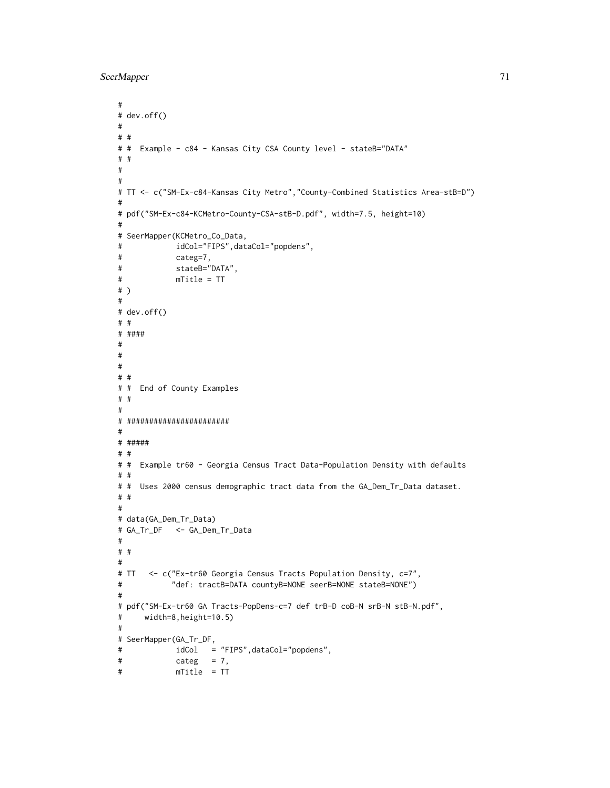```
#
# dev.off()
#
# #
# # Example - c84 - Kansas City CSA County level - stateB="DATA"
# #
#
#
# TT <- c("SM-Ex-c84-Kansas City Metro","County-Combined Statistics Area-stB=D")
#
# pdf("SM-Ex-c84-KCMetro-County-CSA-stB-D.pdf", width=7.5, height=10)
#
# SeerMapper(KCMetro_Co_Data,
# idCol="FIPS",dataCol="popdens",
# categ=7,
# stateB="DATA",
# mTitle = TT
# )
#
# dev.off()
# #
# ####
#
#
#
# #
# # End of County Examples
# #
#
# #######################
#
# #####
# #
# # Example tr60 - Georgia Census Tract Data-Population Density with defaults
# #
# # Uses 2000 census demographic tract data from the GA_Dem_Tr_Data dataset.
# #
#
# data(GA_Dem_Tr_Data)
# GA_Tr_DF <- GA_Dem_Tr_Data
#
# #
#
# TT <- c("Ex-tr60 Georgia Census Tracts Population Density, c=7",
# "def: tractB=DATA countyB=NONE seerB=NONE stateB=NONE")
#
# pdf("SM-Ex-tr60 GA Tracts-PopDens-c=7 def trB-D coB-N srB-N stB-N.pdf",
# width=8,height=10.5)
#
# SeerMapper(GA_Tr_DF,
# idCol = "FIPS",dataCol="popdens",
# categ = 7,
# mTitle = TT
```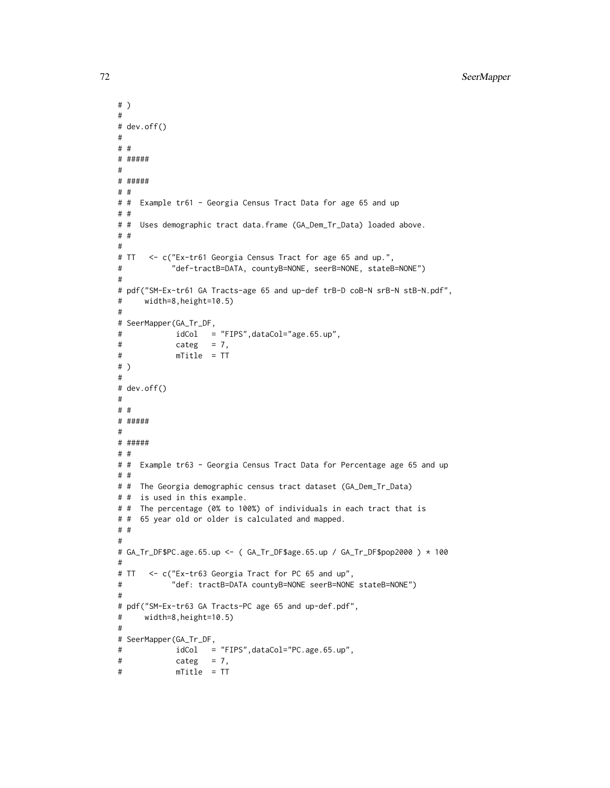```
# )
#
# dev.off()
#
# #
# #####
#
# #####
# #
# # Example tr61 - Georgia Census Tract Data for age 65 and up
# #
# # Uses demographic tract data.frame (GA_Dem_Tr_Data) loaded above.
# #
#
# TT <- c("Ex-tr61 Georgia Census Tract for age 65 and up.",
# "def-tractB=DATA, countyB=NONE, seerB=NONE, stateB=NONE")
#
# pdf("SM-Ex-tr61 GA Tracts-age 65 and up-def trB-D coB-N srB-N stB-N.pdf",
# width=8,height=10.5)
#
# SeerMapper(GA_Tr_DF,
# idCol = "FIPS",dataCol="age.65.up",
# categ = 7,
# mTitle = TT
# )
#
# dev.off()
#
# #
# #####
#
# #####
# #
# # Example tr63 - Georgia Census Tract Data for Percentage age 65 and up
# #
# # The Georgia demographic census tract dataset (GA_Dem_Tr_Data)
# # is used in this example.
# # The percentage (0% to 100%) of individuals in each tract that is
# # 65 year old or older is calculated and mapped.
# #
#
# GA_Tr_DF$PC.age.65.up <- ( GA_Tr_DF$age.65.up / GA_Tr_DF$pop2000 ) * 100
#
# TT <- c("Ex-tr63 Georgia Tract for PC 65 and up",
# "def: tractB=DATA countyB=NONE seerB=NONE stateB=NONE")
#
# pdf("SM-Ex-tr63 GA Tracts-PC age 65 and up-def.pdf",
# width=8,height=10.5)
#
# SeerMapper(GA_Tr_DF,
# idCol = "FIPS",dataCol="PC.age.65.up",
# categ = 7,
# mTitle = TT
```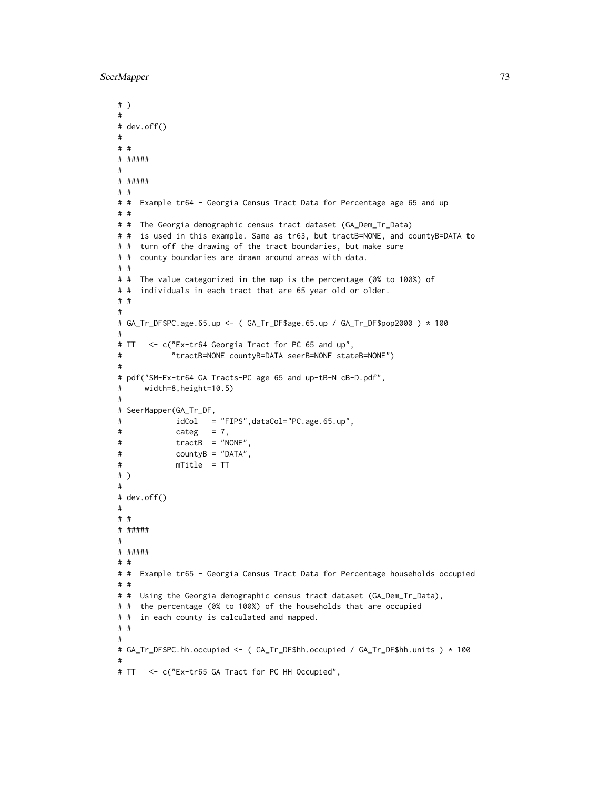```
# )
#
# dev.off()
#
# #
# #####
#
# #####
# #
# # Example tr64 - Georgia Census Tract Data for Percentage age 65 and up
# #
# # The Georgia demographic census tract dataset (GA_Dem_Tr_Data)
# # is used in this example. Same as tr63, but tractB=NONE, and countyB=DATA to
# # turn off the drawing of the tract boundaries, but make sure
# # county boundaries are drawn around areas with data.
# #
# # The value categorized in the map is the percentage (0% to 100%) of
# # individuals in each tract that are 65 year old or older.
# #
#
# GA_Tr_DF$PC.age.65.up <- ( GA_Tr_DF$age.65.up / GA_Tr_DF$pop2000 ) * 100
#
# TT <- c("Ex-tr64 Georgia Tract for PC 65 and up",
# "tractB=NONE countyB=DATA seerB=NONE stateB=NONE")
#
# pdf("SM-Ex-tr64 GA Tracts-PC age 65 and up-tB-N cB-D.pdf",
# width=8,height=10.5)
#
# SeerMapper(GA_Tr_DF,
# idCol = "FIPS",dataCol="PC.age.65.up",
# categ = 7,
# tractB = "NONE",
# countyB = "DATA",
# mTitle = TT
# )
#
# dev.off()
#
# #
# #####
#
# #####
# #
# # Example tr65 - Georgia Census Tract Data for Percentage households occupied
# #
# # Using the Georgia demographic census tract dataset (GA_Dem_Tr_Data),
# # the percentage (0% to 100%) of the households that are occupied
# # in each county is calculated and mapped.
# #
#
# GA_Tr_DF$PC.hh.occupied <- ( GA_Tr_DF$hh.occupied / GA_Tr_DF$hh.units ) * 100
#
# TT <- c("Ex-tr65 GA Tract for PC HH Occupied",
```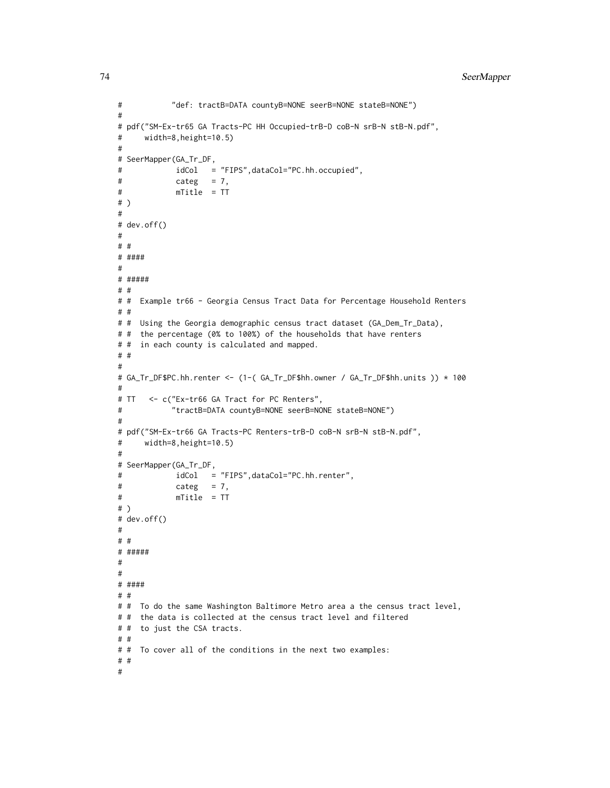```
# "def: tractB=DATA countyB=NONE seerB=NONE stateB=NONE")
#
# pdf("SM-Ex-tr65 GA Tracts-PC HH Occupied-trB-D coB-N srB-N stB-N.pdf",
# width=8,height=10.5)
#
# SeerMapper(GA_Tr_DF,
# idCol = "FIPS",dataCol="PC.hh.occupied",
# categ = 7,
# mTitle = TT
# )
#
# dev.off()
#
# #
# ####
#
# #####
# #
# # Example tr66 - Georgia Census Tract Data for Percentage Household Renters
# #
# # Using the Georgia demographic census tract dataset (GA_Dem_Tr_Data),
# # the percentage (0% to 100%) of the households that have renters
# # in each county is calculated and mapped.
# #
#
# GA_Tr_DF$PC.hh.renter <- (1-( GA_Tr_DF$hh.owner / GA_Tr_DF$hh.units )) * 100
#
# TT <- c("Ex-tr66 GA Tract for PC Renters",
# "tractB=DATA countyB=NONE seerB=NONE stateB=NONE")
#
# pdf("SM-Ex-tr66 GA Tracts-PC Renters-trB-D coB-N srB-N stB-N.pdf",
# width=8,height=10.5)
#
# SeerMapper(GA_Tr_DF,
# idCol = "FIPS",dataCol="PC.hh.renter",
# categ = 7,
# mTitle = TT
# )
# dev.off()
#
# #
# #####
#
#
# ####
# #
# # To do the same Washington Baltimore Metro area a the census tract level,
# # the data is collected at the census tract level and filtered
# # to just the CSA tracts.
# #
# # To cover all of the conditions in the next two examples:
# #
#
```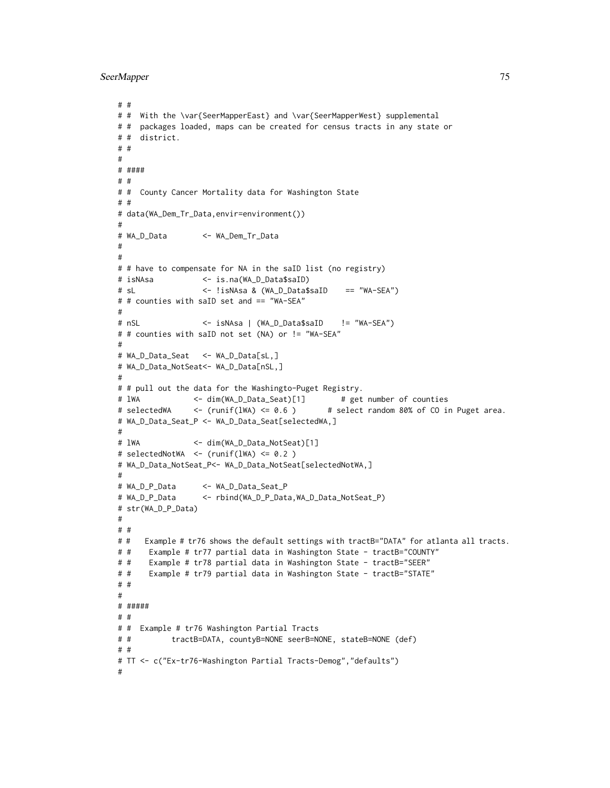```
# #
# # With the \var{SeerMapperEast} and \var{SeerMapperWest} supplemental
# # packages loaded, maps can be created for census tracts in any state or
# # district.
# #
#
# ####
# #
# # County Cancer Mortality data for Washington State
# #
# data(WA_Dem_Tr_Data,envir=environment())
#
# WA_D_Data <- WA_Dem_Tr_Data
#
#
# # have to compensate for NA in the saID list (no registry)
# isNAsa <- is.na(WA_D_Data$saID)
# sL <- !isNAsa & (WA_D_Data$saID == "WA-SEA")
# # counties with saID set and == "WA-SEA"
#
# nSL <- isNAsa | (WA_D_Data$saID != "WA-SEA")
# # counties with saID not set (NA) or != "WA-SEA"
#
# WA_D_Data_Seat <- WA_D_Data[sL,]
# WA_D_Data_NotSeat<- WA_D_Data[nSL,]
#
# # pull out the data for the Washingto-Puget Registry.
# lWA \leftarrow dim(WA_D_Data_Seat)[1] # get number of counties
# selectedWA <- (runif(lWA) <= 0.6 ) # select random 80% of CO in Puget area.
# WA_D_Data_Seat_P <- WA_D_Data_Seat[selectedWA,]
#
# lWA <- dim(WA_D_Data_NotSeat)[1]
# selectedNotWA <- (runif(lWA) <= 0.2 )
# WA_D_Data_NotSeat_P<- WA_D_Data_NotSeat[selectedNotWA,]
#
# WA_D_P_Data <- WA_D_Data_Seat_P
# WA_D_P_Data <- rbind(WA_D_P_Data,WA_D_Data_NotSeat_P)
# str(WA_D_P_Data)
#
# #
# # Example # tr76 shows the default settings with tractB="DATA" for atlanta all tracts.
# # Example # tr77 partial data in Washington State - tractB="COUNTY"
# # Example # tr78 partial data in Washington State - tractB="SEER"
# # Example # tr79 partial data in Washington State - tractB="STATE"
# #
#
# #####
# #
# # Example # tr76 Washington Partial Tracts
# # tractB=DATA, countyB=NONE seerB=NONE, stateB=NONE (def)
# #
# TT <- c("Ex-tr76-Washington Partial Tracts-Demog","defaults")
#
```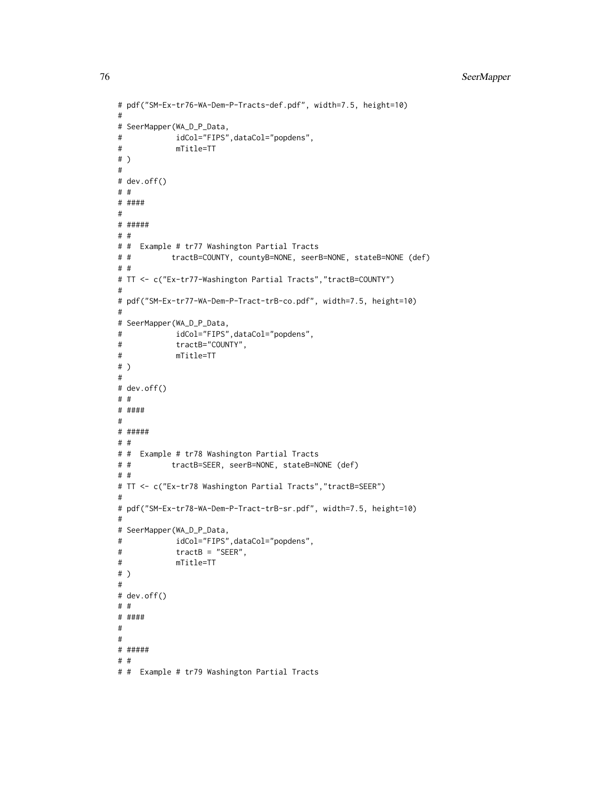```
# pdf("SM-Ex-tr76-WA-Dem-P-Tracts-def.pdf", width=7.5, height=10)
#
# SeerMapper(WA_D_P_Data,
# idCol="FIPS",dataCol="popdens",
# mTitle=TT
# )
#
# dev.off()
# #
# ####
#
# #####
# #
# # Example # tr77 Washington Partial Tracts
# # tractB=COUNTY, countyB=NONE, seerB=NONE, stateB=NONE (def)
# #
# TT <- c("Ex-tr77-Washington Partial Tracts","tractB=COUNTY")
#
# pdf("SM-Ex-tr77-WA-Dem-P-Tract-trB-co.pdf", width=7.5, height=10)
#
# SeerMapper(WA_D_P_Data,
# idCol="FIPS",dataCol="popdens",
# tractB="COUNTY",
# mTitle=TT
# )
#
# dev.off()
# #
# ####
#
# #####
# #
# # Example # tr78 Washington Partial Tracts
# # tractB=SEER, seerB=NONE, stateB=NONE (def)
# #
# TT <- c("Ex-tr78 Washington Partial Tracts","tractB=SEER")
#
# pdf("SM-Ex-tr78-WA-Dem-P-Tract-trB-sr.pdf", width=7.5, height=10)
#
# SeerMapper(WA_D_P_Data,
# idCol="FIPS",dataCol="popdens",
# tractB = "SEER",
# mTitle=TT
# )
#
# dev.off()
# #
# ####
#
#
# #####
# #
# # Example # tr79 Washington Partial Tracts
```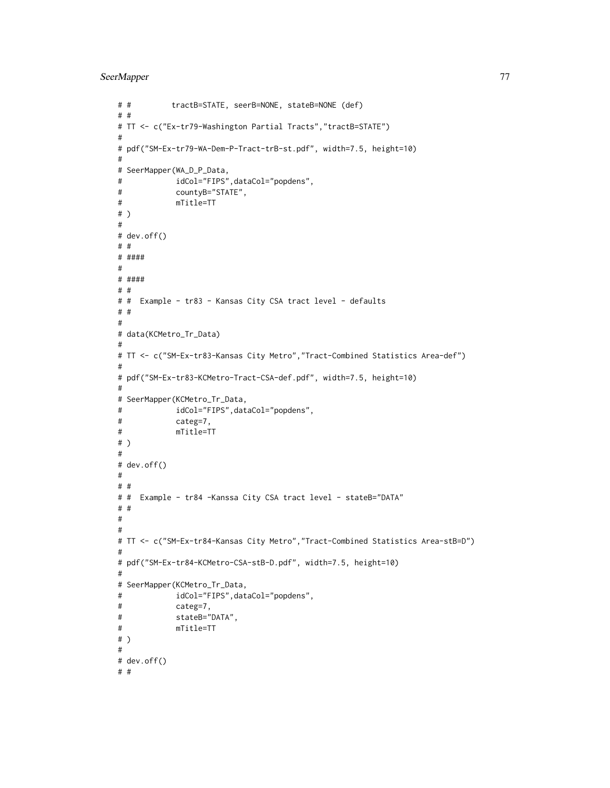```
# # tractB=STATE, seerB=NONE, stateB=NONE (def)
# #
# TT <- c("Ex-tr79-Washington Partial Tracts","tractB=STATE")
#
# pdf("SM-Ex-tr79-WA-Dem-P-Tract-trB-st.pdf", width=7.5, height=10)
#
# SeerMapper(WA_D_P_Data,
# idCol="FIPS",dataCol="popdens",
# countyB="STATE",
# mTitle=TT
# )
#
# dev.off()
# #
# ####
#
# ####
# #
# # Example - tr83 - Kansas City CSA tract level - defaults
# #
#
# data(KCMetro_Tr_Data)
#
# TT <- c("SM-Ex-tr83-Kansas City Metro","Tract-Combined Statistics Area-def")
#
# pdf("SM-Ex-tr83-KCMetro-Tract-CSA-def.pdf", width=7.5, height=10)
#
# SeerMapper(KCMetro_Tr_Data,
# idCol="FIPS",dataCol="popdens",
# categ=7,
# mTitle=TT
# )
#
# dev.off()
#
# #
# # Example - tr84 -Kanssa City CSA tract level - stateB="DATA"
# #
#
#
# TT <- c("SM-Ex-tr84-Kansas City Metro","Tract-Combined Statistics Area-stB=D")
#
# pdf("SM-Ex-tr84-KCMetro-CSA-stB-D.pdf", width=7.5, height=10)
#
# SeerMapper(KCMetro_Tr_Data,
# idCol="FIPS",dataCol="popdens",
# categ=7,
# stateB="DATA",
# mTitle=TT
# )
#
# dev.off()
# #
```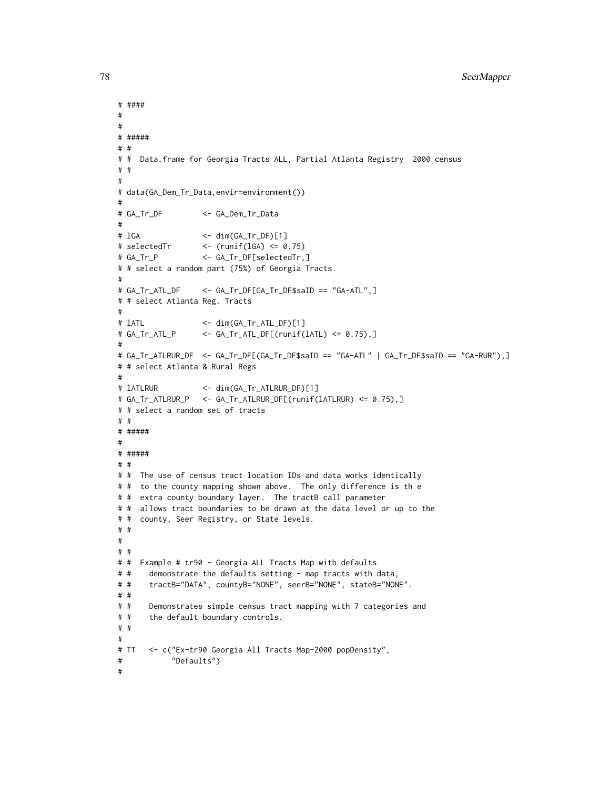```
# ####
#
#
# #####
# #
# # Data.frame for Georgia Tracts ALL, Partial Atlanta Registry 2000 census
# #
#
# data(GA_Dem_Tr_Data,envir=environment())
#
# GA_Tr_DF <- GA_Dem_Tr_Data
#
# lGA <- dim(GA_Tr_DF)[1]
# selectedTr \leftarrow (runif(lGA) \leq 0.75)
# GA_Tr_P <- GA_Tr_DF[selectedTr,]
# # select a random part (75%) of Georgia Tracts.
#
# GA_Tr_ATL_DF <- GA_Tr_DF[GA_Tr_DF$saID == "GA-ATL",]
# # select Atlanta Reg. Tracts
#
# lATL <- dim(GA_Tr_ATL_DF)[1]
# GA_Tr_ATL_P <- GA_Tr_ATL_DF[(runif(lATL) <= 0.75),]
#
# GA_Tr_ATLRUR_DF <- GA_Tr_DF[(GA_Tr_DF$saID == "GA-ATL" | GA_Tr_DF$saID == "GA-RUR"),]
# # select Atlanta & Rural Regs
#
# lATLRUR <- dim(GA_Tr_ATLRUR_DF)[1]
# GA_Tr_ATLRUR_P <- GA_Tr_ATLRUR_DF[(runif(lATLRUR) <= 0.75),]
# # select a random set of tracts
# #
# #####
#
# #####
# #
# # The use of census tract location IDs and data works identically
# # to the county mapping shown above. The only difference is th e
# # extra county boundary layer. The tractB call parameter
# # allows tract boundaries to be drawn at the data level or up to the
# # county, Seer Registry, or State levels.
# #
#
# #
# # Example # tr90 - Georgia ALL Tracts Map with defaults
# # demonstrate the defaults setting - map tracts with data,
# # tractB="DATA", countyB="NONE", seerB="NONE", stateB="NONE".
# #
# # Demonstrates simple census tract mapping with 7 categories and
# # the default boundary controls.
# #
#
# TT <- c("Ex-tr90 Georgia All Tracts Map-2000 popDensity",
# "Defaults")
#
```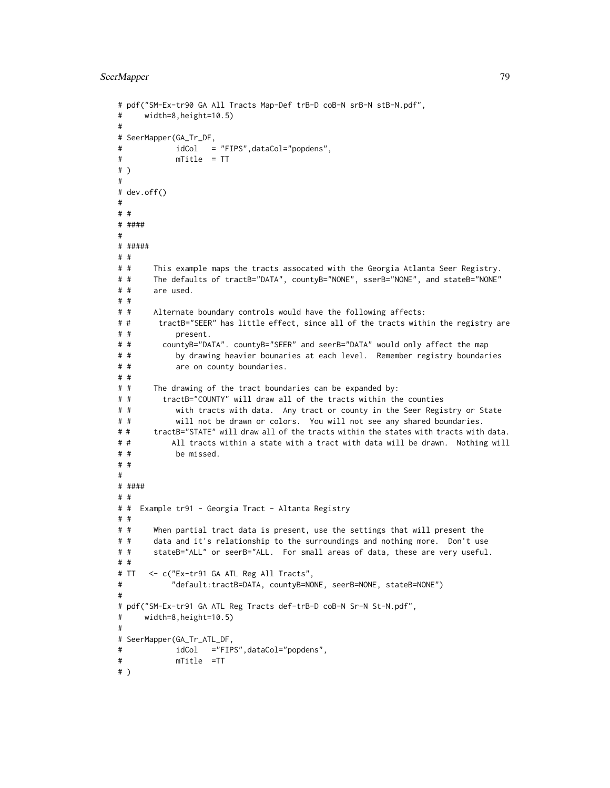```
# pdf("SM-Ex-tr90 GA All Tracts Map-Def trB-D coB-N srB-N stB-N.pdf",
# width=8,height=10.5)
#
# SeerMapper(GA_Tr_DF,
# idCol = "FIPS",dataCol="popdens",
# mTitle = TT
# )
#
# dev.off()
#
# #
# ####
#
# #####
# #
# # This example maps the tracts assocated with the Georgia Atlanta Seer Registry.
# # The defaults of tractB="DATA", countyB="NONE", sserB="NONE", and stateB="NONE"
# # are used.
# #
# # Alternate boundary controls would have the following affects:
# # tractB="SEER" has little effect, since all of the tracts within the registry are
# # present.
# # countyB="DATA". countyB="SEER" and seerB="DATA" would only affect the map
# # by drawing heavier bounaries at each level. Remember registry boundaries
# # are on county boundaries.
# #
# # The drawing of the tract boundaries can be expanded by:
# # tractB="COUNTY" will draw all of the tracts within the counties
# # with tracts with data. Any tract or county in the Seer Registry or State
# # will not be drawn or colors. You will not see any shared boundaries.
# # tractB="STATE" will draw all of the tracts within the states with tracts with data.
# # All tracts within a state with a tract with data will be drawn. Nothing will
# # be missed.
# #
#
# ####
# #
# # Example tr91 - Georgia Tract - Altanta Registry
# #
# # When partial tract data is present, use the settings that will present the
# # data and it's relationship to the surroundings and nothing more. Don't use
# # stateB="ALL" or seerB="ALL. For small areas of data, these are very useful.
# #
# TT <- c("Ex-tr91 GA ATL Reg All Tracts",
# "default:tractB=DATA, countyB=NONE, seerB=NONE, stateB=NONE")
#
# pdf("SM-Ex-tr91 GA ATL Reg Tracts def-trB-D coB-N Sr-N St-N.pdf",
# width=8,height=10.5)
#
# SeerMapper(GA_Tr_ATL_DF,
# idCol ="FIPS",dataCol="popdens",
# mTitle =TT
# )
```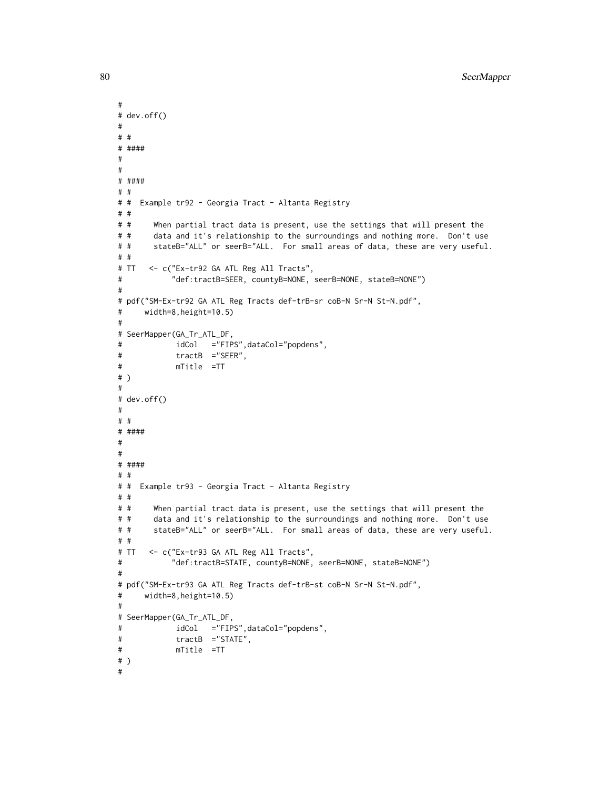```
#
# dev.off()
#
# #
# ####
#
#
# ####
# #
# # Example tr92 - Georgia Tract - Altanta Registry
# #
# # When partial tract data is present, use the settings that will present the
# # data and it's relationship to the surroundings and nothing more. Don't use
# # stateB="ALL" or seerB="ALL. For small areas of data, these are very useful.
# #
# TT <- c("Ex-tr92 GA ATL Reg All Tracts",
# "def:tractB=SEER, countyB=NONE, seerB=NONE, stateB=NONE")
#
# pdf("SM-Ex-tr92 GA ATL Reg Tracts def-trB-sr coB-N Sr-N St-N.pdf",
# width=8,height=10.5)
#
# SeerMapper(GA_Tr_ATL_DF,
# idCol ="FIPS",dataCol="popdens",
# tractB ="SEER",
# mTitle =TT
# )
#
# dev.off()
#
# #
# ####
#
#
# ####
# #
# # Example tr93 - Georgia Tract - Altanta Registry
# #
# # When partial tract data is present, use the settings that will present the
# # data and it's relationship to the surroundings and nothing more. Don't use
# # stateB="ALL" or seerB="ALL. For small areas of data, these are very useful.
# #
# TT <- c("Ex-tr93 GA ATL Reg All Tracts",
# "def:tractB=STATE, countyB=NONE, seerB=NONE, stateB=NONE")
#
# pdf("SM-Ex-tr93 GA ATL Reg Tracts def-trB-st coB-N Sr-N St-N.pdf",
# width=8,height=10.5)
#
# SeerMapper(GA_Tr_ATL_DF,
# idCol ="FIPS",dataCol="popdens",
# tractB ="STATE",
# mTitle =TT
# )
#
```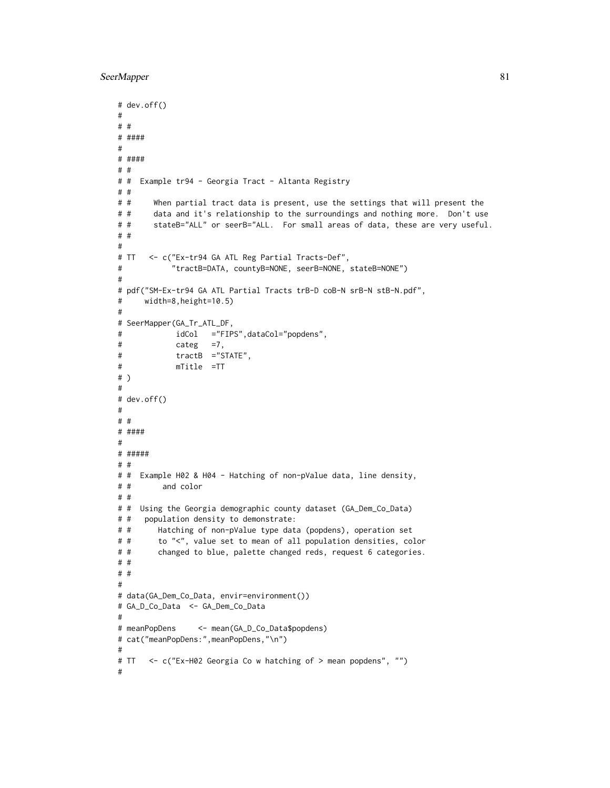```
# dev.off()
#
# #
# ####
#
# ####
# #
# # Example tr94 - Georgia Tract - Altanta Registry
# #
# # When partial tract data is present, use the settings that will present the
# # data and it's relationship to the surroundings and nothing more. Don't use
# # stateB="ALL" or seerB="ALL. For small areas of data, these are very useful.
# #
#
# TT <- c("Ex-tr94 GA ATL Reg Partial Tracts-Def",
# "tractB=DATA, countyB=NONE, seerB=NONE, stateB=NONE")
#
# pdf("SM-Ex-tr94 GA ATL Partial Tracts trB-D coB-N srB-N stB-N.pdf",
# width=8,height=10.5)
#
# SeerMapper(GA_Tr_ATL_DF,
# idCol ="FIPS",dataCol="popdens",
# categ =7,
# tractB ="STATE",
# mTitle =TT
# )
#
# dev.off()
#
# #
# ####
#
# #####
# #
# # Example H02 & H04 - Hatching of non-pValue data, line density,
# # and color
# #
# # Using the Georgia demographic county dataset (GA_Dem_Co_Data)
# # population density to demonstrate:
# # Hatching of non-pValue type data (popdens), operation set
# # to "<", value set to mean of all population densities, color
# # changed to blue, palette changed reds, request 6 categories.
# #
# #
#
# data(GA_Dem_Co_Data, envir=environment())
# GA_D_Co_Data <- GA_Dem_Co_Data
#
# meanPopDens <- mean(GA_D_Co_Data$popdens)
# cat("meanPopDens:",meanPopDens,"\n")
#
# TT <- c("Ex-H02 Georgia Co w hatching of > mean popdens", "")
#
```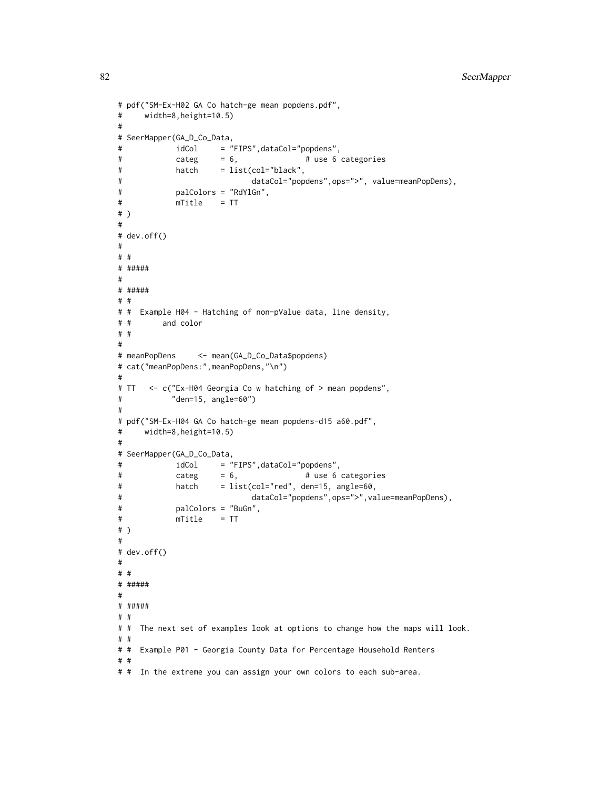```
# pdf("SM-Ex-H02 GA Co hatch-ge mean popdens.pdf",
# width=8,height=10.5)
#
# SeerMapper(GA_D_Co_Data,
# idCol = "FIPS",dataCol="popdens",
# categ = 6, # use 6 categories
# hatch = list(col="black",
# dataCol="popdens",ops=">", value=meanPopDens),
# palColors = "RdYlGn",
# mTitle = TT
# )
#
# dev.off()
#
# #
# #####
#
# #####
# #
# # Example H04 - Hatching of non-pValue data, line density,
# # and color
# #
#
# meanPopDens <- mean(GA_D_Co_Data$popdens)
# cat("meanPopDens:",meanPopDens,"\n")
#
# TT <- c("Ex-H04 Georgia Co w hatching of > mean popdens",
# "den=15, angle=60")
#
# pdf("SM-Ex-H04 GA Co hatch-ge mean popdens-d15 a60.pdf",
# width=8,height=10.5)
#
# SeerMapper(GA_D_Co_Data,
# idCol = "FIPS",dataCol="popdens",
# categ = 6, # use 6 categories
# hatch = list(col="red", den=15, angle=60,
# dataCol="popdens",ops=">",value=meanPopDens),
# palColors = "BuGn",
# mTitle = TT
# )
#
# dev.off()
#
# #
# #####
#
# #####
# #
# # The next set of examples look at options to change how the maps will look.
# #
# # Example P01 - Georgia County Data for Percentage Household Renters
# #
# # In the extreme you can assign your own colors to each sub-area.
```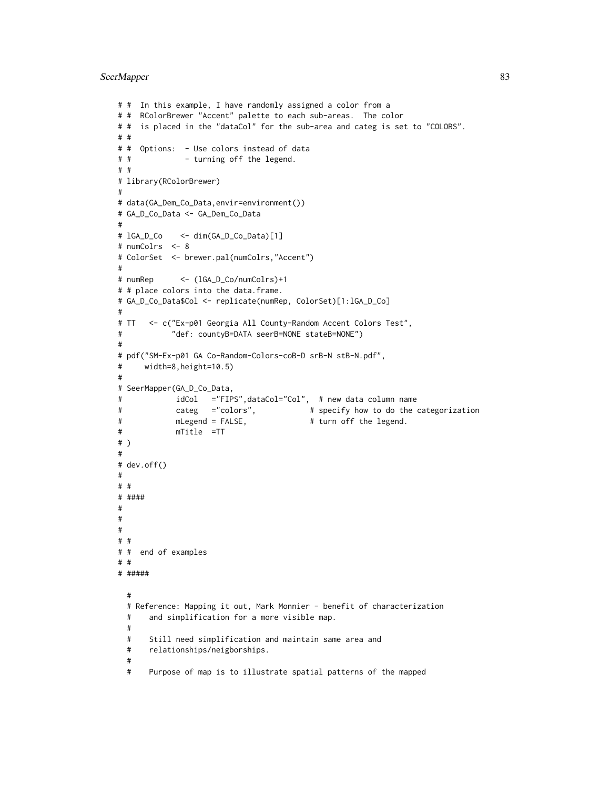```
# # In this example, I have randomly assigned a color from a
# # RColorBrewer "Accent" palette to each sub-areas. The color
# # is placed in the "dataCol" for the sub-area and categ is set to "COLORS".
# #
# # Options: - Use colors instead of data
# # - turning off the legend.
# #
# library(RColorBrewer)
#
# data(GA_Dem_Co_Data,envir=environment())
# GA_D_Co_Data <- GA_Dem_Co_Data
#
# lGA_D_Co <- dim(GA_D_Co_Data)[1]
# numColrs <- 8
# ColorSet <- brewer.pal(numColrs,"Accent")
#
# numRep <- (lGA_D_Co/numColrs)+1
# # place colors into the data.frame.
# GA_D_Co_Data$Col <- replicate(numRep, ColorSet)[1:lGA_D_Co]
#
# TT <- c("Ex-p01 Georgia All County-Random Accent Colors Test",
# "def: countyB=DATA seerB=NONE stateB=NONE")
#
# pdf("SM-Ex-p01 GA Co-Random-Colors-coB-D srB-N stB-N.pdf",
# width=8,height=10.5)
#
# SeerMapper(GA_D_Co_Data,
# idCol ="FIPS",dataCol="Col", # new data column name
# categ ="colors", # specify how to do the categorization
# mLegend = FALSE, # turn off the legend.
# mTitle =TT
# )
#
# dev.off()
#
# #
# ####
#
#
#
# #
# # end of examples
# #
# #####
 #
 # Reference: Mapping it out, Mark Monnier - benefit of characterization
 # and simplification for a more visible map.
 #
 # Still need simplification and maintain same area and
 # relationships/neigborships.
 #
 # Purpose of map is to illustrate spatial patterns of the mapped
```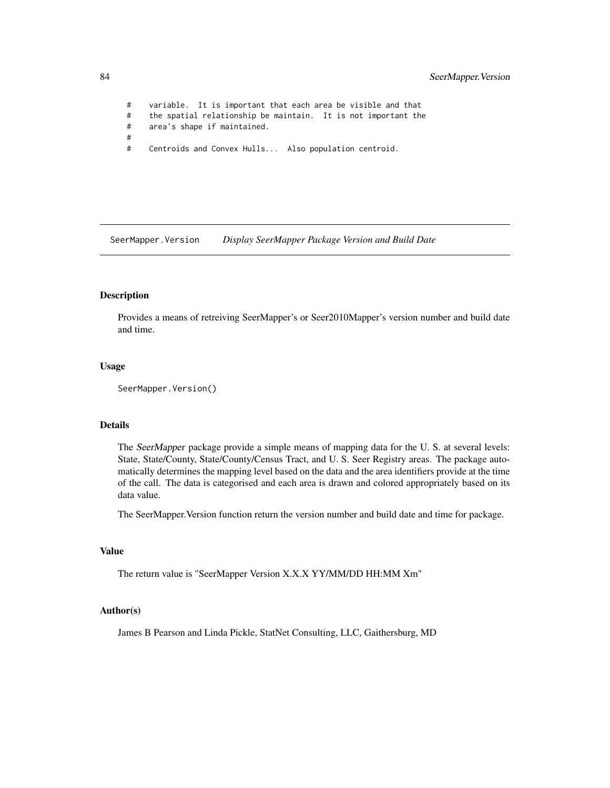# variable. It is important that each area be visible and that # the spatial relationship be maintain. It is not important the # area's shape if maintained. # # Centroids and Convex Hulls... Also population centroid.

SeerMapper.Version *Display SeerMapper Package Version and Build Date*

# Description

Provides a means of retreiving SeerMapper's or Seer2010Mapper's version number and build date and time.

# Usage

```
SeerMapper.Version()
```
#### Details

The SeerMapper package provide a simple means of mapping data for the U. S. at several levels: State, State/County, State/County/Census Tract, and U. S. Seer Registry areas. The package automatically determines the mapping level based on the data and the area identifiers provide at the time of the call. The data is categorised and each area is drawn and colored appropriately based on its data value.

The SeerMapper.Version function return the version number and build date and time for package.

### Value

The return value is "SeerMapper Version X.X.X YY/MM/DD HH:MM Xm"

## Author(s)

James B Pearson and Linda Pickle, StatNet Consulting, LLC, Gaithersburg, MD

<span id="page-83-0"></span>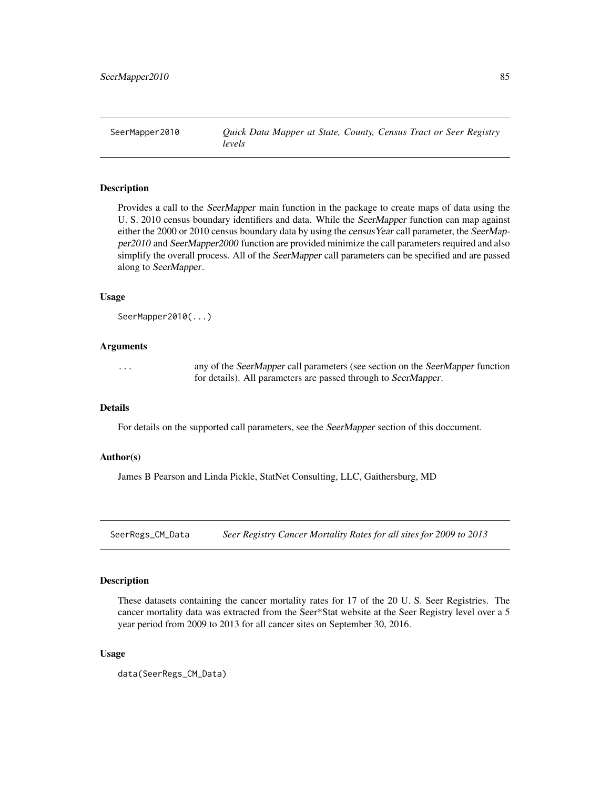<span id="page-84-0"></span>SeerMapper2010 *Quick Data Mapper at State, County, Census Tract or Seer Registry levels*

# Description

Provides a call to the SeerMapper main function in the package to create maps of data using the U. S. 2010 census boundary identifiers and data. While the SeerMapper function can map against either the 2000 or 2010 census boundary data by using the census Year call parameter, the SeerMapper2010 and SeerMapper2000 function are provided minimize the call parameters required and also simplify the overall process. All of the SeerMapper call parameters can be specified and are passed along to SeerMapper.

#### Usage

```
SeerMapper2010(...)
```
# Arguments

... any of the SeerMapper call parameters (see section on the SeerMapper function for details). All parameters are passed through to SeerMapper.

# Details

For details on the supported call parameters, see the SeerMapper section of this doccument.

# Author(s)

James B Pearson and Linda Pickle, StatNet Consulting, LLC, Gaithersburg, MD

SeerRegs\_CM\_Data *Seer Registry Cancer Mortality Rates for all sites for 2009 to 2013*

## Description

These datasets containing the cancer mortality rates for 17 of the 20 U. S. Seer Registries. The cancer mortality data was extracted from the Seer\*Stat website at the Seer Registry level over a 5 year period from 2009 to 2013 for all cancer sites on September 30, 2016.

# Usage

```
data(SeerRegs_CM_Data)
```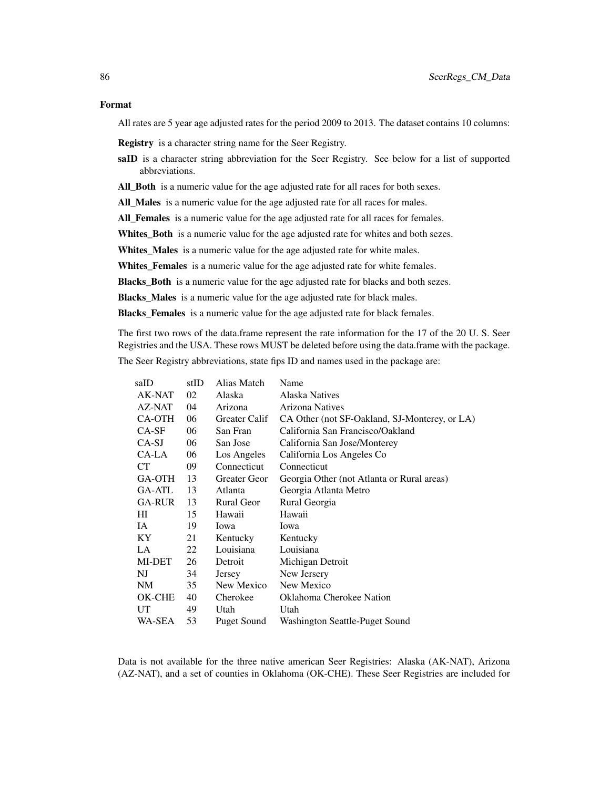## Format

All rates are 5 year age adjusted rates for the period 2009 to 2013. The dataset contains 10 columns:

Registry is a character string name for the Seer Registry.

- saID is a character string abbreviation for the Seer Registry. See below for a list of supported abbreviations.
- All\_Both is a numeric value for the age adjusted rate for all races for both sexes.

All\_Males is a numeric value for the age adjusted rate for all races for males.

All\_Females is a numeric value for the age adjusted rate for all races for females.

Whites\_Both is a numeric value for the age adjusted rate for whites and both sezes.

Whites\_Males is a numeric value for the age adjusted rate for white males.

Whites\_Females is a numeric value for the age adjusted rate for white females.

Blacks\_Both is a numeric value for the age adjusted rate for blacks and both sezes.

Blacks\_Males is a numeric value for the age adjusted rate for black males.

Blacks Females is a numeric value for the age adjusted rate for black females.

The first two rows of the data.frame represent the rate information for the 17 of the 20 U. S. Seer Registries and the USA. These rows MUST be deleted before using the data.frame with the package.

The Seer Registry abbreviations, state fips ID and names used in the package are:

| saID    | stID | Alias Match   | Name                                          |
|---------|------|---------------|-----------------------------------------------|
| AK-NAT  | 02   | Alaska        | Alaska Natives                                |
| AZ-NAT  | 04   | Arizona       | Arizona Natives                               |
| CA-OTH  | 06   | Greater Calif | CA Other (not SF-Oakland, SJ-Monterey, or LA) |
| $CA-SF$ | 06   | San Fran      | California San Francisco/Oakland              |
| CA-SJ   | 06   | San Jose      | California San Jose/Monterey                  |
| CA-LA   | 06   | Los Angeles   | California Los Angeles Co                     |
| СT      | 09   | Connecticut   | Connecticut                                   |
| GA-OTH  | 13   | Greater Geor  | Georgia Other (not Atlanta or Rural areas)    |
| GA-ATL  | 13   | Atlanta       | Georgia Atlanta Metro                         |
| GA-RUR  | 13   | Rural Geor    | Rural Georgia                                 |
| HІ      | 15   | Hawaii        | Hawaii                                        |
| IA.     | 19   | Iowa          | Iowa                                          |
| KY.     | 21   | Kentucky      | Kentucky                                      |
| LA      | 22   | Louisiana     | Louisiana                                     |
| MI-DET  | 26   | Detroit       | Michigan Detroit                              |
| NJ      | 34   | Jersey        | New Jersery                                   |
| NM      | 35   | New Mexico    | New Mexico                                    |
| OK-CHE  | 40   | Cherokee      | Oklahoma Cherokee Nation                      |
| UT      | 49   | Utah          | Utah                                          |
| WA-SEA  | 53   | Puget Sound   | Washington Seattle-Puget Sound                |

Data is not available for the three native american Seer Registries: Alaska (AK-NAT), Arizona (AZ-NAT), and a set of counties in Oklahoma (OK-CHE). These Seer Registries are included for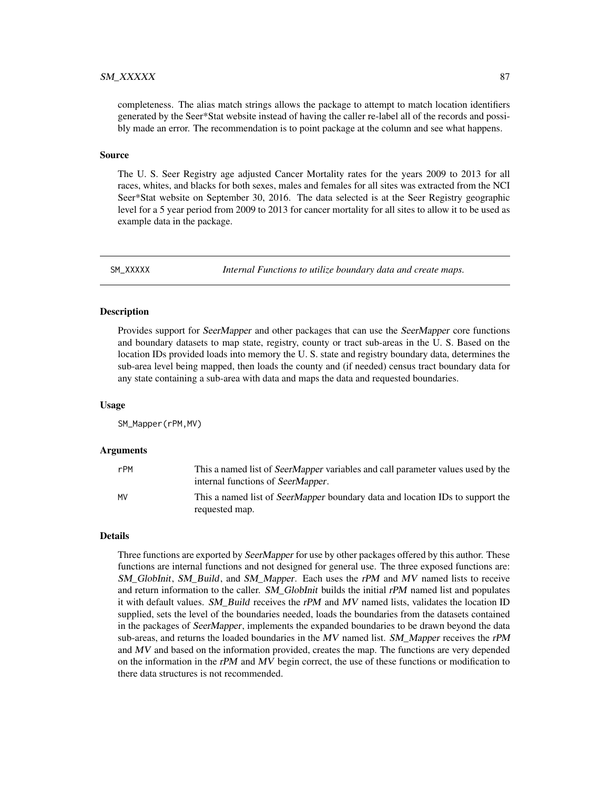## <span id="page-86-0"></span> $S$ M\_XXXXX 87

completeness. The alias match strings allows the package to attempt to match location identifiers generated by the Seer\*Stat website instead of having the caller re-label all of the records and possibly made an error. The recommendation is to point package at the column and see what happens.

## Source

The U. S. Seer Registry age adjusted Cancer Mortality rates for the years 2009 to 2013 for all races, whites, and blacks for both sexes, males and females for all sites was extracted from the NCI Seer\*Stat website on September 30, 2016. The data selected is at the Seer Registry geographic level for a 5 year period from 2009 to 2013 for cancer mortality for all sites to allow it to be used as example data in the package.

SM\_XXXXX *Internal Functions to utilize boundary data and create maps.*

# Description

Provides support for *SeerMapper* and other packages that can use the *SeerMapper* core functions and boundary datasets to map state, registry, county or tract sub-areas in the U. S. Based on the location IDs provided loads into memory the U. S. state and registry boundary data, determines the sub-area level being mapped, then loads the county and (if needed) census tract boundary data for any state containing a sub-area with data and maps the data and requested boundaries.

### Usage

SM\_Mapper(rPM,MV)

#### Arguments

| rPM | This a named list of <i>SeerMapper</i> variables and call parameter values used by the<br>internal functions of SeerMapper. |
|-----|-----------------------------------------------------------------------------------------------------------------------------|
| MV  | This a named list of SeerMapper boundary data and location IDs to support the<br>requested map.                             |

# Details

Three functions are exported by SeerMapper for use by other packages offered by this author. These functions are internal functions and not designed for general use. The three exposed functions are: SM\_GlobInit, SM\_Build, and SM\_Mapper. Each uses the rPM and MV named lists to receive and return information to the caller. SM\_GlobInit builds the initial rPM named list and populates it with default values. SM\_Build receives the rPM and MV named lists, validates the location ID supplied, sets the level of the boundaries needed, loads the boundaries from the datasets contained in the packages of SeerMapper, implements the expanded boundaries to be drawn beyond the data sub-areas, and returns the loaded boundaries in the  $MV$  named list. SM Mapper receives the rPM and MV and based on the information provided, creates the map. The functions are very depended on the information in the rPM and  $MV$  begin correct, the use of these functions or modification to there data structures is not recommended.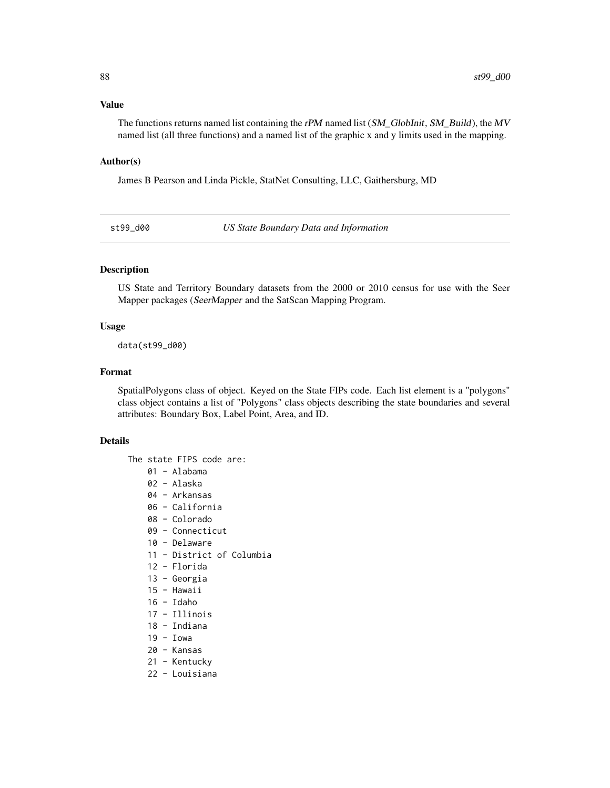#### <span id="page-87-0"></span>Value

The functions returns named list containing the rPM named list  $(SM\text{ Globalinit}, SM\text{ Build})$ , the MV named list (all three functions) and a named list of the graphic x and y limits used in the mapping.

## Author(s)

James B Pearson and Linda Pickle, StatNet Consulting, LLC, Gaithersburg, MD

st99\_d00 *US State Boundary Data and Information*

## Description

US State and Territory Boundary datasets from the 2000 or 2010 census for use with the Seer Mapper packages (SeerMapper and the SatScan Mapping Program.

## Usage

data(st99\_d00)

#### Format

SpatialPolygons class of object. Keyed on the State FIPs code. Each list element is a "polygons" class object contains a list of "Polygons" class objects describing the state boundaries and several attributes: Boundary Box, Label Point, Area, and ID.

### Details

The state FIPS code are:

- 01 Alabama
- 02 Alaska
- 04 Arkansas
- 06 California
- 08 Colorado
- 09 Connecticut
- 10 Delaware
- 11 District of Columbia
- 12 Florida
- 13 Georgia
- 15 Hawaii
- 16 Idaho
- 17 Illinois
- 18 Indiana
- 19 Iowa
- 20 Kansas
- 21 Kentucky
- 22 Louisiana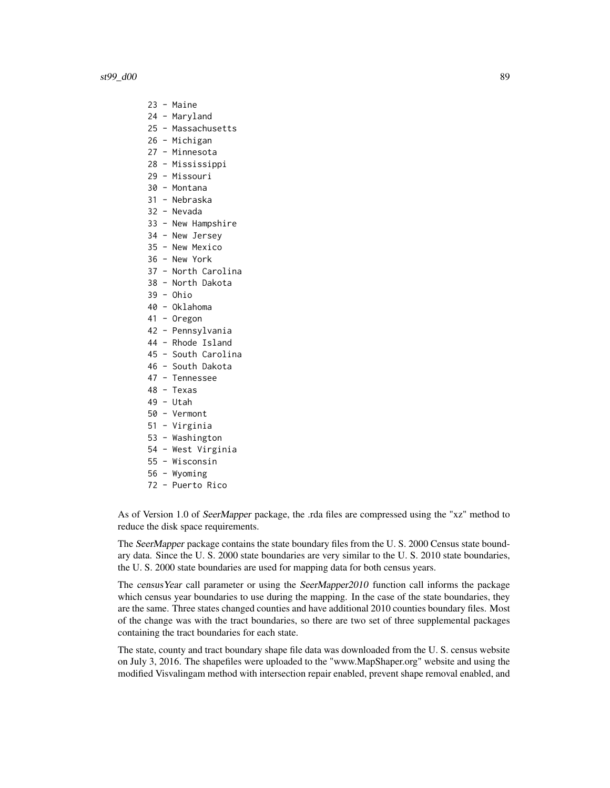- 23 Maine
- 24 Maryland
- 25 Massachusetts
- 26 Michigan
- 27 Minnesota
- 28 Mississippi
- 29 Missouri
- 30 Montana
- 31 Nebraska
- 32 Nevada
- 33 New Hampshire
- 34 New Jersey
- 35 New Mexico
- 36 New York
- 37 North Carolina
- 38 North Dakota
- 39 Ohio
- 40 Oklahoma
- 41 Oregon
- 42 Pennsylvania
- 44 Rhode Island
- 45 South Carolina
- 46 South Dakota
- 47 Tennessee
- 48 Texas
- 49 Utah
- 50 Vermont
- 51 Virginia
- 53 Washington
- 54 West Virginia
- 55 Wisconsin
- 56 Wyoming
- 72 Puerto Rico

As of Version 1.0 of SeerMapper package, the .rda files are compressed using the "xz" method to reduce the disk space requirements.

The SeerMapper package contains the state boundary files from the U.S. 2000 Census state boundary data. Since the U. S. 2000 state boundaries are very similar to the U. S. 2010 state boundaries, the U. S. 2000 state boundaries are used for mapping data for both census years.

The census Year call parameter or using the SeerMapper2010 function call informs the package which census year boundaries to use during the mapping. In the case of the state boundaries, they are the same. Three states changed counties and have additional 2010 counties boundary files. Most of the change was with the tract boundaries, so there are two set of three supplemental packages containing the tract boundaries for each state.

The state, county and tract boundary shape file data was downloaded from the U. S. census website on July 3, 2016. The shapefiles were uploaded to the "www.MapShaper.org" website and using the modified Visvalingam method with intersection repair enabled, prevent shape removal enabled, and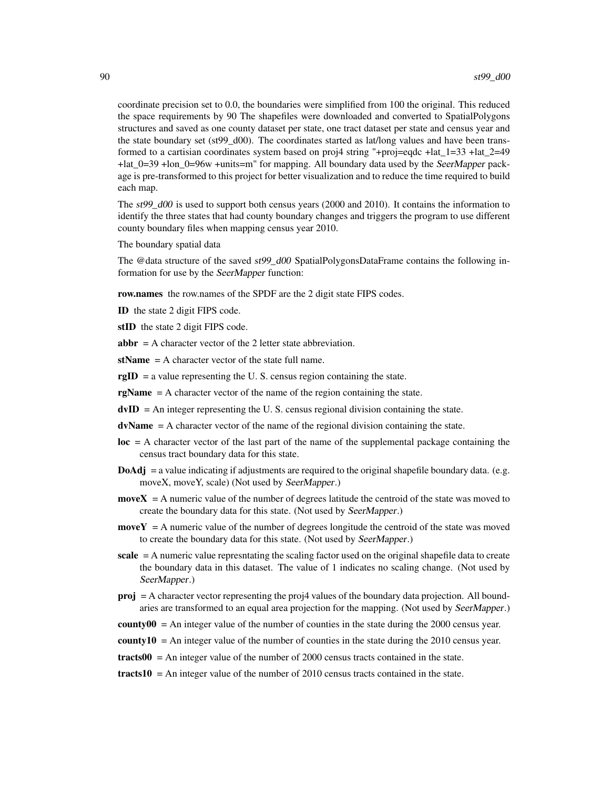coordinate precision set to 0.0, the boundaries were simplified from 100 the original. This reduced the space requirements by 90 The shapefiles were downloaded and converted to SpatialPolygons structures and saved as one county dataset per state, one tract dataset per state and census year and the state boundary set (st99\_d00). The coordinates started as lat/long values and have been transformed to a cartisian coordinates system based on proj4 string "+proj=eqdc +lat\_1=33 +lat\_2=49 +lat\_0=39 +lon\_0=96w +units=m" for mapping. All boundary data used by the SeerMapper package is pre-transformed to this project for better visualization and to reduce the time required to build each map.

The  $st99\,d00$  is used to support both census years (2000 and 2010). It contains the information to identify the three states that had county boundary changes and triggers the program to use different county boundary files when mapping census year 2010.

The boundary spatial data

The @data structure of the saved st99\_d00 SpatialPolygonsDataFrame contains the following information for use by the SeerMapper function:

row.names the row.names of the SPDF are the 2 digit state FIPS codes.

ID the state 2 digit FIPS code.

stID the state 2 digit FIPS code.

 $abbr = A character vector of the 2 letter state abbreviation.$ 

 $stName = A character vector of the state full name.$ 

 $\text{rgID} =$  a value representing the U.S. census region containing the state.

- $rgName = A character vector of the name of the region containing the state.$
- $d$ vID = An integer representing the U.S. census regional division containing the state.
- $dvName = A character vector of the name of the regional division containing the state.$
- $loc = A$  character vector of the last part of the name of the supplemental package containing the census tract boundary data for this state.
- **DoAdj** = a value indicating if adjustments are required to the original shapefile boundary data. (e.g. moveX, moveY, scale) (Not used by SeerMapper.)
- $moveX = A$  numeric value of the number of degrees latitude the centroid of the state was moved to create the boundary data for this state. (Not used by SeerMapper.)
- $moveY = A$  numeric value of the number of degrees longitude the centroid of the state was moved to create the boundary data for this state. (Not used by SeerMapper.)
- scale  $=$  A numeric value represntating the scaling factor used on the original shapefile data to create the boundary data in this dataset. The value of 1 indicates no scaling change. (Not used by SeerMapper.)
- proj = A character vector representing the proj4 values of the boundary data projection. All boundaries are transformed to an equal area projection for the mapping. (Not used by SeerMapper.)
- county00 = An integer value of the number of counties in the state during the 2000 census year.

**county10** = An integer value of the number of counties in the state during the 2010 census year.

 $\text{tracts}00 = \text{An integer value of the number of } 2000 \text{ census tracks contained in the state.}$ 

 $\text{tracts10} = \text{An integer value of the number of } 2010 \text{ census tracts contained in the state.}$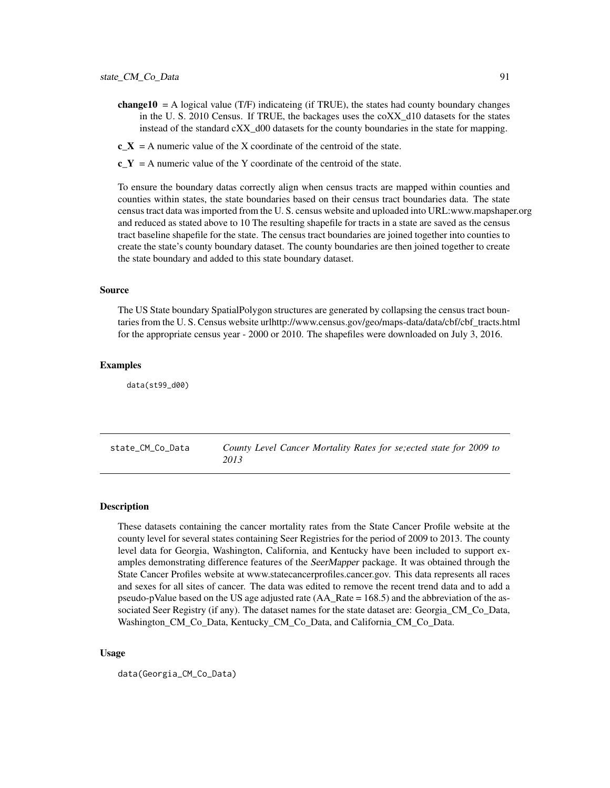- <span id="page-90-0"></span>**change10** = A logical value (T/F) indicateing (if TRUE), the states had county boundary changes in the U. S. 2010 Census. If TRUE, the backages uses the coXX\_d10 datasets for the states instead of the standard cXX d00 datasets for the county boundaries in the state for mapping.
- $c_X = A$  numeric value of the X coordinate of the centroid of the state.
- $c_Y = A$  numeric value of the Y coordinate of the centroid of the state.

To ensure the boundary datas correctly align when census tracts are mapped within counties and counties within states, the state boundaries based on their census tract boundaries data. The state census tract data was imported from the U. S. census website and uploaded into URL:www.mapshaper.org and reduced as stated above to 10 The resulting shapefile for tracts in a state are saved as the census tract baseline shapefile for the state. The census tract boundaries are joined together into counties to create the state's county boundary dataset. The county boundaries are then joined together to create the state boundary and added to this state boundary dataset.

## Source

The US State boundary SpatialPolygon structures are generated by collapsing the census tract bountaries from the U. S. Census website urlhttp://www.census.gov/geo/maps-data/data/cbf/cbf\_tracts.html for the appropriate census year - 2000 or 2010. The shapefiles were downloaded on July 3, 2016.

#### Examples

data(st99\_d00)

state\_CM\_Co\_Data *County Level Cancer Mortality Rates for se;ected state for 2009 to 2013*

#### **Description**

These datasets containing the cancer mortality rates from the State Cancer Profile website at the county level for several states containing Seer Registries for the period of 2009 to 2013. The county level data for Georgia, Washington, California, and Kentucky have been included to support examples demonstrating difference features of the SeerMapper package. It was obtained through the State Cancer Profiles website at www.statecancerprofiles.cancer.gov. This data represents all races and sexes for all sites of cancer. The data was edited to remove the recent trend data and to add a pseudo-pValue based on the US age adjusted rate (AA\_Rate = 168.5) and the abbreviation of the associated Seer Registry (if any). The dataset names for the state dataset are: Georgia\_CM\_Co\_Data, Washington\_CM\_Co\_Data, Kentucky\_CM\_Co\_Data, and California\_CM\_Co\_Data.

#### Usage

data(Georgia\_CM\_Co\_Data)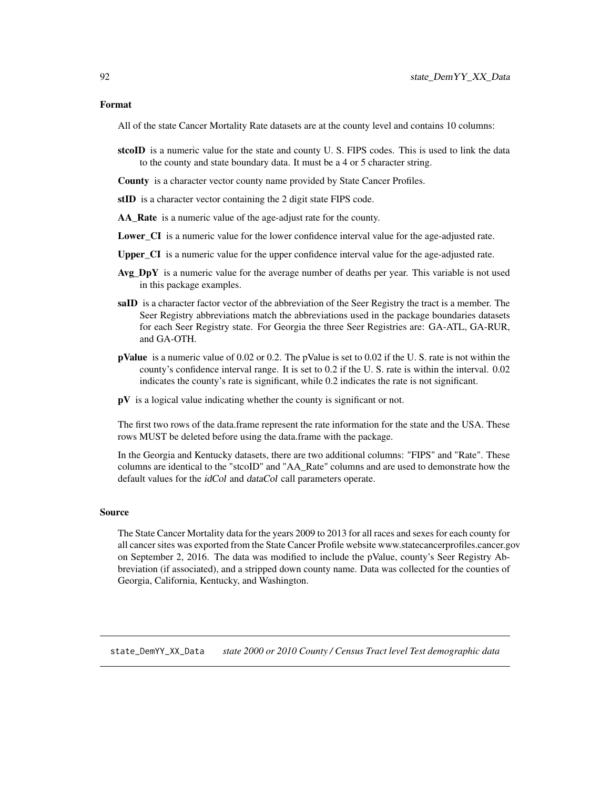#### <span id="page-91-0"></span>Format

All of the state Cancer Mortality Rate datasets are at the county level and contains 10 columns:

- stcoID is a numeric value for the state and county U.S. FIPS codes. This is used to link the data to the county and state boundary data. It must be a 4 or 5 character string.
- County is a character vector county name provided by State Cancer Profiles.
- stID is a character vector containing the 2 digit state FIPS code.
- AA\_Rate is a numeric value of the age-adjust rate for the county.
- **Lower** CI is a numeric value for the lower confidence interval value for the age-adjusted rate.
- Upper\_CI is a numeric value for the upper confidence interval value for the age-adjusted rate.
- $Avg\_{DY}$  is a numeric value for the average number of deaths per year. This variable is not used in this package examples.
- saID is a character factor vector of the abbreviation of the Seer Registry the tract is a member. The Seer Registry abbreviations match the abbreviations used in the package boundaries datasets for each Seer Registry state. For Georgia the three Seer Registries are: GA-ATL, GA-RUR, and GA-OTH.
- **pValue** is a numeric value of  $0.02$  or  $0.2$ . The pValue is set to  $0.02$  if the U. S. rate is not within the county's confidence interval range. It is set to 0.2 if the U. S. rate is within the interval. 0.02 indicates the county's rate is significant, while 0.2 indicates the rate is not significant.
- $pV$  is a logical value indicating whether the county is significant or not.

The first two rows of the data.frame represent the rate information for the state and the USA. These rows MUST be deleted before using the data.frame with the package.

In the Georgia and Kentucky datasets, there are two additional columns: "FIPS" and "Rate". These columns are identical to the "stcoID" and "AA\_Rate" columns and are used to demonstrate how the default values for the *idCol* and *dataCol* call parameters operate.

#### Source

The State Cancer Mortality data for the years 2009 to 2013 for all races and sexes for each county for all cancer sites was exported from the State Cancer Profile website www.statecancerprofiles.cancer.gov on September 2, 2016. The data was modified to include the pValue, county's Seer Registry Abbreviation (if associated), and a stripped down county name. Data was collected for the counties of Georgia, California, Kentucky, and Washington.

state\_DemYY\_XX\_Data *state 2000 or 2010 County / Census Tract level Test demographic data*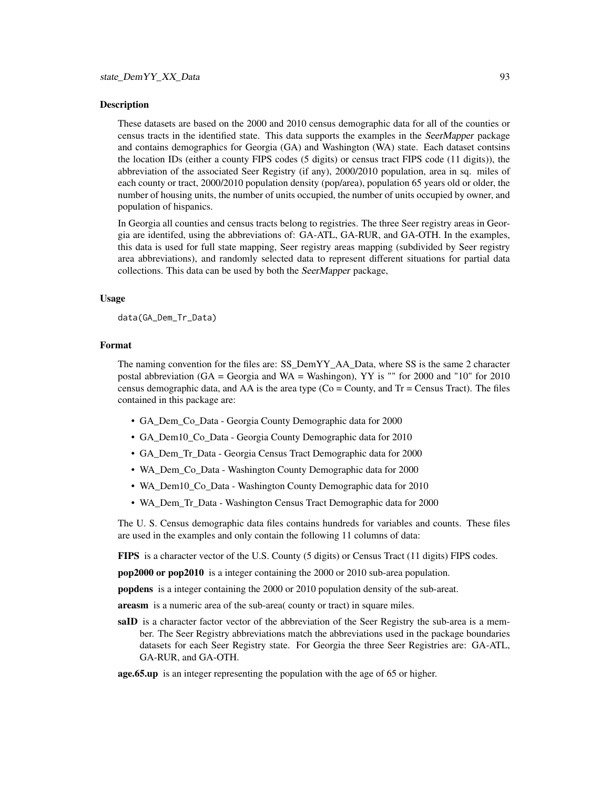## Description

These datasets are based on the 2000 and 2010 census demographic data for all of the counties or census tracts in the identified state. This data supports the examples in the SeerMapper package and contains demographics for Georgia (GA) and Washington (WA) state. Each dataset contsins the location IDs (either a county FIPS codes (5 digits) or census tract FIPS code (11 digits)), the abbreviation of the associated Seer Registry (if any), 2000/2010 population, area in sq. miles of each county or tract, 2000/2010 population density (pop/area), population 65 years old or older, the number of housing units, the number of units occupied, the number of units occupied by owner, and population of hispanics.

In Georgia all counties and census tracts belong to registries. The three Seer registry areas in Georgia are identifed, using the abbreviations of: GA-ATL, GA-RUR, and GA-OTH. In the examples, this data is used for full state mapping, Seer registry areas mapping (subdivided by Seer registry area abbreviations), and randomly selected data to represent different situations for partial data collections. This data can be used by both the SeerMapper package,

#### Usage

data(GA\_Dem\_Tr\_Data)

# Format

The naming convention for the files are: SS\_DemYY\_AA\_Data, where SS is the same 2 character postal abbreviation (GA = Georgia and WA = Washingon), YY is "" for 2000 and "10" for 2010 census demographic data, and AA is the area type  $(Co = County)$ , and  $Tr = Census$  Tract). The files contained in this package are:

- GA\_Dem\_Co\_Data Georgia County Demographic data for 2000
- GA\_Dem10\_Co\_Data Georgia County Demographic data for 2010
- GA\_Dem\_Tr\_Data Georgia Census Tract Demographic data for 2000
- WA\_Dem\_Co\_Data Washington County Demographic data for 2000
- WA\_Dem10\_Co\_Data Washington County Demographic data for 2010
- WA\_Dem\_Tr\_Data Washington Census Tract Demographic data for 2000

The U. S. Census demographic data files contains hundreds for variables and counts. These files are used in the examples and only contain the following 11 columns of data:

FIPS is a character vector of the U.S. County (5 digits) or Census Tract (11 digits) FIPS codes.

pop2000 or pop2010 is a integer containing the 2000 or 2010 sub-area population.

popdens is a integer containing the 2000 or 2010 population density of the sub-areat.

areasm is a numeric area of the sub-area( county or tract) in square miles.

saID is a character factor vector of the abbreviation of the Seer Registry the sub-area is a member. The Seer Registry abbreviations match the abbreviations used in the package boundaries datasets for each Seer Registry state. For Georgia the three Seer Registries are: GA-ATL, GA-RUR, and GA-OTH.

#### age.65.up is an integer representing the population with the age of 65 or higher.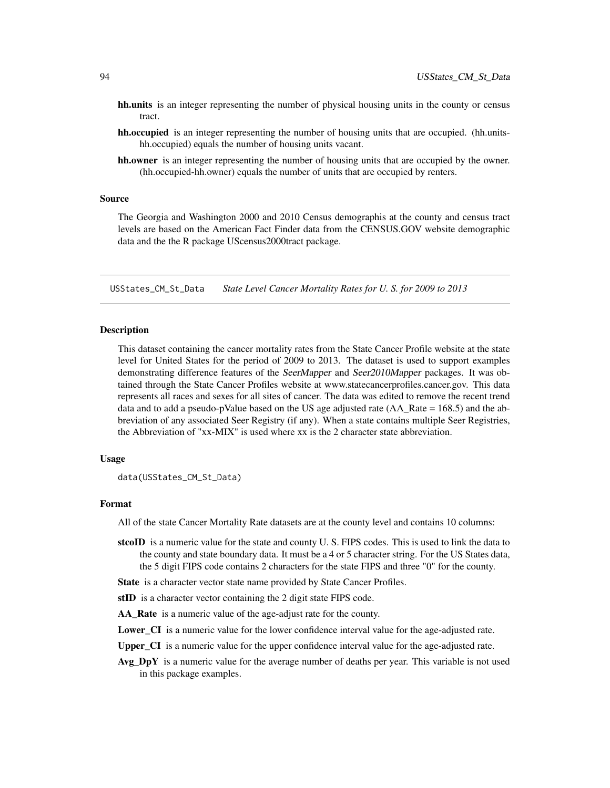- <span id="page-93-0"></span>hh.units is an integer representing the number of physical housing units in the county or census tract.
- hh.occupied is an integer representing the number of housing units that are occupied. (hh.unitshh.occupied) equals the number of housing units vacant.
- hh.owner is an integer representing the number of housing units that are occupied by the owner. (hh.occupied-hh.owner) equals the number of units that are occupied by renters.

#### Source

The Georgia and Washington 2000 and 2010 Census demographis at the county and census tract levels are based on the American Fact Finder data from the CENSUS.GOV website demographic data and the the R package UScensus2000tract package.

USStates\_CM\_St\_Data *State Level Cancer Mortality Rates for U. S. for 2009 to 2013*

# **Description**

This dataset containing the cancer mortality rates from the State Cancer Profile website at the state level for United States for the period of 2009 to 2013. The dataset is used to support examples demonstrating difference features of the SeerMapper and Seer2010Mapper packages. It was obtained through the State Cancer Profiles website at www.statecancerprofiles.cancer.gov. This data represents all races and sexes for all sites of cancer. The data was edited to remove the recent trend data and to add a pseudo-pValue based on the US age adjusted rate  $(AA_Rate = 168.5)$  and the abbreviation of any associated Seer Registry (if any). When a state contains multiple Seer Registries, the Abbreviation of "xx-MIX" is used where xx is the 2 character state abbreviation.

# Usage

```
data(USStates_CM_St_Data)
```
#### Format

All of the state Cancer Mortality Rate datasets are at the county level and contains 10 columns:

- stcoID is a numeric value for the state and county U.S. FIPS codes. This is used to link the data to the county and state boundary data. It must be a 4 or 5 character string. For the US States data, the 5 digit FIPS code contains 2 characters for the state FIPS and three "0" for the county.
- State is a character vector state name provided by State Cancer Profiles.
- stID is a character vector containing the 2 digit state FIPS code.
- AA Rate is a numeric value of the age-adjust rate for the county.
- Lower\_CI is a numeric value for the lower confidence interval value for the age-adjusted rate.
- Upper\_CI is a numeric value for the upper confidence interval value for the age-adjusted rate.
- Avg  $DpY$  is a numeric value for the average number of deaths per year. This variable is not used in this package examples.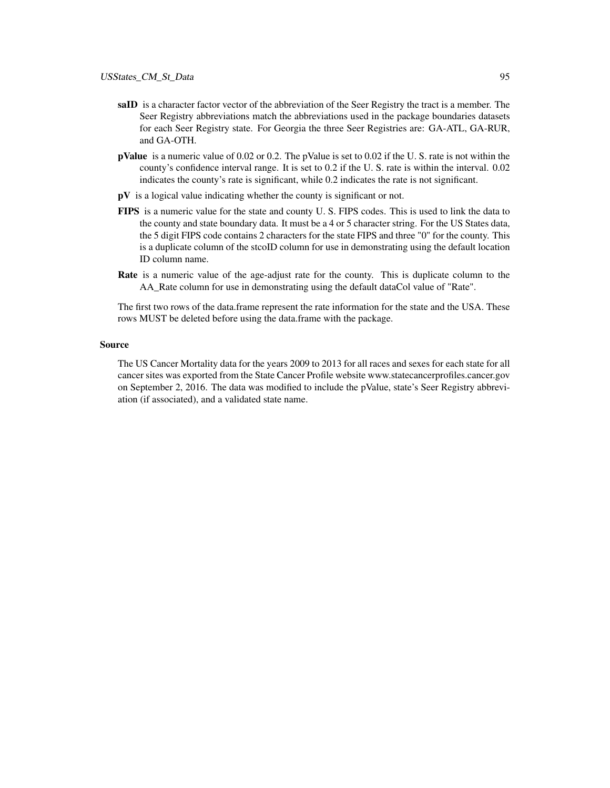- saID is a character factor vector of the abbreviation of the Seer Registry the tract is a member. The Seer Registry abbreviations match the abbreviations used in the package boundaries datasets for each Seer Registry state. For Georgia the three Seer Registries are: GA-ATL, GA-RUR, and GA-OTH.
- pValue is a numeric value of 0.02 or 0.2. The pValue is set to 0.02 if the U. S. rate is not within the county's confidence interval range. It is set to 0.2 if the U. S. rate is within the interval. 0.02 indicates the county's rate is significant, while 0.2 indicates the rate is not significant.
- pV is a logical value indicating whether the county is significant or not.
- FIPS is a numeric value for the state and county U. S. FIPS codes. This is used to link the data to the county and state boundary data. It must be a 4 or 5 character string. For the US States data, the 5 digit FIPS code contains 2 characters for the state FIPS and three "0" for the county. This is a duplicate column of the stcoID column for use in demonstrating using the default location ID column name.
- **Rate** is a numeric value of the age-adjust rate for the county. This is duplicate column to the AA\_Rate column for use in demonstrating using the default dataCol value of "Rate".

The first two rows of the data.frame represent the rate information for the state and the USA. These rows MUST be deleted before using the data.frame with the package.

# Source

The US Cancer Mortality data for the years 2009 to 2013 for all races and sexes for each state for all cancer sites was exported from the State Cancer Profile website www.statecancerprofiles.cancer.gov on September 2, 2016. The data was modified to include the pValue, state's Seer Registry abbreviation (if associated), and a validated state name.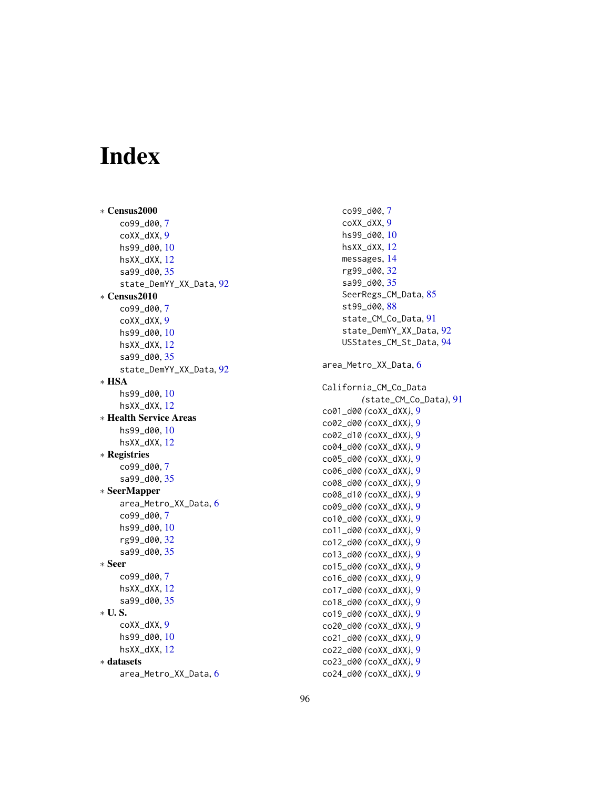# Index

∗ Census2000 co99\_d00 , [7](#page-6-0) coXX\_dXX , [9](#page-8-0) hs99\_d00 , [10](#page-9-0) hsXX\_dXX , [12](#page-11-0) sa99\_d00, [35](#page-34-0) state\_DemYY\_XX\_Data , [92](#page-91-0) ∗ Census2010 co99\_d00 , [7](#page-6-0) coXX\_dXX , [9](#page-8-0) hs99\_d00 , [10](#page-9-0) hsXX\_dXX , [12](#page-11-0) sa99\_d00, [35](#page-34-0) state\_DemYY\_XX\_Data , [92](#page-91-0) ∗ HSA hs99\_d00 , [10](#page-9-0) hsXX\_dXX , [12](#page-11-0) ∗ Health Service Areas hs99\_d00 , [10](#page-9-0) hsXX\_dXX , [12](#page-11-0) ∗ Registries co99\_d00 , [7](#page-6-0) sa99\_d00, [35](#page-34-0) ∗ SeerMapper area\_Metro\_XX\_Data , [6](#page-5-0) co99\_d00 , [7](#page-6-0) hs99\_d00 , [10](#page-9-0) rg99\_d00 , [32](#page-31-0) sa99\_d00, [35](#page-34-0) ∗ Seer co99\_d00 , [7](#page-6-0) hsXX\_dXX , [12](#page-11-0) sa99\_d00, [35](#page-34-0) ∗ U. S. coXX\_dXX , [9](#page-8-0) hs99\_d00 , [10](#page-9-0) hsXX\_dXX , [12](#page-11-0) ∗ datasets area\_Metro\_XX\_Data , [6](#page-5-0)

co99\_d00 , [7](#page-6-0) coXX\_dXX , [9](#page-8-0) hs99\_d00 , [10](#page-9-0) hsXX\_dXX , [12](#page-11-0) messages , [14](#page-13-0) rg99\_d00 , [32](#page-31-0) sa99\_d00 , [35](#page-34-0) SeerRegs\_CM\_Data , [85](#page-84-0) st99\_d00 , [88](#page-87-0) state\_CM\_Co\_Data , [91](#page-90-0) state\_DemYY\_XX\_Data , [92](#page-91-0) USStates\_CM\_St\_Data , [94](#page-93-0) area\_Metro\_XX\_Data , [6](#page-5-0) California\_CM\_Co\_Data *(*state\_CM\_Co\_Data *)* , [91](#page-90-0) co01\_d00 *(*coXX\_dXX *)* , [9](#page-8-0) co02\_d00 *(*coXX\_dXX *)* , [9](#page-8-0) co02\_d10 *(*coXX\_dXX *)* , [9](#page-8-0) co04\_d00 *(*coXX\_dXX *)* , [9](#page-8-0) co05\_d00 *(*coXX\_dXX *)* , [9](#page-8-0) co06\_d00 *(*coXX\_dXX *)* , [9](#page-8-0) co08\_d00 *(*coXX\_dXX *)* , [9](#page-8-0) co08\_d10 *(*coXX\_dXX *)* , [9](#page-8-0) co09\_d00 *(*coXX\_dXX *)* , [9](#page-8-0) co10\_d00 *(*coXX\_dXX *)* , [9](#page-8-0) co11\_d00 *(*coXX\_dXX *)* , [9](#page-8-0) co12\_d00 *(*coXX\_dXX *)* , [9](#page-8-0) co13\_d00 *(*coXX\_dXX *)* , [9](#page-8-0) co15\_d00 *(*coXX\_dXX *)* , [9](#page-8-0) co16\_d00 *(*coXX\_dXX *)* , [9](#page-8-0) co17\_d00 *(*coXX\_dXX *)* , [9](#page-8-0) co18\_d00 *(*coXX\_dXX *)* , [9](#page-8-0) co19\_d00 *(*coXX\_dXX *)* , [9](#page-8-0) co20\_d00 *(*coXX\_dXX *)* , [9](#page-8-0) co21\_d00 *(*coXX\_dXX *)* , [9](#page-8-0) co22\_d00 *(*coXX\_dXX *)* , [9](#page-8-0) co23\_d00 *(*coXX\_dXX *)* , [9](#page-8-0)

co24\_d00 *(*coXX\_dXX *)* , [9](#page-8-0)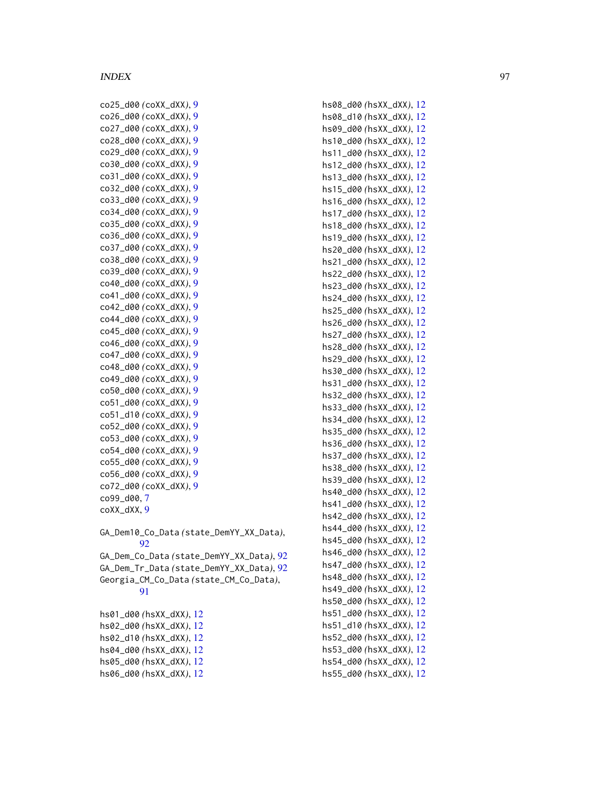| co25_d00 (coXX_dXX), 9                   |
|------------------------------------------|
| co26_d00 (coXX_dXX), 9                   |
| co27_d00 (coXX_dXX), 9                   |
| co28_d00 (coXX_dXX), 9                   |
| co29_d00 (coXX_dXX), 9                   |
| co30_d00 (coXX_dXX), 9                   |
| co31_d00 (coXX_dXX), 9                   |
| co32_d00 (coXX_dXX), 9                   |
| co33_d00 (coXX_dXX), 9                   |
| co34_d00 (coXX_dXX), 9                   |
| co35_d00 (coXX_dXX), 9                   |
| co36_d00 (coXX_dXX), 9                   |
| co37_d00 (coXX_dXX), 9                   |
| co38_d00 (coXX_dXX), 9                   |
| co39_d00 (coXX_dXX), 9                   |
| co40_d00 (coXX_dXX), 9                   |
| co41_d00 (coXX_dXX), 9                   |
| co42_d00 (coXX_dXX), 9                   |
| co44_d00 (coXX_dXX), 9                   |
| co45_d00 (coXX_dXX), 9                   |
| co46_d00 (coXX_dXX), 9                   |
| co47_d00 (coXX_dXX), 9                   |
| co48_d00 (coXX_dXX), 9                   |
| co49_d00 (coXX_dXX), 9                   |
| co50_d00 (coXX_dXX), 9                   |
| co51_d00 (coXX_dXX), 9                   |
| co51_d10 (coXX_dXX), 9                   |
| co52_d00 (coXX_dXX), 9                   |
| co53_d00 (coXX_dXX), 9                   |
| co54_d00 (coXX_dXX), 9                   |
| co55_d00 (coXX_dXX), 9                   |
| co56_d00 (coXX_dXX), 9                   |
| co72_d00 (coXX_dXX), 9                   |
| co99_d00,7                               |
| coXX_dXX, 9                              |
|                                          |
| GA_Dem10_Co_Data(state_DemYY_XX_Data),   |
| 92                                       |
| GA_Dem_Co_Data(state_DemYY_XX_Data), 92  |
| GA_Dem_Tr_Data (state_DemYY_XX_Data), 92 |
| Georgia_CM_Co_Data (state_CM_Co_Data),   |
| 91                                       |
| hs01_d00 (hsXX_dXX), 12                  |
| hs02_d00 (hsXX_dXX), 12                  |
| hs02_d10 (hsXX_dXX), 12                  |
| hs04_d00 (hsXX_dXX), 12                  |
|                                          |

hs05\_d00 *(*hsXX\_dXX *)* , [12](#page-11-0) hs06\_d00 *(*hsXX\_dXX *)* , [12](#page-11-0) hs08\_d00 *(*hsXX\_dXX *)* , [12](#page-11-0) hs08\_d10 *(*hsXX\_dXX *)* , [12](#page-11-0) hs09\_d00 *(*hsXX\_dXX *)* , [12](#page-11-0) hs10\_d00 *(*hsXX\_dXX *)* , [12](#page-11-0) hs11\_d00 *(*hsXX\_dXX *)* , [12](#page-11-0) hs12\_d00 *(*hsXX\_dXX *)* , [12](#page-11-0) hs13\_d00 *(*hsXX\_dXX *)* , [12](#page-11-0) hs15\_d00 *(*hsXX\_dXX *)* , [12](#page-11-0) hs16\_d00 *(*hsXX\_dXX *)* , [12](#page-11-0) hs17\_d00 *(*hsXX\_dXX *)* , [12](#page-11-0) hs18\_d00 *(*hsXX\_dXX *)* , [12](#page-11-0) hs19\_d00 *(*hsXX\_dXX *)* , [12](#page-11-0) hs20\_d00 *(*hsXX\_dXX *)* , [12](#page-11-0) hs21\_d00 *(*hsXX\_dXX *)* , [12](#page-11-0) hs22\_d00 *(*hsXX\_dXX *)* , [12](#page-11-0) hs23\_d00 *(*hsXX\_dXX *)* , [12](#page-11-0) hs24\_d00 *(*hsXX\_dXX *)* , [12](#page-11-0) hs25\_d00 *(*hsXX\_dXX *)* , [12](#page-11-0) hs26\_d00 *(*hsXX\_dXX *)* , [12](#page-11-0) hs27\_d00 *(*hsXX\_dXX *)* , [12](#page-11-0) hs28\_d00 *(*hsXX\_dXX *)* , [12](#page-11-0) hs29\_d00 *(*hsXX\_dXX *)* , [12](#page-11-0) hs30\_d00 *(*hsXX\_dXX *)* , [12](#page-11-0) hs31\_d00 *(*hsXX\_dXX *)* , [12](#page-11-0) hs32\_d00 *(*hsXX\_dXX *)* , [12](#page-11-0) hs33\_d00 *(*hsXX\_dXX *)* , [12](#page-11-0) hs34\_d00 *(*hsXX\_dXX *)* , [12](#page-11-0) hs35\_d00 *(*hsXX\_dXX *)* , [12](#page-11-0) hs36\_d00 *(*hsXX\_dXX *)* , [12](#page-11-0) hs37\_d00 *(*hsXX\_dXX *)* , [12](#page-11-0) hs38\_d00 *(*hsXX\_dXX *)* , [12](#page-11-0) hs39\_d00 *(*hsXX\_dXX *)* , [12](#page-11-0) hs40\_d00 *(*hsXX\_dXX *)* , [12](#page-11-0) hs41\_d00 *(*hsXX\_dXX *)* , [12](#page-11-0) hs42\_d00 *(*hsXX\_dXX *)* , [12](#page-11-0) hs44\_d00 *(*hsXX\_dXX *)* , [12](#page-11-0) hs45\_d00 *(*hsXX\_dXX *)* , [12](#page-11-0) hs46\_d00 *(*hsXX\_dXX *)* , [12](#page-11-0) hs47\_d00 *(*hsXX\_dXX *)* , [12](#page-11-0) hs48\_d00 *(*hsXX\_dXX *)* , [12](#page-11-0) hs49\_d00 *(*hsXX\_dXX *)* , [12](#page-11-0) hs50\_d00 *(*hsXX\_dXX *)* , [12](#page-11-0) hs51\_d00 *(*hsXX\_dXX *)* , [12](#page-11-0) hs51\_d10 *(*hsXX\_dXX *)* , [12](#page-11-0) hs52\_d00 *(*hsXX\_dXX *)* , [12](#page-11-0) hs53\_d00 *(*hsXX\_dXX *)* , [12](#page-11-0) hs54\_d00 *(*hsXX\_dXX *)* , [12](#page-11-0) hs55\_d00 *(*hsXX\_dXX *)* , [12](#page-11-0)

*)* , [92](#page-91-0)

*)* , [92](#page-91-0)